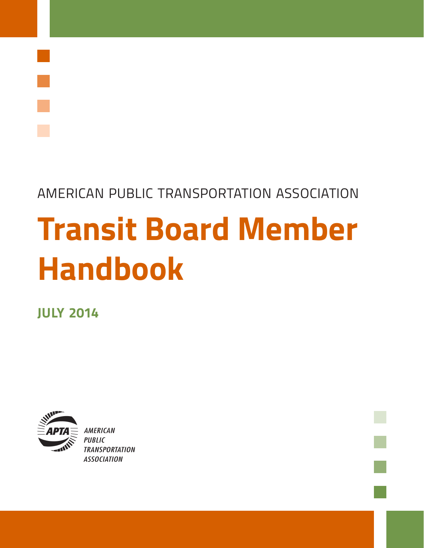# AMERICAN PUBLIC TRANSPORTATION ASSOCIATION

# **Transit Board Member Handbook**

**JULY 2014**



**AMERICAN PUBLIC TRANSPORTATION ASSOCIATION**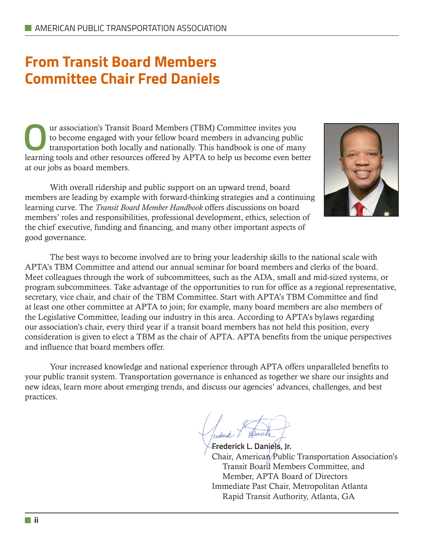# **From Transit Board Members Committee Chair Fred Daniels**

Ur association's Transit Board Members (TBM) Committee invites you<br>to become engaged with your fellow board members in advancing publi<br>transportation both locally and nationally. This handbook is one of mail<br>tearning tools to become engaged with your fellow board members in advancing public transportation both locally and nationally. This handbook is one of many learning tools and other resources offered by APTA to help us become even better at our jobs as board members.

With overall ridership and public support on an upward trend, board members are leading by example with forward-thinking strategies and a continuing learning curve. The *Transit Board Member Handbook* offers discussions on board members' roles and responsibilities, professional development, ethics, selection of the chief executive, funding and financing, and many other important aspects of good governance.

The best ways to become involved are to bring your leadership skills to the national scale with APTA's TBM Committee and attend our annual seminar for board members and clerks of the board. Meet colleagues through the work of subcommittees, such as the ADA, small and mid-sized systems, or program subcommittees. Take advantage of the opportunities to run for office as a regional representative, secretary, vice chair, and chair of the TBM Committee. Start with APTA's TBM Committee and find at least one other committee at APTA to join; for example, many board members are also members of the Legislative Committee, leading our industry in this area. According to APTA's bylaws regarding our association's chair, every third year if a transit board members has not held this position, every consideration is given to elect a TBM as the chair of APTA. APTA benefits from the unique perspectives and influence that board members offer.

Your increased knowledge and national experience through APTA offers unparalleled benefits to your public transit system. Transportation governance is enhanced as together we share our insights and new ideas, learn more about emerging trends, and discuss our agencies' advances, challenges, and best practices.

**Frederick L. Daniels, Jr.** Chair, American Public Transportation Association's Transit Board Members Committee, and Member, APTA Board of Directors Immediate Past Chair, Metropolitan Atlanta Rapid Transit Authority, Atlanta, GA

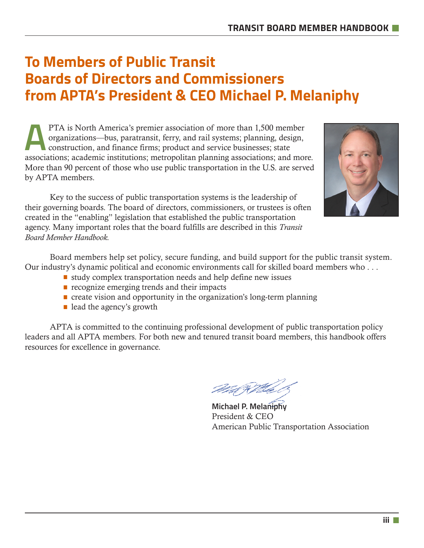# **To Members of Public Transit Boards of Directors and Commissioners from APTA's President & CEO Michael P. Melaniphy**

**A** PTA is North America's premier association of more than 1,500 member organizations—bus, paratransit, ferry, and rail systems; planning, design, construction, and finance firms; product and service businesses; state associations; academic institutions; metropolitan planning associations; and more. More than 90 percent of those who use public transportation in the U.S. are served by APTA members.



Key to the success of public transportation systems is the leadership of their governing boards. The board of directors, commissioners, or trustees is often created in the "enabling" legislation that established the public transportation agency. Many important roles that the board fulfills are described in this *Transit Board Member Handbook.*

Board members help set policy, secure funding, and build support for the public transit system. Our industry's dynamic political and economic environments call for skilled board members who . . .

- $\blacksquare$  study complex transportation needs and help define new issues
- $\blacksquare$  recognize emerging trends and their impacts
- $\blacksquare$  create vision and opportunity in the organization's long-term planning
- lead the agency's growth

APTA is committed to the continuing professional development of public transportation policy leaders and all APTA members. For both new and tenured transit board members, this handbook offers resources for excellence in governance.

*Dad Rid*a

**Michael P. Melaniphy** President & CEO American Public Transportation Association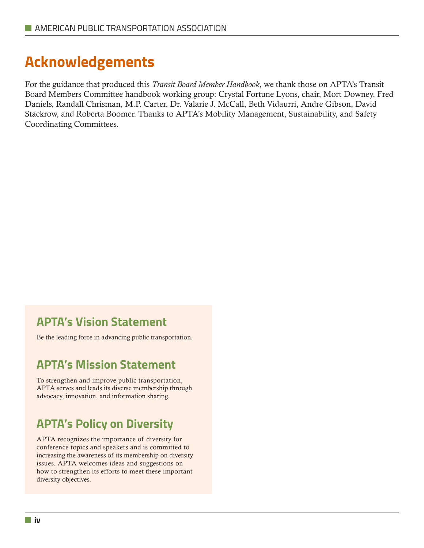# **Acknowledgements**

For the guidance that produced this *Transit Board Member Handbook*, we thank those on APTA's Transit Board Members Committee handbook working group: Crystal Fortune Lyons, chair, Mort Downey, Fred Daniels, Randall Chrisman, M.P. Carter, Dr. Valarie J. McCall, Beth Vidaurri, Andre Gibson, David Stackrow, and Roberta Boomer. Thanks to APTA's Mobility Management, Sustainability, and Safety Coordinating Committees.

### **APTA's Vision Statement**

Be the leading force in advancing public transportation.

### **APTA's Mission Statement**

To strengthen and improve public transportation, APTA serves and leads its diverse membership through advocacy, innovation, and information sharing.

### **APTA's Policy on Diversity**

APTA recognizes the importance of diversity for conference topics and speakers and is committed to increasing the awareness of its membership on diversity issues. APTA welcomes ideas and suggestions on how to strengthen its efforts to meet these important diversity objectives.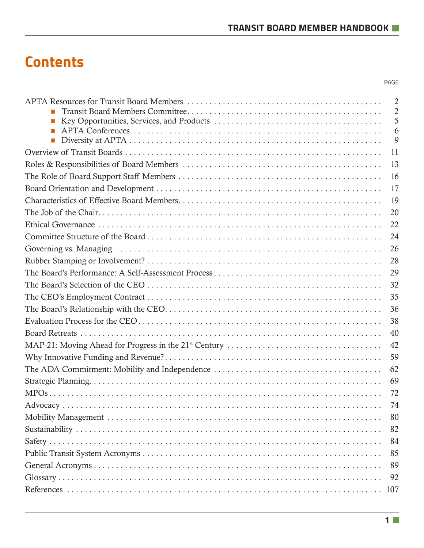## **Contents**

|   | $\overline{2}$ |
|---|----------------|
|   | $\overline{2}$ |
| П | 5              |
|   | 6              |
|   | 9              |
|   | 11             |
|   | 13             |
|   | 16             |
|   | 17             |
|   | 19             |
|   | 20             |
|   | 22             |
|   | 24             |
|   | 26             |
|   | 28             |
|   | 29             |
|   | 32             |
|   | 35             |
|   | 36             |
|   | 38             |
|   | 40             |
|   | 42             |
|   | 59             |
|   | 62             |
|   | 69             |
|   | 72             |
|   | 74             |
|   | 80             |
|   | 82             |
|   | 84             |

Public Transit System Acronyms . 85 General Acronyms . 89 Glossary . 92 References . 107

PAGE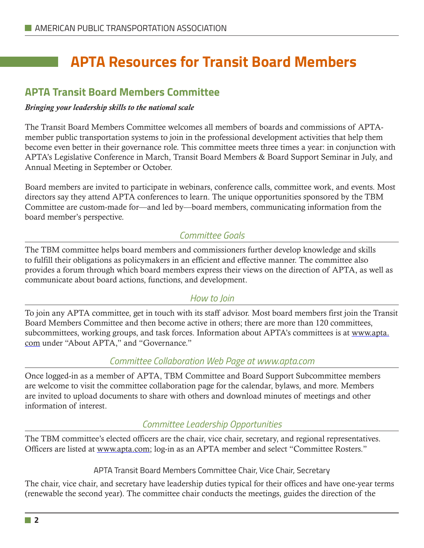# **APTA Resources for Transit Board Members**

#### **APTA Transit Board Members Committee**

#### *Bringing your leadership skills to the national scale*

The Transit Board Members Committee welcomes all members of boards and commissions of APTAmember public transportation systems to join in the professional development activities that help them become even better in their governance role. This committee meets three times a year: in conjunction with APTA's Legislative Conference in March, Transit Board Members & Board Support Seminar in July, and Annual Meeting in September or October.

Board members are invited to participate in webinars, conference calls, committee work, and events. Most directors say they attend APTA conferences to learn. The unique opportunities sponsored by the TBM Committee are custom-made for—and led by—board members, communicating information from the board member's perspective.

#### *Committee Goals*

The TBM committee helps board members and commissioners further develop knowledge and skills to fulfill their obligations as policymakers in an efficient and effective manner. The committee also provides a forum through which board members express their views on the direction of APTA, as well as communicate about board actions, functions, and development.

#### *How to Join*

To join any APTA committee, get in touch with its staff advisor. Most board members first join the Transit Board Members Committee and then become active in others; there are more than 120 committees, subcommittees, working groups, and task forces. Information about APTA's committees is at www.apta. com under "About APTA," and "Governance."

#### *Committee Collaboration Web Page at www.apta.com*

Once logged-in as a member of APTA, TBM Committee and Board Support Subcommittee members are welcome to visit the committee collaboration page for the calendar, bylaws, and more. Members are invited to upload documents to share with others and download minutes of meetings and other information of interest.

#### *Committee Leadership Opportunities*

The TBM committee's elected officers are the chair, vice chair, secretary, and regional representatives. Officers are listed at www.apta.com; log-in as an APTA member and select "Committee Rosters."

#### APTA Transit Board Members Committee Chair, Vice Chair, Secretary

The chair, vice chair, and secretary have leadership duties typical for their offices and have one-year terms (renewable the second year). The committee chair conducts the meetings, guides the direction of the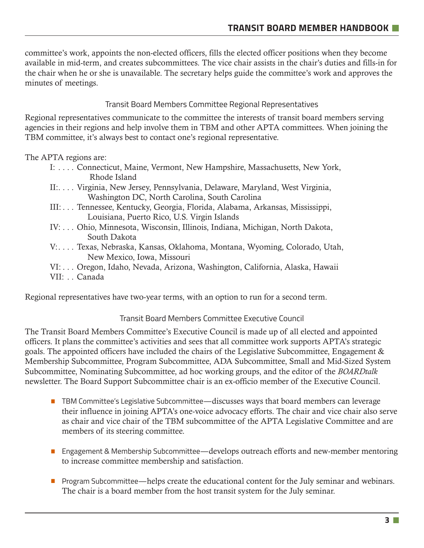committee's work, appoints the non-elected officers, fills the elected officer positions when they become available in mid-term, and creates subcommittees. The vice chair assists in the chair's duties and fills-in for the chair when he or she is unavailable. The secretary helps guide the committee's work and approves the minutes of meetings.

#### Transit Board Members Committee Regional Representatives

Regional representatives communicate to the committee the interests of transit board members serving agencies in their regions and help involve them in TBM and other APTA committees. When joining the TBM committee, it's always best to contact one's regional representative.

#### The APTA regions are:

- I: .... Connecticut, Maine, Vermont, New Hampshire, Massachusetts, New York, Rhode Island
- II: . Virginia, New Jersey, Pennsylvania, Delaware, Maryland, West Virginia, Washington DC, North Carolina, South Carolina
- III: . Tennessee, Kentucky, Georgia, Florida, Alabama, Arkansas, Mississippi, Louisiana, Puerto Rico, U.S. Virgin Islands
- IV: . Ohio, Minnesota, Wisconsin, Illinois, Indiana, Michigan, North Dakota, South Dakota
- V: . Texas, Nebraska, Kansas, Oklahoma, Montana, Wyoming, Colorado, Utah, New Mexico, Iowa, Missouri
- VI: . Oregon, Idaho, Nevada, Arizona, Washington, California, Alaska, Hawaii VII: . Canada

Regional representatives have two-year terms, with an option to run for a second term.

#### Transit Board Members Committee Executive Council

The Transit Board Members Committee's Executive Council is made up of all elected and appointed officers. It plans the committee's activities and sees that all committee work supports APTA's strategic goals. The appointed officers have included the chairs of the Legislative Subcommittee, Engagement & Membership Subcommittee, Program Subcommittee, ADA Subcommittee, Small and Mid-Sized System Subcommittee, Nominating Subcommittee, ad hoc working groups, and the editor of the *BOARDtalk*  newsletter. The Board Support Subcommittee chair is an ex-officio member of the Executive Council.

- **TBM Committee's Legislative Subcommittee—discusses ways that board members can leverage** their influence in joining APTA's one-voice advocacy efforts. The chair and vice chair also serve as chair and vice chair of the TBM subcommittee of the APTA Legislative Committee and are members of its steering committee.
- **Engagement & Membership Subcommittee—develops outreach efforts and new-member mentoring** to increase committee membership and satisfaction.
- **Program Subcommittee—helps create the educational content for the July seminar and webinars.** The chair is a board member from the host transit system for the July seminar.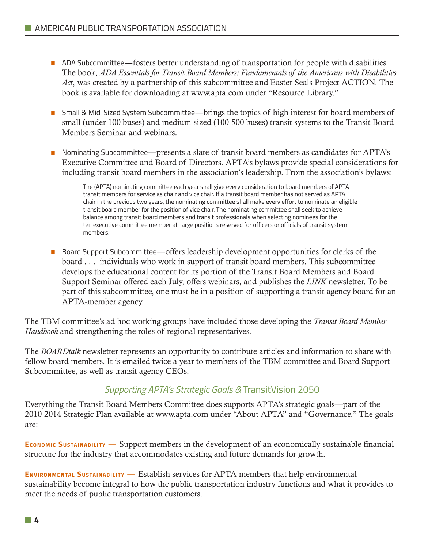- **ADA Subcommittee—fosters better understanding of transportation for people with disabilities.** The book, *ADA Essentials for Transit Board Members: Fundamentals of the Americans with Disabilities Act*, was created by a partnership of this subcommittee and Easter Seals Project ACTION. The book is available for downloading at www.apta.com under "Resource Library."
- **Small & Mid-Sized System Subcommittee—brings the topics of high interest for board members of** small (under 100 buses) and medium-sized (100-500 buses) transit systems to the Transit Board Members Seminar and webinars.
- **•** Nominating Subcommittee—presents a slate of transit board members as candidates for APTA's Executive Committee and Board of Directors. APTA's bylaws provide special considerations for including transit board members in the association's leadership. From the association's bylaws:

The (APTA) nominating committee each year shall give every consideration to board members of APTA transit members for service as chair and vice chair. If a transit board member has not served as APTA chair in the previous two years, the nominating committee shall make every effort to nominate an eligible transit board member for the position of vice chair. The nominating committee shall seek to achieve balance among transit board members and transit professionals when selecting nominees for the ten executive committee member at-large positions reserved for officers or officials of transit system members.

■ Board Support Subcommittee—offers leadership development opportunities for clerks of the board . . . individuals who work in support of transit board members. This subcommittee develops the educational content for its portion of the Transit Board Members and Board Support Seminar offered each July, offers webinars, and publishes the *LINK* newsletter. To be part of this subcommittee, one must be in a position of supporting a transit agency board for an APTA-member agency.

The TBM committee's ad hoc working groups have included those developing the *Transit Board Member Handbook* and strengthening the roles of regional representatives.

The *BOARDtalk* newsletter represents an opportunity to contribute articles and information to share with fellow board members. It is emailed twice a year to members of the TBM committee and Board Support Subcommittee, as well as transit agency CEOs.

#### *Supporting APTA's Strategic Goals &* TransitVision 2050

Everything the Transit Board Members Committee does supports APTA's strategic goals—part of the 2010-2014 Strategic Plan available at www.apta.com under "About APTA" and "Governance." The goals are:

**Economic Sustainability —** Support members in the development of an economically sustainable financial structure for the industry that accommodates existing and future demands for growth.

**Environmental Sustainability —** Establish services for APTA members that help environmental sustainability become integral to how the public transportation industry functions and what it provides to meet the needs of public transportation customers.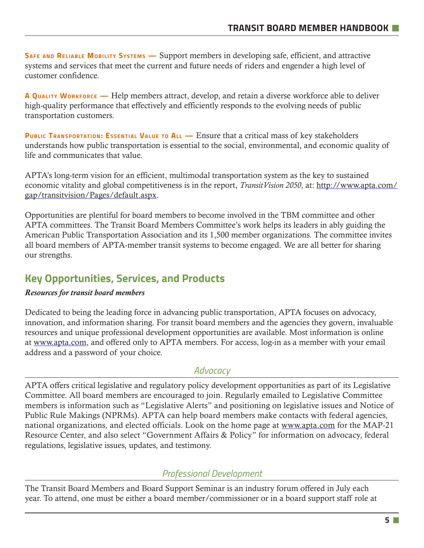**Safe and Reliable Mobility Systems —** Support members in developing safe, efficient, and attractive systems and services that meet the current and future needs of riders and engender a high level of customer confidence.

**A Quality Workforce —** Help members attract, develop, and retain a diverse workforce able to deliver high-quality performance that effectively and efficiently responds to the evolving needs of public transportation customers.

**Public Transportation: Essential Value to All —** Ensure that a critical mass of key stakeholders understands how public transportation is essential to the social, environmental, and economic quality of life and communicates that value.

APTA's long-term vision for an efficient, multimodal transportation system as the key to sustained economic vitality and global competitiveness is in the report, *TransitVision 2050*, at: http://www.apta.com/ gap/transitvision/Pages/default.aspx.

Opportunities are plentiful for board members to become involved in the TBM committee and other APTA committees. The Transit Board Members Committee's work helps its leaders in ably guiding the American Public Transportation Association and its 1,500 member organizations. The committee invites all board members of APTA-member transit systems to become engaged. We are all better for sharing our strengths.

### **Key Opportunities, Services, and Products**

#### *Resources for transit board members*

Dedicated to being the leading force in advancing public transportation, APTA focuses on advocacy, innovation, and information sharing. For transit board members and the agencies they govern, invaluable resources and unique professional development opportunities are available. Most information is online at www.apta.com, and offered only to APTA members. For access, log-in as a member with your email address and a password of your choice.

#### *Advocacy*

APTA offers critical legislative and regulatory policy development opportunities as part of its Legislative Committee. All board members are encouraged to join. Regularly emailed to Legislative Committee members is information such as "Legislative Alerts" and positioning on legislative issues and Notice of Public Rule Makings (NPRMs). APTA can help board members make contacts with federal agencies, national organizations, and elected officials. Look on the home page at www.apta.com for the MAP-21 Resource Center, and also select "Government Affairs & Policy" for information on advocacy, federal regulations, legislative issues, updates, and testimony.

#### *Professional Development*

The Transit Board Members and Board Support Seminar is an industry forum offered in July each year. To attend, one must be either a board member/commissioner or in a board support staff role at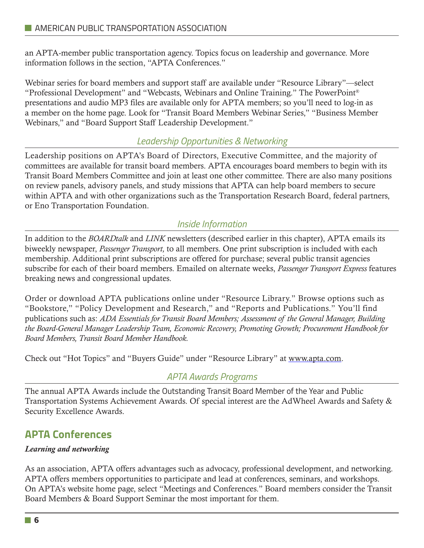an APTA-member public transportation agency. Topics focus on leadership and governance. More information follows in the section, "APTA Conferences."

Webinar series for board members and support staff are available under "Resource Library"—select "Professional Development" and "Webcasts, Webinars and Online Training." The PowerPoint® presentations and audio MP3 files are available only for APTA members; so you'll need to log-in as a member on the home page. Look for "Transit Board Members Webinar Series," "Business Member Webinars," and "Board Support Staff Leadership Development."

#### *Leadership Opportunities & Networking*

Leadership positions on APTA's Board of Directors, Executive Committee, and the majority of committees are available for transit board members. APTA encourages board members to begin with its Transit Board Members Committee and join at least one other committee. There are also many positions on review panels, advisory panels, and study missions that APTA can help board members to secure within APTA and with other organizations such as the Transportation Research Board, federal partners, or Eno Transportation Foundation.

#### *Inside Information*

In addition to the *BOARDtalk* and *LINK* newsletters (described earlier in this chapter), APTA emails its biweekly newspaper, *Passenger Transport,* to all members. One print subscription is included with each membership. Additional print subscriptions are offered for purchase; several public transit agencies subscribe for each of their board members. Emailed on alternate weeks, *Passenger Transport Express* features breaking news and congressional updates.

Order or download APTA publications online under "Resource Library." Browse options such as "Bookstore," "Policy Development and Research," and "Reports and Publications." You'll find publications such as: *ADA Essentials for Transit Board Members; Assessment of the General Manager, Building the Board-General Manager Leadership Team, Economic Recovery, Promoting Growth; Procurement Handbook for Board Members, Transit Board Member Handbook.*

Check out "Hot Topics" and "Buyers Guide" under "Resource Library" at www.apta.com.

#### *APTA Awards Programs*

The annual APTA Awards include the Outstanding Transit Board Member of the Year and Public Transportation Systems Achievement Awards. Of special interest are the AdWheel Awards and Safety & Security Excellence Awards.

### **APTA Conferences**

#### *Learning and networking*

As an association, APTA offers advantages such as advocacy, professional development, and networking. APTA offers members opportunities to participate and lead at conferences, seminars, and workshops. On APTA's website home page, select "Meetings and Conferences." Board members consider the Transit Board Members & Board Support Seminar the most important for them.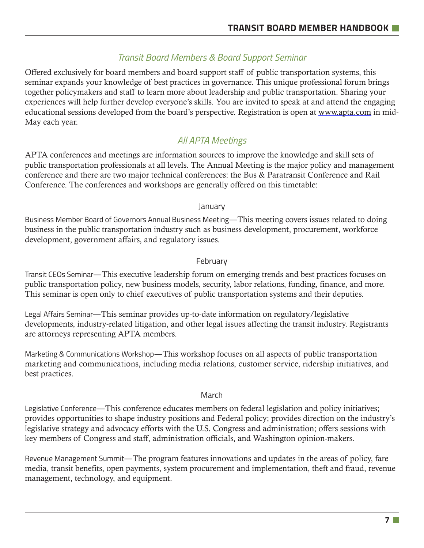#### *Transit Board Members & Board Support Seminar*

Offered exclusively for board members and board support staff of public transportation systems, this seminar expands your knowledge of best practices in governance. This unique professional forum brings together policymakers and staff to learn more about leadership and public transportation. Sharing your experiences will help further develop everyone's skills. You are invited to speak at and attend the engaging educational sessions developed from the board's perspective. Registration is open at www.apta.com in mid-May each year.

#### *All APTA Meetings*

APTA conferences and meetings are information sources to improve the knowledge and skill sets of public transportation professionals at all levels. The Annual Meeting is the major policy and management conference and there are two major technical conferences: the Bus & Paratransit Conference and Rail Conference. The conferences and workshops are generally offered on this timetable:

#### January

Business Member Board of Governors Annual Business Meeting—This meeting covers issues related to doing business in the public transportation industry such as business development, procurement, workforce development, government affairs, and regulatory issues.

#### February

Transit CEOs Seminar—This executive leadership forum on emerging trends and best practices focuses on public transportation policy, new business models, security, labor relations, funding, finance, and more. This seminar is open only to chief executives of public transportation systems and their deputies.

Legal Affairs Seminar—This seminar provides up-to-date information on regulatory/legislative developments, industry-related litigation, and other legal issues affecting the transit industry. Registrants are attorneys representing APTA members.

Marketing & Communications Workshop—This workshop focuses on all aspects of public transportation marketing and communications, including media relations, customer service, ridership initiatives, and best practices.

#### March

Legislative Conference—This conference educates members on federal legislation and policy initiatives; provides opportunities to shape industry positions and Federal policy; provides direction on the industry's legislative strategy and advocacy efforts with the U.S. Congress and administration; offers sessions with key members of Congress and staff, administration officials, and Washington opinion-makers.

Revenue Management Summit—The program features innovations and updates in the areas of policy, fare media, transit benefits, open payments, system procurement and implementation, theft and fraud, revenue management, technology, and equipment.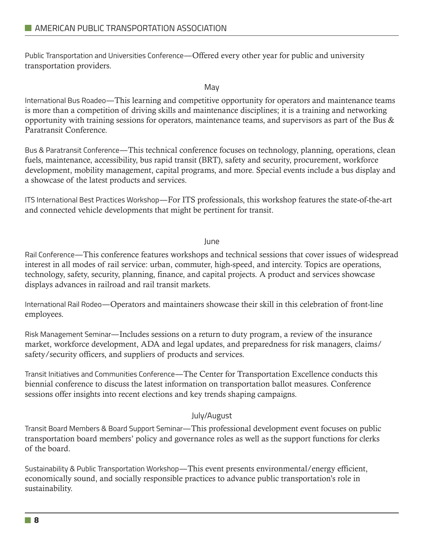Public Transportation and Universities Conference—Offered every other year for public and university transportation providers.

May

International Bus Roadeo—This learning and competitive opportunity for operators and maintenance teams is more than a competition of driving skills and maintenance disciplines; it is a training and networking opportunity with training sessions for operators, maintenance teams, and supervisors as part of the Bus & Paratransit Conference.

Bus & Paratransit Conference—This technical conference focuses on technology, planning, operations, clean fuels, maintenance, accessibility, bus rapid transit (BRT), safety and security, procurement, workforce development, mobility management, capital programs, and more. Special events include a bus display and a showcase of the latest products and services.

ITS International Best Practices Workshop—For ITS professionals, this workshop features the state-of-the-art and connected vehicle developments that might be pertinent for transit.

#### June

Rail Conference—This conference features workshops and technical sessions that cover issues of widespread interest in all modes of rail service: urban, commuter, high-speed, and intercity. Topics are operations, technology, safety, security, planning, finance, and capital projects. A product and services showcase displays advances in railroad and rail transit markets.

International Rail Rodeo—Operators and maintainers showcase their skill in this celebration of front-line employees.

Risk Management Seminar—Includes sessions on a return to duty program, a review of the insurance market, workforce development, ADA and legal updates, and preparedness for risk managers, claims/ safety/security officers, and suppliers of products and services.

Transit Initiatives and Communities Conference—The Center for Transportation Excellence conducts this biennial conference to discuss the latest information on transportation ballot measures. Conference sessions offer insights into recent elections and key trends shaping campaigns.

#### July/August

Transit Board Members & Board Support Seminar—This professional development event focuses on public transportation board members' policy and governance roles as well as the support functions for clerks of the board.

Sustainability & Public Transportation Workshop—This event presents environmental/energy efficient, economically sound, and socially responsible practices to advance public transportation's role in sustainability.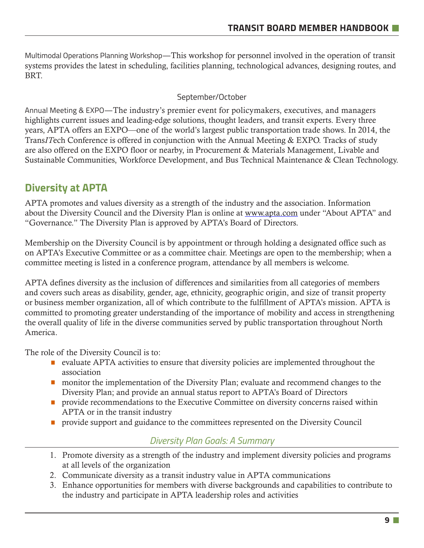Multimodal Operations Planning Workshop—This workshop for personnel involved in the operation of transit systems provides the latest in scheduling, facilities planning, technological advances, designing routes, and BRT.

#### September/October

Annual Meeting & EXPO—The industry's premier event for policymakers, executives, and managers highlights current issues and leading-edge solutions, thought leaders, and transit experts. Every three years, APTA offers an EXPO—one of the world's largest public transportation trade shows. In 2014, the Trans*IT*ech Conference is offered in conjunction with the Annual Meeting & EXPO. Tracks of study are also offered on the EXPO floor or nearby, in Procurement & Materials Management, Livable and Sustainable Communities, Workforce Development, and Bus Technical Maintenance & Clean Technology.

### **Diversity at APTA**

APTA promotes and values diversity as a strength of the industry and the association. Information about the Diversity Council and the Diversity Plan is online at www.apta.com under "About APTA" and "Governance." The Diversity Plan is approved by APTA's Board of Directors.

Membership on the Diversity Council is by appointment or through holding a designated office such as on APTA's Executive Committee or as a committee chair. Meetings are open to the membership; when a committee meeting is listed in a conference program, attendance by all members is welcome.

APTA defines diversity as the inclusion of differences and similarities from all categories of members and covers such areas as disability, gender, age, ethnicity, geographic origin, and size of transit property or business member organization, all of which contribute to the fulfillment of APTA's mission. APTA is committed to promoting greater understanding of the importance of mobility and access in strengthening the overall quality of life in the diverse communities served by public transportation throughout North America.

The role of the Diversity Council is to:

- evaluate APTA activities to ensure that diversity policies are implemented throughout the association
- monitor the implementation of the Diversity Plan; evaluate and recommend changes to the Diversity Plan; and provide an annual status report to APTA's Board of Directors
- **•** provide recommendations to the Executive Committee on diversity concerns raised within APTA or in the transit industry
- **provide support and guidance to the committees represented on the Diversity Council**

### *Diversity Plan Goals: A Summary*

- 1. Promote diversity as a strength of the industry and implement diversity policies and programs at all levels of the organization
- 2. Communicate diversity as a transit industry value in APTA communications
- 3. Enhance opportunities for members with diverse backgrounds and capabilities to contribute to the industry and participate in APTA leadership roles and activities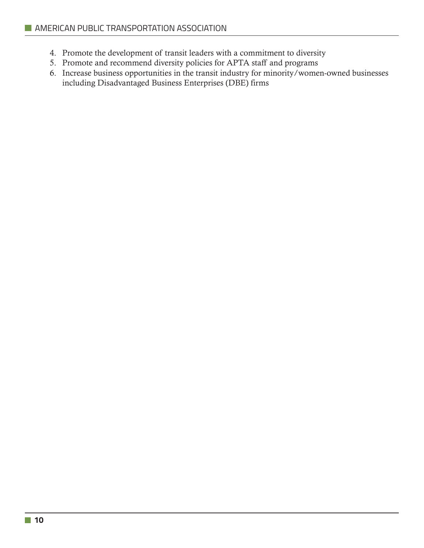- 4. Promote the development of transit leaders with a commitment to diversity
- 5. Promote and recommend diversity policies for APTA staff and programs
- 6. Increase business opportunities in the transit industry for minority/women-owned businesses including Disadvantaged Business Enterprises (DBE) firms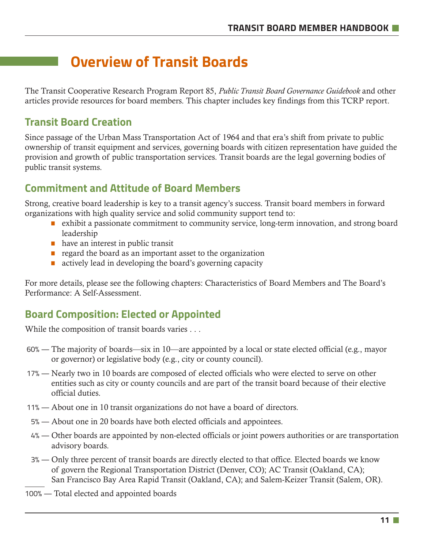# **Overview of Transit Boards**

The Transit Cooperative Research Program Report 85, *Public Transit Board Governance Guidebook* and other articles provide resources for board members. This chapter includes key findings from this TCRP report.

### **Transit Board Creation**

Since passage of the Urban Mass Transportation Act of 1964 and that era's shift from private to public ownership of transit equipment and services, governing boards with citizen representation have guided the provision and growth of public transportation services. Transit boards are the legal governing bodies of public transit systems.

### **Commitment and Attitude of Board Members**

Strong, creative board leadership is key to a transit agency's success. Transit board members in forward organizations with high quality service and solid community support tend to:

- exhibit a passionate commitment to community service, long-term innovation, and strong board leadership
- $\blacksquare$  have an interest in public transit
- $\blacksquare$  regard the board as an important asset to the organization
- $\blacksquare$  actively lead in developing the board's governing capacity

For more details, please see the following chapters: Characteristics of Board Members and The Board's Performance: A Self-Assessment.

### **Board Composition: Elected or Appointed**

While the composition of transit boards varies . . .

- 60% The majority of boards—six in 10—are appointed by a local or state elected official (e.g., mayor or governor) or legislative body (e.g., city or county council).
- 17% Nearly two in 10 boards are composed of elected officials who were elected to serve on other entities such as city or county councils and are part of the transit board because of their elective official duties.
- 11% About one in 10 transit organizations do not have a board of directors.
- 5% About one in 20 boards have both elected officials and appointees.
- 4% Other boards are appointed by non-elected officials or joint powers authorities or are transportation advisory boards.
- 3% Only three percent of transit boards are directly elected to that office. Elected boards we know of govern the Regional Transportation District (Denver, CO); AC Transit (Oakland, CA); San Francisco Bay Area Rapid Transit (Oakland, CA); and Salem-Keizer Transit (Salem, OR).

100% — Total elected and appointed boards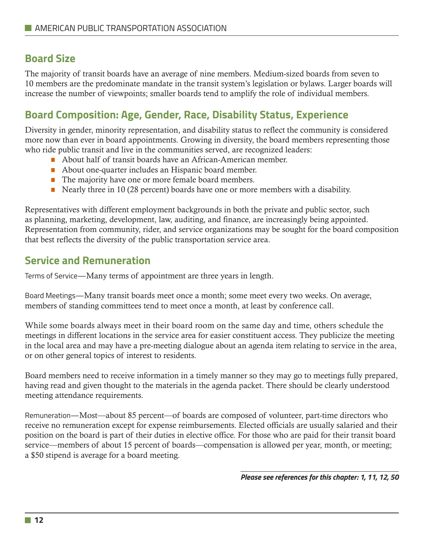### **Board Size**

The majority of transit boards have an average of nine members. Medium-sized boards from seven to 10 members are the predominate mandate in the transit system's legislation or bylaws. Larger boards will increase the number of viewpoints; smaller boards tend to amplify the role of individual members.

### **Board Composition: Age, Gender, Race, Disability Status, Experience**

Diversity in gender, minority representation, and disability status to reflect the community is considered more now than ever in board appointments. Growing in diversity, the board members representing those who ride public transit and live in the communities served, are recognized leaders:

- About half of transit boards have an African-American member.
- About one-quarter includes an Hispanic board member.
- **The majority have one or more female board members.**
- Nearly three in 10 (28 percent) boards have one or more members with a disability.

Representatives with different employment backgrounds in both the private and public sector, such as planning, marketing, development, law, auditing, and finance, are increasingly being appointed. Representation from community, rider, and service organizations may be sought for the board composition that best reflects the diversity of the public transportation service area.

#### **Service and Remuneration**

Terms of Service—Many terms of appointment are three years in length.

Board Meetings—Many transit boards meet once a month; some meet every two weeks. On average, members of standing committees tend to meet once a month, at least by conference call.

While some boards always meet in their board room on the same day and time, others schedule the meetings in different locations in the service area for easier constituent access. They publicize the meeting in the local area and may have a pre-meeting dialogue about an agenda item relating to service in the area, or on other general topics of interest to residents.

Board members need to receive information in a timely manner so they may go to meetings fully prepared, having read and given thought to the materials in the agenda packet. There should be clearly understood meeting attendance requirements.

Remuneration—Most—about 85 percent—of boards are composed of volunteer, part-time directors who receive no remuneration except for expense reimbursements. Elected officials are usually salaried and their position on the board is part of their duties in elective office. For those who are paid for their transit board service—members of about 15 percent of boards—compensation is allowed per year, month, or meeting; a \$50 stipend is average for a board meeting.

*Please see references for this chapter: 1, 11, 12, 50*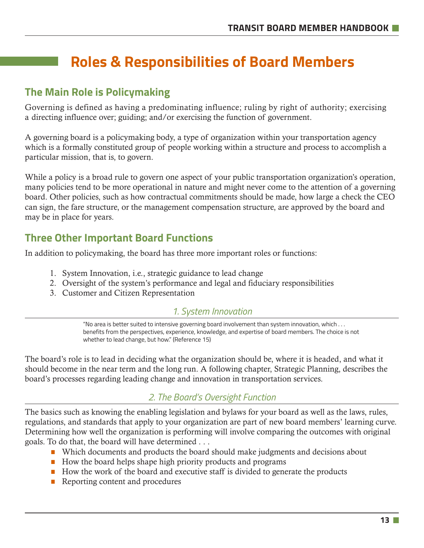# **Roles & Responsibilities of Board Members**

### **The Main Role is Policymaking**

Governing is defined as having a predominating influence; ruling by right of authority; exercising a directing influence over; guiding; and/or exercising the function of government.

A governing board is a policymaking body, a type of organization within your transportation agency which is a formally constituted group of people working within a structure and process to accomplish a particular mission, that is, to govern.

While a policy is a broad rule to govern one aspect of your public transportation organization's operation, many policies tend to be more operational in nature and might never come to the attention of a governing board. Other policies, such as how contractual commitments should be made, how large a check the CEO can sign, the fare structure, or the management compensation structure, are approved by the board and may be in place for years.

### **Three Other Important Board Functions**

In addition to policymaking, the board has three more important roles or functions:

- 1. System Innovation, i.e., strategic guidance to lead change
- 2. Oversight of the system's performance and legal and fiduciary responsibilities
- 3. Customer and Citizen Representation

#### *1. System Innovation*

"No area is better suited to intensive governing board involvement than system innovation, which . . . benefits from the perspectives, experience, knowledge, and expertise of board members. The choice is not whether to lead change, but how." (Reference 15)

The board's role is to lead in deciding what the organization should be, where it is headed, and what it should become in the near term and the long run. A following chapter, Strategic Planning, describes the board's processes regarding leading change and innovation in transportation services.

#### *2. The Board's Oversight Function*

The basics such as knowing the enabling legislation and bylaws for your board as well as the laws, rules, regulations, and standards that apply to your organization are part of new board members' learning curve. Determining how well the organization is performing will involve comparing the outcomes with original goals. To do that, the board will have determined . . .

- Which documents and products the board should make judgments and decisions about
- **How the board helps shape high priority products and programs**
- $\blacksquare$  How the work of the board and executive staff is divided to generate the products
- Reporting content and procedures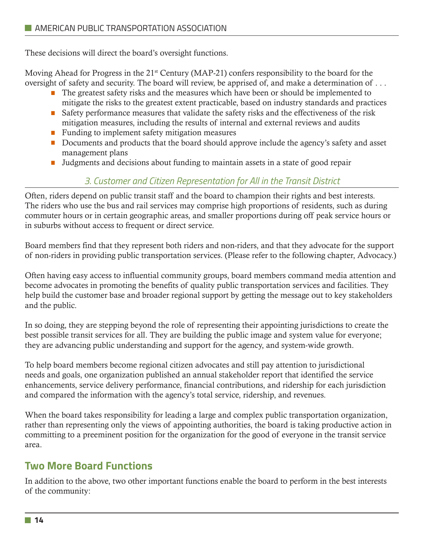These decisions will direct the board's oversight functions.

Moving Ahead for Progress in the 21<sup>st</sup> Century (MAP-21) confers responsibility to the board for the oversight of safety and security. The board will review, be apprised of, and make a determination of . . .

- The greatest safety risks and the measures which have been or should be implemented to mitigate the risks to the greatest extent practicable, based on industry standards and practices
- Safety performance measures that validate the safety risks and the effectiveness of the risk mitigation measures, including the results of internal and external reviews and audits
- **•** Funding to implement safety mitigation measures
- Documents and products that the board should approve include the agency's safety and asset management plans
- **•** Judgments and decisions about funding to maintain assets in a state of good repair

#### *3. Customer and Citizen Representation for All in the Transit District*

Often, riders depend on public transit staff and the board to champion their rights and best interests. The riders who use the bus and rail services may comprise high proportions of residents, such as during commuter hours or in certain geographic areas, and smaller proportions during off peak service hours or in suburbs without access to frequent or direct service.

Board members find that they represent both riders and non-riders, and that they advocate for the support of non-riders in providing public transportation services. (Please refer to the following chapter, Advocacy.)

Often having easy access to influential community groups, board members command media attention and become advocates in promoting the benefits of quality public transportation services and facilities. They help build the customer base and broader regional support by getting the message out to key stakeholders and the public.

In so doing, they are stepping beyond the role of representing their appointing jurisdictions to create the best possible transit services for all. They are building the public image and system value for everyone; they are advancing public understanding and support for the agency, and system-wide growth.

To help board members become regional citizen advocates and still pay attention to jurisdictional needs and goals, one organization published an annual stakeholder report that identified the service enhancements, service delivery performance, financial contributions, and ridership for each jurisdiction and compared the information with the agency's total service, ridership, and revenues.

When the board takes responsibility for leading a large and complex public transportation organization, rather than representing only the views of appointing authorities, the board is taking productive action in committing to a preeminent position for the organization for the good of everyone in the transit service area.

### **Two More Board Functions**

In addition to the above, two other important functions enable the board to perform in the best interests of the community: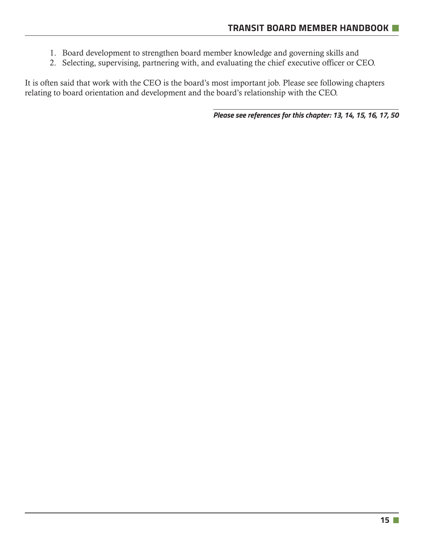- 1. Board development to strengthen board member knowledge and governing skills and
- 2. Selecting, supervising, partnering with, and evaluating the chief executive officer or CEO.

It is often said that work with the CEO is the board's most important job. Please see following chapters relating to board orientation and development and the board's relationship with the CEO.

*Please see references for this chapter: 13, 14, 15, 16, 17, 50*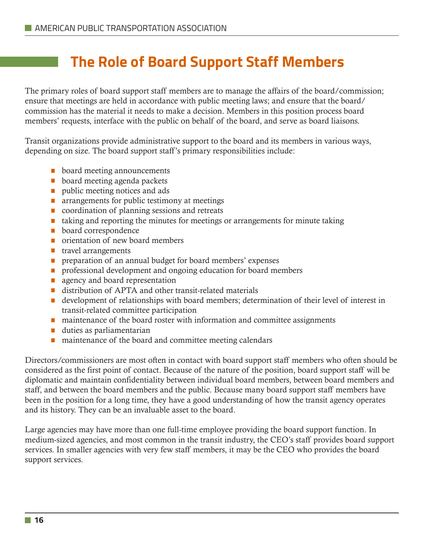# **The Role of Board Support Staff Members**

The primary roles of board support staff members are to manage the affairs of the board/commission; ensure that meetings are held in accordance with public meeting laws; and ensure that the board/ commission has the material it needs to make a decision. Members in this position process board members' requests, interface with the public on behalf of the board, and serve as board liaisons.

Transit organizations provide administrative support to the board and its members in various ways, depending on size. The board support staff's primary responsibilities include:

- board meeting announcements
- board meeting agenda packets
- **•** public meeting notices and ads
- **•** arrangements for public testimony at meetings
- $\Box$  coordination of planning sessions and retreats
- $\blacksquare$  taking and reporting the minutes for meetings or arrangements for minute taking
- **board correspondence**
- **•** orientation of new board members
- **•** travel arrangements
- **•** preparation of an annual budget for board members' expenses
- **•** professional development and ongoing education for board members
- **•** agency and board representation
- **distribution of APTA and other transit-related materials**
- **•** development of relationships with board members; determination of their level of interest in transit-related committee participation
- maintenance of the board roster with information and committee assignments
- $\blacksquare$  duties as parliamentarian
- **•** maintenance of the board and committee meeting calendars

Directors/commissioners are most often in contact with board support staff members who often should be considered as the first point of contact. Because of the nature of the position, board support staff will be diplomatic and maintain confidentiality between individual board members, between board members and staff, and between the board members and the public. Because many board support staff members have been in the position for a long time, they have a good understanding of how the transit agency operates and its history. They can be an invaluable asset to the board.

Large agencies may have more than one full-time employee providing the board support function. In medium-sized agencies, and most common in the transit industry, the CEO's staff provides board support services. In smaller agencies with very few staff members, it may be the CEO who provides the board support services.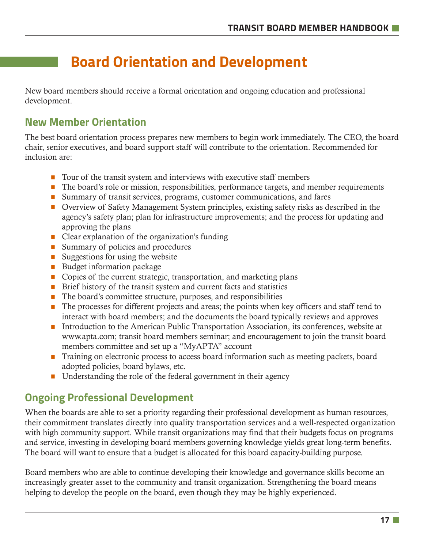# **Board Orientation and Development**

New board members should receive a formal orientation and ongoing education and professional development.

### **New Member Orientation**

The best board orientation process prepares new members to begin work immediately. The CEO, the board chair, senior executives, and board support staff will contribute to the orientation. Recommended for inclusion are:

- $\blacksquare$  Tour of the transit system and interviews with executive staff members
- The board's role or mission, responsibilities, performance targets, and member requirements
- Summary of transit services, programs, customer communications, and fares
- Overview of Safety Management System principles, existing safety risks as described in the agency's safety plan; plan for infrastructure improvements; and the process for updating and approving the plans
- $\blacksquare$  Clear explanation of the organization's funding
- **Summary of policies and procedures**
- $\blacksquare$  Suggestions for using the website
- Budget information package
- Copies of the current strategic, transportation, and marketing plans
- $\blacksquare$  Brief history of the transit system and current facts and statistics
- **•** The board's committee structure, purposes, and responsibilities
- The processes for different projects and areas; the points when key officers and staff tend to interact with board members; and the documents the board typically reviews and approves
- **Introduction to the American Public Transportation Association, its conferences, website at** www.apta.com; transit board members seminar; and encouragement to join the transit board members committee and set up a "MyAPTA" account
- **•** Training on electronic process to access board information such as meeting packets, board adopted policies, board bylaws, etc.
- **Understanding the role of the federal government in their agency**

### **Ongoing Professional Development**

When the boards are able to set a priority regarding their professional development as human resources, their commitment translates directly into quality transportation services and a well-respected organization with high community support. While transit organizations may find that their budgets focus on programs and service, investing in developing board members governing knowledge yields great long-term benefits. The board will want to ensure that a budget is allocated for this board capacity-building purpose.

Board members who are able to continue developing their knowledge and governance skills become an increasingly greater asset to the community and transit organization. Strengthening the board means helping to develop the people on the board, even though they may be highly experienced.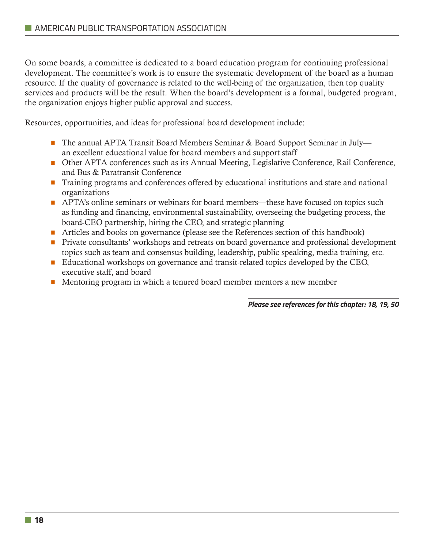On some boards, a committee is dedicated to a board education program for continuing professional development. The committee's work is to ensure the systematic development of the board as a human resource. If the quality of governance is related to the well-being of the organization, then top quality services and products will be the result. When the board's development is a formal, budgeted program, the organization enjoys higher public approval and success.

Resources, opportunities, and ideas for professional board development include:

- The annual APTA Transit Board Members Seminar & Board Support Seminar in July an excellent educational value for board members and support staff
- **Other APTA conferences such as its Annual Meeting, Legislative Conference, Rail Conference,** and Bus & Paratransit Conference
- **•** Training programs and conferences offered by educational institutions and state and national organizations
- **APTA's online seminars or webinars for board members—these have focused on topics such** as funding and financing, environmental sustainability, overseeing the budgeting process, the board-CEO partnership, hiring the CEO, and strategic planning
- Articles and books on governance (please see the References section of this handbook)
- Private consultants' workshops and retreats on board governance and professional development topics such as team and consensus building, leadership, public speaking, media training, etc.
- **Educational workshops on governance and transit-related topics developed by the CEO,** executive staff, and board
- Mentoring program in which a tenured board member mentors a new member

*Please see references for this chapter: 18, 19, 50*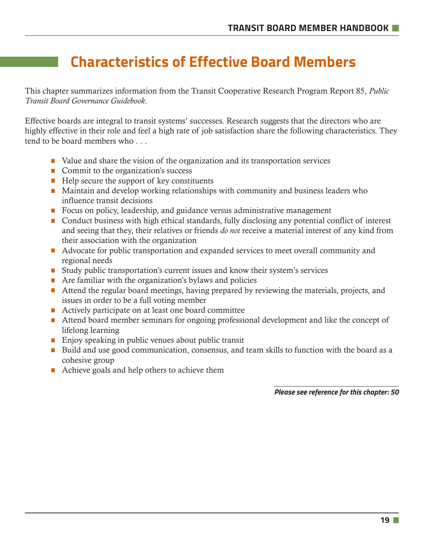# **Characteristics of Effective Board Members**

This chapter summarizes information from the Transit Cooperative Research Program Report 85, *Public Transit Board Governance Guidebook*.

Effective boards are integral to transit systems' successes. Research suggests that the directors who are highly effective in their role and feel a high rate of job satisfaction share the following characteristics. They tend to be board members who . . .

- Value and share the vision of the organization and its transportation services
- Commit to the organization's success
- $\blacksquare$  Help secure the support of key constituents
- Maintain and develop working relationships with community and business leaders who influence transit decisions
- Focus on policy, leadership, and guidance versus administrative management
- Conduct business with high ethical standards, fully disclosing any potential conflict of interest and seeing that they, their relatives or friends *do not* receive a material interest of any kind from their association with the organization
- Advocate for public transportation and expanded services to meet overall community and regional needs
- Study public transportation's current issues and know their system's services
- $\blacksquare$  Are familiar with the organization's bylaws and policies
- Attend the regular board meetings, having prepared by reviewing the materials, projects, and issues in order to be a full voting member
- **Actively participate on at least one board committee**
- Attend board member seminars for ongoing professional development and like the concept of lifelong learning
- Enjoy speaking in public venues about public transit
- Build and use good communication, consensus, and team skills to function with the board as a cohesive group
- Achieve goals and help others to achieve them

*Please see reference for this chapter: 50*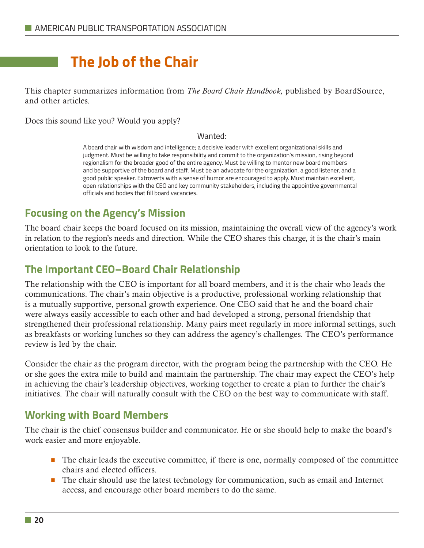# **The Job of the Chair**

This chapter summarizes information from *The Board Chair Handbook,* published by BoardSource, and other articles.

Does this sound like you? Would you apply?

#### Wanted:

A board chair with wisdom and intelligence; a decisive leader with excellent organizational skills and judgment. Must be willing to take responsibility and commit to the organization's mission, rising beyond regionalism for the broader good of the entire agency. Must be willing to mentor new board members and be supportive of the board and staff. Must be an advocate for the organization, a good listener, and a good public speaker. Extroverts with a sense of humor are encouraged to apply. Must maintain excellent, open relationships with the CEO and key community stakeholders, including the appointive governmental officials and bodies that fill board vacancies.

### **Focusing on the Agency's Mission**

The board chair keeps the board focused on its mission, maintaining the overall view of the agency's work in relation to the region's needs and direction. While the CEO shares this charge, it is the chair's main orientation to look to the future.

#### **The Important CEO–Board Chair Relationship**

The relationship with the CEO is important for all board members, and it is the chair who leads the communications. The chair's main objective is a productive, professional working relationship that is a mutually supportive, personal growth experience. One CEO said that he and the board chair were always easily accessible to each other and had developed a strong, personal friendship that strengthened their professional relationship. Many pairs meet regularly in more informal settings, such as breakfasts or working lunches so they can address the agency's challenges. The CEO's performance review is led by the chair.

Consider the chair as the program director, with the program being the partnership with the CEO. He or she goes the extra mile to build and maintain the partnership. The chair may expect the CEO's help in achieving the chair's leadership objectives, working together to create a plan to further the chair's initiatives. The chair will naturally consult with the CEO on the best way to communicate with staff.

#### **Working with Board Members**

The chair is the chief consensus builder and communicator. He or she should help to make the board's work easier and more enjoyable.

- $\blacksquare$  The chair leads the executive committee, if there is one, normally composed of the committee chairs and elected officers.
- The chair should use the latest technology for communication, such as email and Internet access, and encourage other board members to do the same.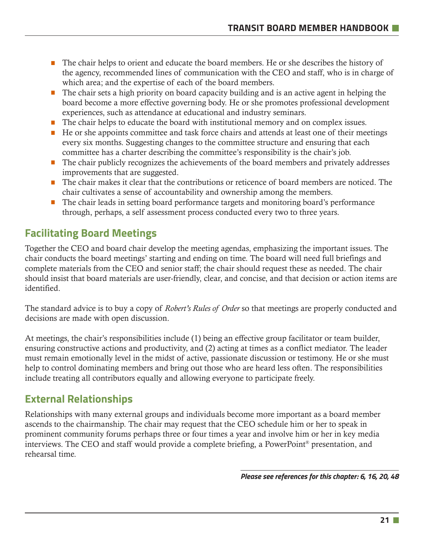- The chair helps to orient and educate the board members. He or she describes the history of the agency, recommended lines of communication with the CEO and staff, who is in charge of which area; and the expertise of each of the board members.
- $\blacksquare$  The chair sets a high priority on board capacity building and is an active agent in helping the board become a more effective governing body. He or she promotes professional development experiences, such as attendance at educational and industry seminars.
- The chair helps to educate the board with institutional memory and on complex issues.
- He or she appoints committee and task force chairs and attends at least one of their meetings every six months. Suggesting changes to the committee structure and ensuring that each committee has a charter describing the committee's responsibility is the chair's job.
- The chair publicly recognizes the achievements of the board members and privately addresses improvements that are suggested.
- The chair makes it clear that the contributions or reticence of board members are noticed. The chair cultivates a sense of accountability and ownership among the members.
- The chair leads in setting board performance targets and monitoring board's performance through, perhaps, a self assessment process conducted every two to three years.

### **Facilitating Board Meetings**

Together the CEO and board chair develop the meeting agendas, emphasizing the important issues. The chair conducts the board meetings' starting and ending on time. The board will need full briefings and complete materials from the CEO and senior staff; the chair should request these as needed. The chair should insist that board materials are user-friendly, clear, and concise, and that decision or action items are identified.

The standard advice is to buy a copy of *Robert's Rules of Order* so that meetings are properly conducted and decisions are made with open discussion.

At meetings, the chair's responsibilities include (1) being an effective group facilitator or team builder, ensuring constructive actions and productivity, and (2) acting at times as a conflict mediator. The leader must remain emotionally level in the midst of active, passionate discussion or testimony. He or she must help to control dominating members and bring out those who are heard less often. The responsibilities include treating all contributors equally and allowing everyone to participate freely.

### **External Relationships**

Relationships with many external groups and individuals become more important as a board member ascends to the chairmanship. The chair may request that the CEO schedule him or her to speak in prominent community forums perhaps three or four times a year and involve him or her in key media interviews. The CEO and staff would provide a complete briefing, a PowerPoint® presentation, and rehearsal time.

*Please see references for this chapter: 6, 16, 20, 48*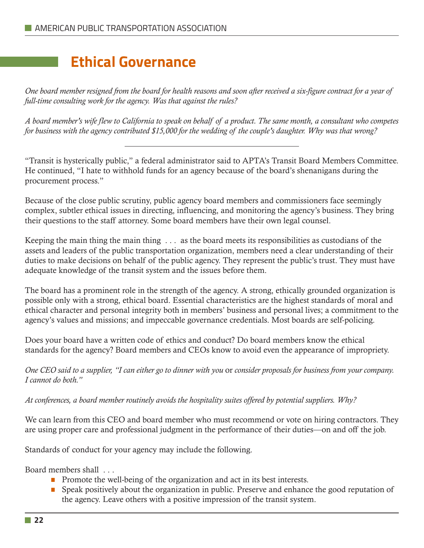# **Ethical Governance**

*One board member resigned from the board for health reasons and soon after received a six-figure contract for a year of full-time consulting work for the agency. Was that against the rules?*

*A board member's wife flew to California to speak on behalf of a product. The same month, a consultant who competes for business with the agency contributed \$15,000 for the wedding of the couple's daughter. Why was that wrong?*

"Transit is hysterically public," a federal administrator said to APTA's Transit Board Members Committee. He continued, "I hate to withhold funds for an agency because of the board's shenanigans during the procurement process."

Because of the close public scrutiny, public agency board members and commissioners face seemingly complex, subtler ethical issues in directing, influencing, and monitoring the agency's business. They bring their questions to the staff attorney. Some board members have their own legal counsel.

Keeping the main thing the main thing . . . as the board meets its responsibilities as custodians of the assets and leaders of the public transportation organization, members need a clear understanding of their duties to make decisions on behalf of the public agency. They represent the public's trust. They must have adequate knowledge of the transit system and the issues before them.

The board has a prominent role in the strength of the agency. A strong, ethically grounded organization is possible only with a strong, ethical board. Essential characteristics are the highest standards of moral and ethical character and personal integrity both in members' business and personal lives; a commitment to the agency's values and missions; and impeccable governance credentials. Most boards are self-policing.

Does your board have a written code of ethics and conduct? Do board members know the ethical standards for the agency? Board members and CEOs know to avoid even the appearance of impropriety.

*One CEO said to a supplier, "I can either go to dinner with you* or *consider proposals for business from your company. I cannot do both."* 

*At conferences, a board member routinely avoids the hospitality suites offered by potential suppliers. Why?*

We can learn from this CEO and board member who must recommend or vote on hiring contractors. They are using proper care and professional judgment in the performance of their duties—on and off the job.

Standards of conduct for your agency may include the following.

Board members shall

- Promote the well-being of the organization and act in its best interests.
- Speak positively about the organization in public. Preserve and enhance the good reputation of the agency. Leave others with a positive impression of the transit system.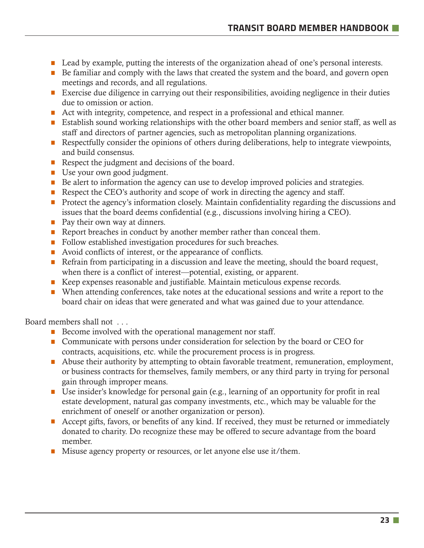- Lead by example, putting the interests of the organization ahead of one's personal interests.
- $\blacksquare$  Be familiar and comply with the laws that created the system and the board, and govern open meetings and records, and all regulations.
- $\blacksquare$  Exercise due diligence in carrying out their responsibilities, avoiding negligence in their duties due to omission or action.
- Act with integrity, competence, and respect in a professional and ethical manner.
- **•** Establish sound working relationships with the other board members and senior staff, as well as staff and directors of partner agencies, such as metropolitan planning organizations.
- Respectfully consider the opinions of others during deliberations, help to integrate viewpoints, and build consensus.
- **Respect the judgment and decisions of the board.**
- **Use your own good judgment.**
- **Be alert to information the agency can use to develop improved policies and strategies.**
- **Respect the CEO's authority and scope of work in directing the agency and staff.**
- Protect the agency's information closely. Maintain confidentiality regarding the discussions and issues that the board deems confidential (e.g., discussions involving hiring a CEO).
- Pay their own way at dinners.
- $\blacksquare$  Report breaches in conduct by another member rather than conceal them.
- Follow established investigation procedures for such breaches.
- Avoid conflicts of interest, or the appearance of conflicts.
- Refrain from participating in a discussion and leave the meeting, should the board request, when there is a conflict of interest—potential, existing, or apparent.
- Keep expenses reasonable and justifiable. Maintain meticulous expense records.
- When attending conferences, take notes at the educational sessions and write a report to the board chair on ideas that were generated and what was gained due to your attendance.

Board members shall not

- $\blacksquare$  Become involved with the operational management nor staff.
- Communicate with persons under consideration for selection by the board or CEO for contracts, acquisitions, etc. while the procurement process is in progress.
- Abuse their authority by attempting to obtain favorable treatment, remuneration, employment, or business contracts for themselves, family members, or any third party in trying for personal gain through improper means.
- Use insider's knowledge for personal gain (e.g., learning of an opportunity for profit in real estate development, natural gas company investments, etc., which may be valuable for the enrichment of oneself or another organization or person).
- Accept gifts, favors, or benefits of any kind. If received, they must be returned or immediately donated to charity. Do recognize these may be offered to secure advantage from the board member.
- Misuse agency property or resources, or let anyone else use it/them.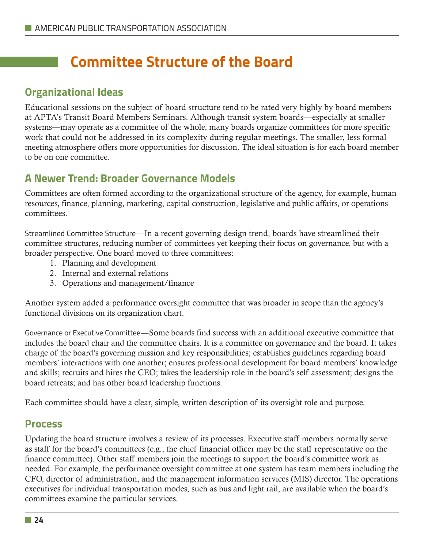# **Committee Structure of the Board**

### **Organizational Ideas**

Educational sessions on the subject of board structure tend to be rated very highly by board members at APTA's Transit Board Members Seminars. Although transit system boards—especially at smaller systems—may operate as a committee of the whole, many boards organize committees for more specific work that could not be addressed in its complexity during regular meetings. The smaller, less formal meeting atmosphere offers more opportunities for discussion. The ideal situation is for each board member to be on one committee.

### **A Newer Trend: Broader Governance Models**

Committees are often formed according to the organizational structure of the agency, for example, human resources, finance, planning, marketing, capital construction, legislative and public affairs, or operations committees.

Streamlined Committee Structure—In a recent governing design trend, boards have streamlined their committee structures, reducing number of committees yet keeping their focus on governance, but with a broader perspective. One board moved to three committees:

- 1. Planning and development
- 2. Internal and external relations
- 3. Operations and management/finance

Another system added a performance oversight committee that was broader in scope than the agency's functional divisions on its organization chart.

Governance or Executive Committee—Some boards find success with an additional executive committee that includes the board chair and the committee chairs. It is a committee on governance and the board. It takes charge of the board's governing mission and key responsibilities; establishes guidelines regarding board members' interactions with one another; ensures professional development for board members' knowledge and skills; recruits and hires the CEO; takes the leadership role in the board's self assessment; designs the board retreats; and has other board leadership functions.

Each committee should have a clear, simple, written description of its oversight role and purpose.

#### **Process**

Updating the board structure involves a review of its processes. Executive staff members normally serve as staff for the board's committees (e.g., the chief financial officer may be the staff representative on the finance committee). Other staff members join the meetings to support the board's committee work as needed. For example, the performance oversight committee at one system has team members including the CFO, director of administration, and the management information services (MIS) director. The operations executives for individual transportation modes, such as bus and light rail, are available when the board's committees examine the particular services.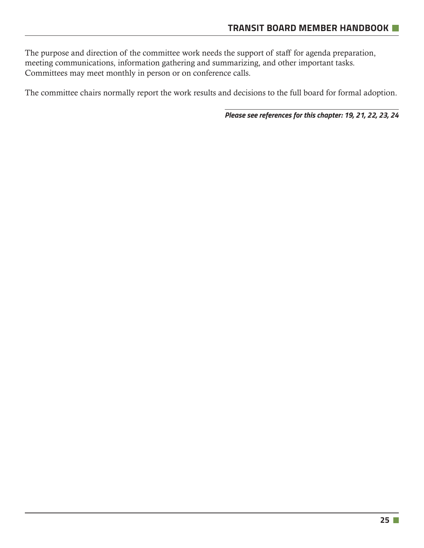The purpose and direction of the committee work needs the support of staff for agenda preparation, meeting communications, information gathering and summarizing, and other important tasks. Committees may meet monthly in person or on conference calls.

The committee chairs normally report the work results and decisions to the full board for formal adoption.

*Please see references for this chapter: 19, 21, 22, 23, 24*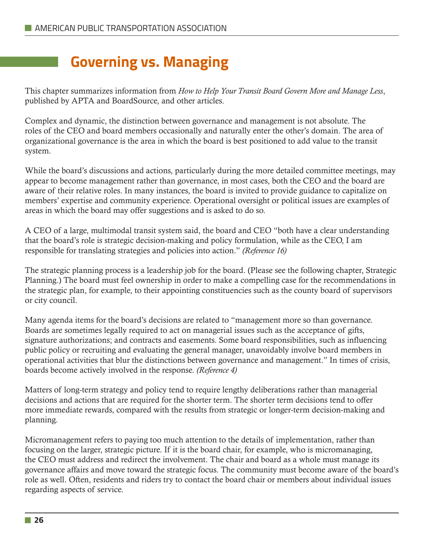# **Governing vs. Managing**

This chapter summarizes information from *How to Help Your Transit Board Govern More and Manage Less*, published by APTA and BoardSource, and other articles.

Complex and dynamic, the distinction between governance and management is not absolute. The roles of the CEO and board members occasionally and naturally enter the other's domain. The area of organizational governance is the area in which the board is best positioned to add value to the transit system.

While the board's discussions and actions, particularly during the more detailed committee meetings, may appear to become management rather than governance, in most cases, both the CEO and the board are aware of their relative roles. In many instances, the board is invited to provide guidance to capitalize on members' expertise and community experience. Operational oversight or political issues are examples of areas in which the board may offer suggestions and is asked to do so.

A CEO of a large, multimodal transit system said, the board and CEO "both have a clear understanding that the board's role is strategic decision-making and policy formulation, while as the CEO, I am responsible for translating strategies and policies into action." *(Reference 16)*

The strategic planning process is a leadership job for the board. (Please see the following chapter, Strategic Planning.) The board must feel ownership in order to make a compelling case for the recommendations in the strategic plan, for example, to their appointing constituencies such as the county board of supervisors or city council.

Many agenda items for the board's decisions are related to "management more so than governance. Boards are sometimes legally required to act on managerial issues such as the acceptance of gifts, signature authorizations; and contracts and easements. Some board responsibilities, such as influencing public policy or recruiting and evaluating the general manager, unavoidably involve board members in operational activities that blur the distinctions between governance and management." In times of crisis, boards become actively involved in the response. *(Reference 4)*

Matters of long-term strategy and policy tend to require lengthy deliberations rather than managerial decisions and actions that are required for the shorter term. The shorter term decisions tend to offer more immediate rewards, compared with the results from strategic or longer-term decision-making and planning.

Micromanagement refers to paying too much attention to the details of implementation, rather than focusing on the larger, strategic picture. If it is the board chair, for example, who is micromanaging, the CEO must address and redirect the involvement. The chair and board as a whole must manage its governance affairs and move toward the strategic focus. The community must become aware of the board's role as well. Often, residents and riders try to contact the board chair or members about individual issues regarding aspects of service.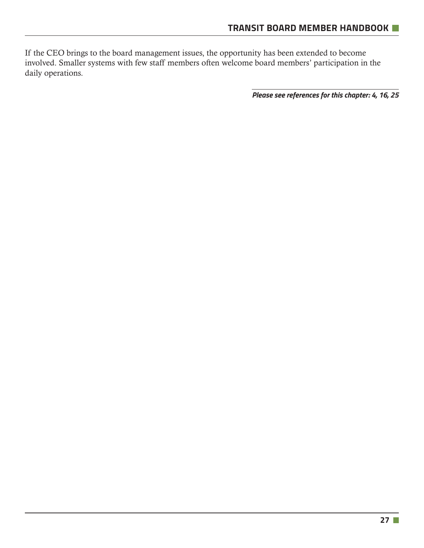If the CEO brings to the board management issues, the opportunity has been extended to become involved. Smaller systems with few staff members often welcome board members' participation in the daily operations.

*Please see references for this chapter: 4, 16, 25*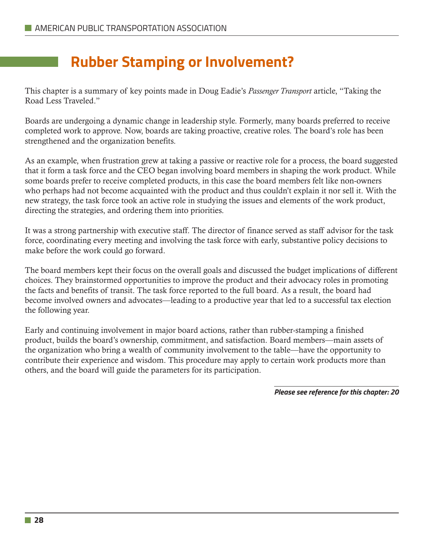# **Rubber Stamping or Involvement?**

This chapter is a summary of key points made in Doug Eadie's *Passenger Transport* article, "Taking the Road Less Traveled."

Boards are undergoing a dynamic change in leadership style. Formerly, many boards preferred to receive completed work to approve. Now, boards are taking proactive, creative roles. The board's role has been strengthened and the organization benefits.

As an example, when frustration grew at taking a passive or reactive role for a process, the board suggested that it form a task force and the CEO began involving board members in shaping the work product. While some boards prefer to receive completed products, in this case the board members felt like non-owners who perhaps had not become acquainted with the product and thus couldn't explain it nor sell it. With the new strategy, the task force took an active role in studying the issues and elements of the work product, directing the strategies, and ordering them into priorities.

It was a strong partnership with executive staff. The director of finance served as staff advisor for the task force, coordinating every meeting and involving the task force with early, substantive policy decisions to make before the work could go forward.

The board members kept their focus on the overall goals and discussed the budget implications of different choices. They brainstormed opportunities to improve the product and their advocacy roles in promoting the facts and benefits of transit. The task force reported to the full board. As a result, the board had become involved owners and advocates—leading to a productive year that led to a successful tax election the following year.

Early and continuing involvement in major board actions, rather than rubber-stamping a finished product, builds the board's ownership, commitment, and satisfaction. Board members—main assets of the organization who bring a wealth of community involvement to the table—have the opportunity to contribute their experience and wisdom. This procedure may apply to certain work products more than others, and the board will guide the parameters for its participation.

*Please see reference for this chapter: 20*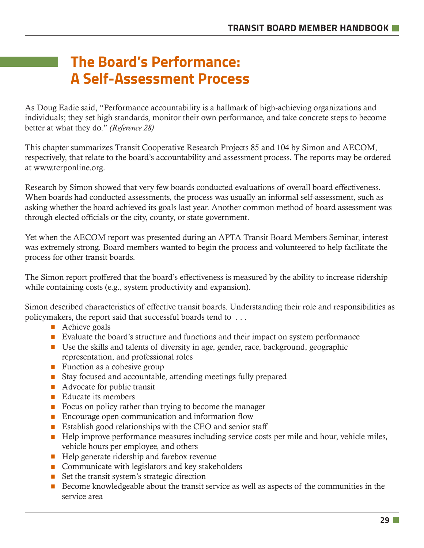# **The Board's Performance: A Self-Assessment Process**

As Doug Eadie said, "Performance accountability is a hallmark of high-achieving organizations and individuals; they set high standards, monitor their own performance, and take concrete steps to become better at what they do." *(Reference 28)*

This chapter summarizes Transit Cooperative Research Projects 85 and 104 by Simon and AECOM, respectively, that relate to the board's accountability and assessment process. The reports may be ordered at www.tcrponline.org.

Research by Simon showed that very few boards conducted evaluations of overall board effectiveness. When boards had conducted assessments, the process was usually an informal self-assessment, such as asking whether the board achieved its goals last year. Another common method of board assessment was through elected officials or the city, county, or state government.

Yet when the AECOM report was presented during an APTA Transit Board Members Seminar, interest was extremely strong. Board members wanted to begin the process and volunteered to help facilitate the process for other transit boards.

The Simon report proffered that the board's effectiveness is measured by the ability to increase ridership while containing costs (e.g., system productivity and expansion).

Simon described characteristics of effective transit boards. Understanding their role and responsibilities as policymakers, the report said that successful boards tend to . . .

- $\blacksquare$  Achieve goals
- Evaluate the board's structure and functions and their impact on system performance
- Use the skills and talents of diversity in age, gender, race, background, geographic representation, and professional roles
- $\blacksquare$  Function as a cohesive group
- **•** Stay focused and accountable, attending meetings fully prepared
- Advocate for public transit
- $\blacksquare$  Educate its members
- $\blacksquare$  Focus on policy rather than trying to become the manager
- **Encourage open communication and information flow**
- Establish good relationships with the CEO and senior staff
- **Help improve performance measures including service costs per mile and hour, vehicle miles,** vehicle hours per employee, and others
- Help generate ridership and farebox revenue
- **Communicate with legislators and key stakeholders**
- $\blacksquare$  Set the transit system's strategic direction
- **•** Become knowledgeable about the transit service as well as aspects of the communities in the service area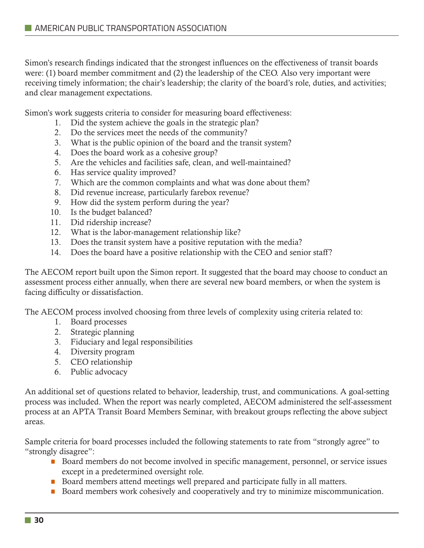Simon's research findings indicated that the strongest influences on the effectiveness of transit boards were: (1) board member commitment and (2) the leadership of the CEO. Also very important were receiving timely information; the chair's leadership; the clarity of the board's role, duties, and activities; and clear management expectations.

Simon's work suggests criteria to consider for measuring board effectiveness:

- 1. Did the system achieve the goals in the strategic plan?
- 2. Do the services meet the needs of the community?
- 3. What is the public opinion of the board and the transit system?
- 4. Does the board work as a cohesive group?
- 5. Are the vehicles and facilities safe, clean, and well-maintained?
- 6. Has service quality improved?
- 7. Which are the common complaints and what was done about them?
- 8. Did revenue increase, particularly farebox revenue?
- 9. How did the system perform during the year?
- 10. Is the budget balanced?
- 11. Did ridership increase?
- 12. What is the labor-management relationship like?
- 13. Does the transit system have a positive reputation with the media?
- 14. Does the board have a positive relationship with the CEO and senior staff?

The AECOM report built upon the Simon report. It suggested that the board may choose to conduct an assessment process either annually, when there are several new board members, or when the system is facing difficulty or dissatisfaction.

The AECOM process involved choosing from three levels of complexity using criteria related to:

- 1. Board processes
- 2. Strategic planning
- 3. Fiduciary and legal responsibilities
- 4. Diversity program
- 5. CEO relationship
- 6. Public advocacy

An additional set of questions related to behavior, leadership, trust, and communications. A goal-setting process was included. When the report was nearly completed, AECOM administered the self-assessment process at an APTA Transit Board Members Seminar, with breakout groups reflecting the above subject areas.

Sample criteria for board processes included the following statements to rate from "strongly agree" to "strongly disagree":

- **•** Board members do not become involved in specific management, personnel, or service issues except in a predetermined oversight role.
- Board members attend meetings well prepared and participate fully in all matters.
- Board members work cohesively and cooperatively and try to minimize miscommunication.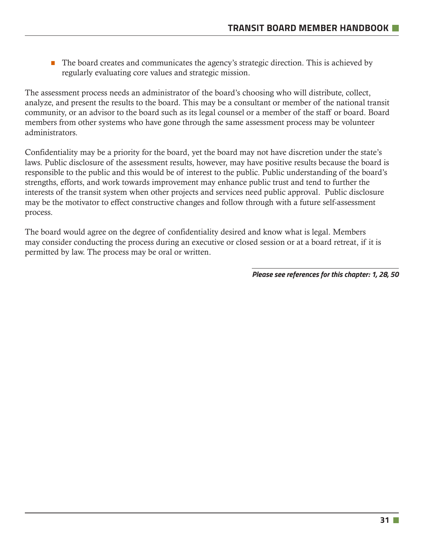• The board creates and communicates the agency's strategic direction. This is achieved by regularly evaluating core values and strategic mission.

The assessment process needs an administrator of the board's choosing who will distribute, collect, analyze, and present the results to the board. This may be a consultant or member of the national transit community, or an advisor to the board such as its legal counsel or a member of the staff or board. Board members from other systems who have gone through the same assessment process may be volunteer administrators.

Confidentiality may be a priority for the board, yet the board may not have discretion under the state's laws. Public disclosure of the assessment results, however, may have positive results because the board is responsible to the public and this would be of interest to the public. Public understanding of the board's strengths, efforts, and work towards improvement may enhance public trust and tend to further the interests of the transit system when other projects and services need public approval. Public disclosure may be the motivator to effect constructive changes and follow through with a future self-assessment process.

The board would agree on the degree of confidentiality desired and know what is legal. Members may consider conducting the process during an executive or closed session or at a board retreat, if it is permitted by law. The process may be oral or written.

*Please see references for this chapter: 1, 28, 50*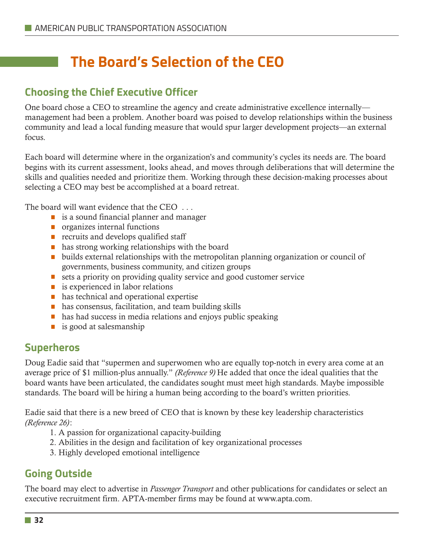# **The Board's Selection of the CEO**

### **Choosing the Chief Executive Officer**

One board chose a CEO to streamline the agency and create administrative excellence internally management had been a problem. Another board was poised to develop relationships within the business community and lead a local funding measure that would spur larger development projects—an external focus.

Each board will determine where in the organization's and community's cycles its needs are. The board begins with its current assessment, looks ahead, and moves through deliberations that will determine the skills and qualities needed and prioritize them. Working through these decision-making processes about selecting a CEO may best be accomplished at a board retreat.

The board will want evidence that the CEO . . .

- **is a sound financial planner and manager**
- **•** organizes internal functions
- $\blacksquare$  recruits and develops qualified staff
- $\blacksquare$  has strong working relationships with the board
- builds external relationships with the metropolitan planning organization or council of governments, business community, and citizen groups
- **•** sets a priority on providing quality service and good customer service
- $\blacksquare$  is experienced in labor relations
- **has technical and operational expertise**
- **has consensus, facilitation, and team building skills**
- has had success in media relations and enjoys public speaking
- $\blacksquare$  is good at salesmanship

#### **Superheros**

Doug Eadie said that "supermen and superwomen who are equally top-notch in every area come at an average price of \$1 million-plus annually." *(Reference 9)* He added that once the ideal qualities that the board wants have been articulated, the candidates sought must meet high standards. Maybe impossible standards. The board will be hiring a human being according to the board's written priorities.

Eadie said that there is a new breed of CEO that is known by these key leadership characteristics *(Reference 26)*:

- 1. A passion for organizational capacity-building
- 2. Abilities in the design and facilitation of key organizational processes
- 3. Highly developed emotional intelligence

### **Going Outside**

The board may elect to advertise in *Passenger Transport* and other publications for candidates or select an executive recruitment firm. APTA-member firms may be found at www.apta.com.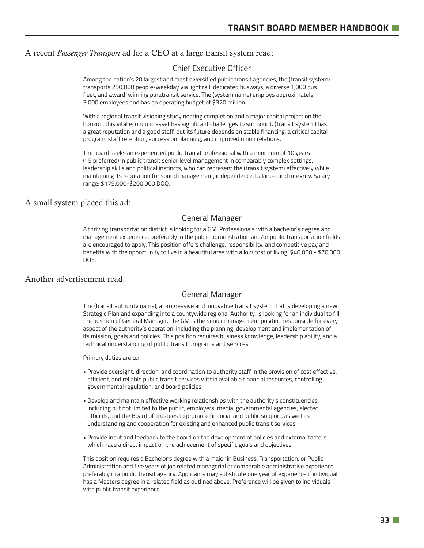#### A recent *Passenger Transport* ad for a CEO at a large transit system read:

#### Chief Executive Officer

Among the nation's 20 largest and most diversified public transit agencies, the (transit system) transports 250,000 people/weekday via light rail, dedicated busways, a diverse 1,000 bus fleet, and award-winning paratransit service. The (system name) employs approximately 3,000 employees and has an operating budget of \$320 million.

With a regional transit visioning study nearing completion and a major capital project on the horizon, this vital economic asset has significant challenges to surmount. (Transit system) has a great reputation and a good staff, but its future depends on stable financing, a critical capital program, staff retention, succession planning, and improved union relations.

The board seeks an experienced public transit professional with a minimum of 10 years (15 preferred) in public transit senior level management in comparably complex settings, leadership skills and political instincts, who can represent the (transit system) effectively while maintaining its reputation for sound management, independence, balance, and integrity. Salary range: \$175,000-\$200,000 DOQ.

#### A small system placed this ad:

#### General Manager

A thriving transportation district is looking for a GM. Professionals with a bachelor's degree and management experience, preferably in the public administration and/or public transportation fields are encouraged to apply. This position offers challenge, responsibility, and competitive pay and benefits with the opportunity to live in a beautiful area with a low cost of living. \$40,000 - \$70,000 DOE.

#### Another advertisement read:

#### General Manager

The (transit authority name), a progressive and innovative transit system that is developing a new Strategic Plan and expanding into a countywide regional Authority, is looking for an individual to fill the position of General Manager. The GM is the senior management position responsible for every aspect of the authority's operation, including the planning, development and implementation of its mission, goals and policies. This position requires business knowledge, leadership ability, and a technical understanding of public transit programs and services.

Primary duties are to:

- Provide oversight, direction, and coordination to authority staff in the provision of cost effective, efficient, and reliable public transit services within available financial resources, controlling governmental regulation, and board policies.
- Develop and maintain effective working relationships with the authority's constituencies, including but not limited to the public, employers, media, governmental agencies, elected officials, and the Board of Trustees to promote financial and public support, as well as understanding and cooperation for existing and enhanced public transit services.
- Provide input and feedback to the board on the development of policies and external factors which have a direct impact on the achievement of specific goals and objectives

This position requires a Bachelor's degree with a major in Business, Transportation, or Public Administration and five years of job related managerial or comparable administrative experience preferably in a public transit agency. Applicants may substitute one year of experience if individual has a Masters degree in a related field as outlined above. Preference will be given to individuals with public transit experience.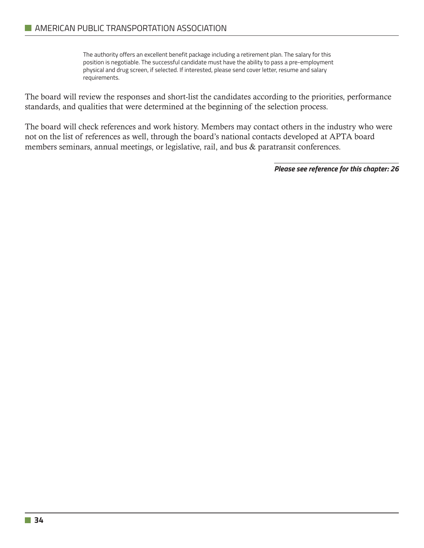The authority offers an excellent benefit package including a retirement plan. The salary for this position is negotiable. The successful candidate must have the ability to pass a pre-employment physical and drug screen, if selected. If interested, please send cover letter, resume and salary requirements.

The board will review the responses and short-list the candidates according to the priorities, performance standards, and qualities that were determined at the beginning of the selection process.

The board will check references and work history. Members may contact others in the industry who were not on the list of references as well, through the board's national contacts developed at APTA board members seminars, annual meetings, or legislative, rail, and bus & paratransit conferences.

*Please see reference for this chapter: 26*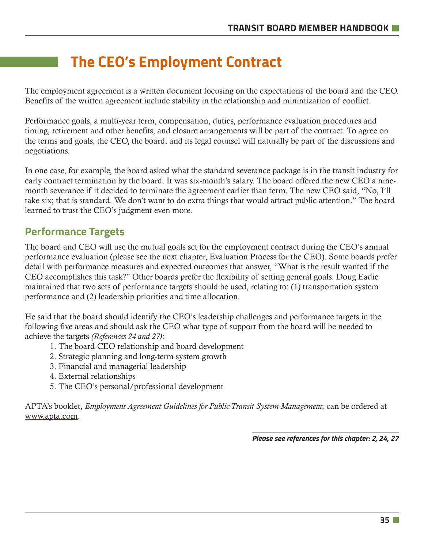# **The CEO's Employment Contract**

The employment agreement is a written document focusing on the expectations of the board and the CEO. Benefits of the written agreement include stability in the relationship and minimization of conflict.

Performance goals, a multi-year term, compensation, duties, performance evaluation procedures and timing, retirement and other benefits, and closure arrangements will be part of the contract. To agree on the terms and goals, the CEO, the board, and its legal counsel will naturally be part of the discussions and negotiations.

In one case, for example, the board asked what the standard severance package is in the transit industry for early contract termination by the board. It was six-month's salary. The board offered the new CEO a ninemonth severance if it decided to terminate the agreement earlier than term. The new CEO said, "No, I'll take six; that is standard. We don't want to do extra things that would attract public attention." The board learned to trust the CEO's judgment even more.

## **Performance Targets**

The board and CEO will use the mutual goals set for the employment contract during the CEO's annual performance evaluation (please see the next chapter, Evaluation Process for the CEO). Some boards prefer detail with performance measures and expected outcomes that answer, "What is the result wanted if the CEO accomplishes this task?" Other boards prefer the flexibility of setting general goals. Doug Eadie maintained that two sets of performance targets should be used, relating to: (1) transportation system performance and (2) leadership priorities and time allocation.

He said that the board should identify the CEO's leadership challenges and performance targets in the following five areas and should ask the CEO what type of support from the board will be needed to achieve the targets *(References 24 and 27)*:

- 1. The board-CEO relationship and board development
- 2. Strategic planning and long-term system growth
- 3. Financial and managerial leadership
- 4. External relationships
- 5. The CEO's personal/professional development

APTA's booklet, *Employment Agreement Guidelines for Public Transit System Management,* can be ordered at www.apta.com.

*Please see references for this chapter: 2, 24, 27*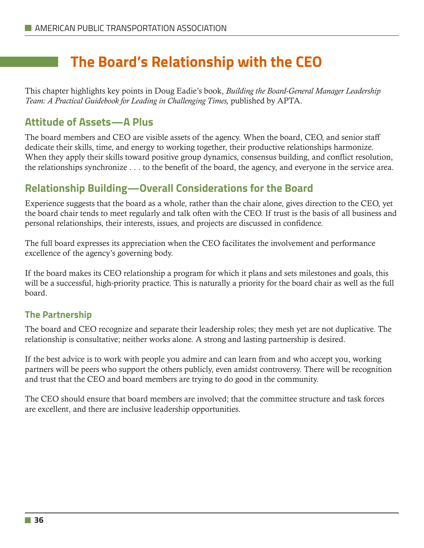# **The Board's Relationship with the CEO**

This chapter highlights key points in Doug Eadie's book, *Building the Board-General Manager Leadership Team: A Practical Guidebook for Leading in Challenging Times, published by APTA.* 

## **Attitude of Assets—A Plus**

The board members and CEO are visible assets of the agency. When the board, CEO, and senior staff dedicate their skills, time, and energy to working together, their productive relationships harmonize. When they apply their skills toward positive group dynamics, consensus building, and conflict resolution, the relationships synchronize . . . to the benefit of the board, the agency, and everyone in the service area.

## **Relationship Building—Overall Considerations for the Board**

Experience suggests that the board as a whole, rather than the chair alone, gives direction to the CEO, yet the board chair tends to meet regularly and talk often with the CEO. If trust is the basis of all business and personal relationships, their interests, issues, and projects are discussed in confidence.

The full board expresses its appreciation when the CEO facilitates the involvement and performance excellence of the agency's governing body.

If the board makes its CEO relationship a program for which it plans and sets milestones and goals, this will be a successful, high-priority practice. This is naturally a priority for the board chair as well as the full board.

### **The Partnership**

The board and CEO recognize and separate their leadership roles; they mesh yet are not duplicative. The relationship is consultative; neither works alone. A strong and lasting partnership is desired.

If the best advice is to work with people you admire and can learn from and who accept you, working partners will be peers who support the others publicly, even amidst controversy. There will be recognition and trust that the CEO and board members are trying to do good in the community.

The CEO should ensure that board members are involved; that the committee structure and task forces are excellent, and there are inclusive leadership opportunities.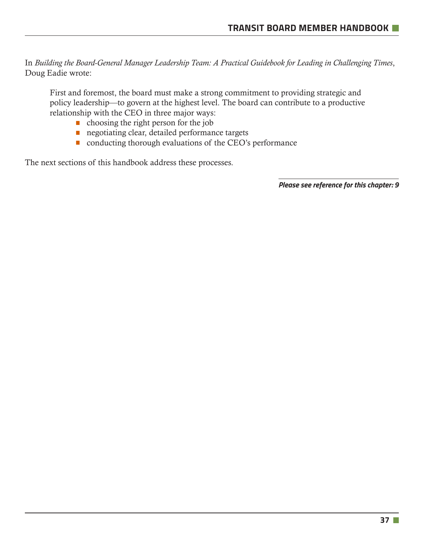In *Building the Board-General Manager Leadership Team: A Practical Guidebook for Leading in Challenging Times*, Doug Eadie wrote:

First and foremost, the board must make a strong commitment to providing strategic and policy leadership—to govern at the highest level. The board can contribute to a productive relationship with the CEO in three major ways:

- $\blacksquare$  choosing the right person for the job
- **•** negotiating clear, detailed performance targets
- conducting thorough evaluations of the CEO's performance

The next sections of this handbook address these processes.

*Please see reference for this chapter: 9*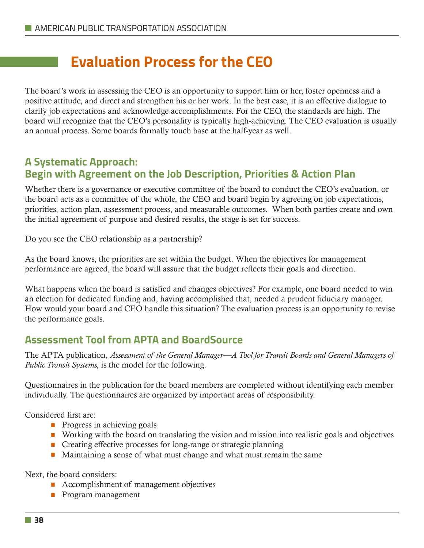# **Evaluation Process for the CEO**

The board's work in assessing the CEO is an opportunity to support him or her, foster openness and a positive attitude, and direct and strengthen his or her work. In the best case, it is an effective dialogue to clarify job expectations and acknowledge accomplishments. For the CEO, the standards are high. The board will recognize that the CEO's personality is typically high-achieving. The CEO evaluation is usually an annual process. Some boards formally touch base at the half-year as well.

## **A Systematic Approach: Begin with Agreement on the Job Description, Priorities & Action Plan**

Whether there is a governance or executive committee of the board to conduct the CEO's evaluation, or the board acts as a committee of the whole, the CEO and board begin by agreeing on job expectations, priorities, action plan, assessment process, and measurable outcomes. When both parties create and own the initial agreement of purpose and desired results, the stage is set for success.

Do you see the CEO relationship as a partnership?

As the board knows, the priorities are set within the budget. When the objectives for management performance are agreed, the board will assure that the budget reflects their goals and direction.

What happens when the board is satisfied and changes objectives? For example, one board needed to win an election for dedicated funding and, having accomplished that, needed a prudent fiduciary manager. How would your board and CEO handle this situation? The evaluation process is an opportunity to revise the performance goals.

## **Assessment Tool from APTA and BoardSource**

The APTA publication, *Assessment of the General Manager—A Tool for Transit Boards and General Managers of Public Transit Systems,* is the model for the following.

Questionnaires in the publication for the board members are completed without identifying each member individually. The questionnaires are organized by important areas of responsibility.

Considered first are:

- **Progress in achieving goals**
- Working with the board on translating the vision and mission into realistic goals and objectives
- **Creating effective processes for long-range or strategic planning**
- Maintaining a sense of what must change and what must remain the same

Next, the board considers:

- **Accomplishment of management objectives**
- **Program management**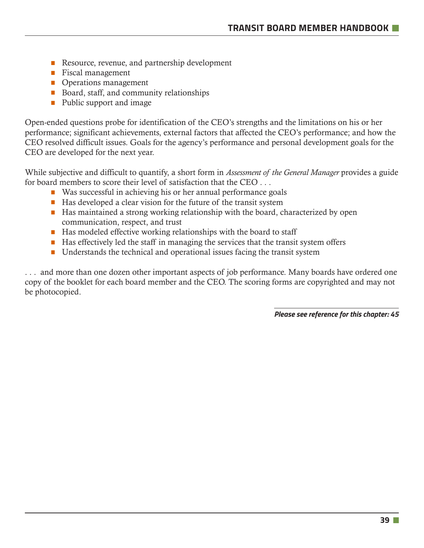- Resource, revenue, and partnership development
- **•** Fiscal management
- **Operations management**
- $\blacksquare$  Board, staff, and community relationships
- Public support and image

Open-ended questions probe for identification of the CEO's strengths and the limitations on his or her performance; significant achievements, external factors that affected the CEO's performance; and how the CEO resolved difficult issues. Goals for the agency's performance and personal development goals for the CEO are developed for the next year.

While subjective and difficult to quantify, a short form in *Assessment of the General Manager* provides a guide for board members to score their level of satisfaction that the CEO . . .

- Was successful in achieving his or her annual performance goals
- $\blacksquare$  Has developed a clear vision for the future of the transit system
- Has maintained a strong working relationship with the board, characterized by open communication, respect, and trust
- $\blacksquare$  Has modeled effective working relationships with the board to staff
- $\blacksquare$  Has effectively led the staff in managing the services that the transit system offers
- **Understands the technical and operational issues facing the transit system**

. . . and more than one dozen other important aspects of job performance. Many boards have ordered one copy of the booklet for each board member and the CEO. The scoring forms are copyrighted and may not be photocopied.

*Please see reference for this chapter: 45*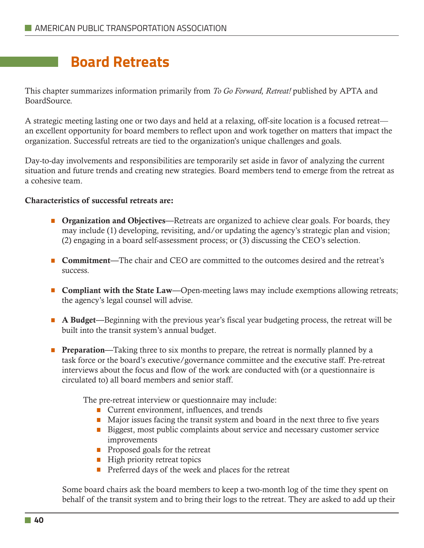# **Board Retreats**

This chapter summarizes information primarily from *To Go Forward, Retreat!* published by APTA and BoardSource.

A strategic meeting lasting one or two days and held at a relaxing, off-site location is a focused retreat an excellent opportunity for board members to reflect upon and work together on matters that impact the organization. Successful retreats are tied to the organization's unique challenges and goals.

Day-to-day involvements and responsibilities are temporarily set aside in favor of analyzing the current situation and future trends and creating new strategies. Board members tend to emerge from the retreat as a cohesive team.

#### Characteristics of successful retreats are:

- **Organization and Objectives—Retreats are organized to achieve clear goals. For boards, they** may include (1) developing, revisiting, and/or updating the agency's strategic plan and vision; (2) engaging in a board self-assessment process; or (3) discussing the CEO's selection.
- **Commitment—The chair and CEO are committed to the outcomes desired and the retreat's** success.
- **Compliant with the State Law—Open-meeting laws may include exemptions allowing retreats;** the agency's legal counsel will advise.
- A Budget—Beginning with the previous year's fiscal year budgeting process, the retreat will be built into the transit system's annual budget.
- **Preparation—Taking three to six months to prepare, the retreat is normally planned by a** task force or the board's executive/governance committee and the executive staff. Pre-retreat interviews about the focus and flow of the work are conducted with (or a questionnaire is circulated to) all board members and senior staff.

The pre-retreat interview or questionnaire may include:

- $\blacksquare$  Current environment, influences, and trends
- Major issues facing the transit system and board in the next three to five years
- **•** Biggest, most public complaints about service and necessary customer service improvements
- **•** Proposed goals for the retreat
- **High priority retreat topics**
- $\blacksquare$  Preferred days of the week and places for the retreat

Some board chairs ask the board members to keep a two-month log of the time they spent on behalf of the transit system and to bring their logs to the retreat. They are asked to add up their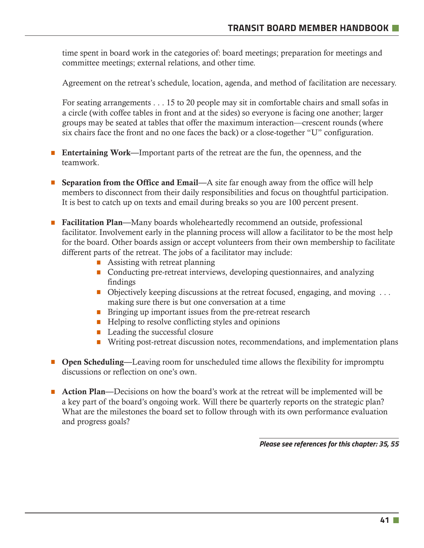time spent in board work in the categories of: board meetings; preparation for meetings and committee meetings; external relations, and other time.

Agreement on the retreat's schedule, location, agenda, and method of facilitation are necessary.

For seating arrangements . . . 15 to 20 people may sit in comfortable chairs and small sofas in a circle (with coffee tables in front and at the sides) so everyone is facing one another; larger groups may be seated at tables that offer the maximum interaction—crescent rounds (where six chairs face the front and no one faces the back) or a close-together "U" configuration.

- **Entertaining Work—Important parts of the retreat are the fun, the openness, and the** teamwork.
- Separation from the Office and Email—A site far enough away from the office will help members to disconnect from their daily responsibilities and focus on thoughtful participation. It is best to catch up on texts and email during breaks so you are 100 percent present.
- **Facilitation Plan—Many boards wholeheartedly recommend an outside, professional** facilitator. Involvement early in the planning process will allow a facilitator to be the most help for the board. Other boards assign or accept volunteers from their own membership to facilitate different parts of the retreat. The jobs of a facilitator may include:
	- Assisting with retreat planning
	- Conducting pre-retreat interviews, developing questionnaires, and analyzing findings
	- Objectively keeping discussions at the retreat focused, engaging, and moving ... making sure there is but one conversation at a time
	- Bringing up important issues from the pre-retreat research
	- $\blacksquare$  Helping to resolve conflicting styles and opinions
	- Leading the successful closure
	- Writing post-retreat discussion notes, recommendations, and implementation plans
- **Open Scheduling—Leaving room for unscheduled time allows the flexibility for impromptu** discussions or reflection on one's own.
- **Action Plan—Decisions on how the board's work at the retreat will be implemented will be** a key part of the board's ongoing work. Will there be quarterly reports on the strategic plan? What are the milestones the board set to follow through with its own performance evaluation and progress goals?

*Please see references for this chapter: 35, 55*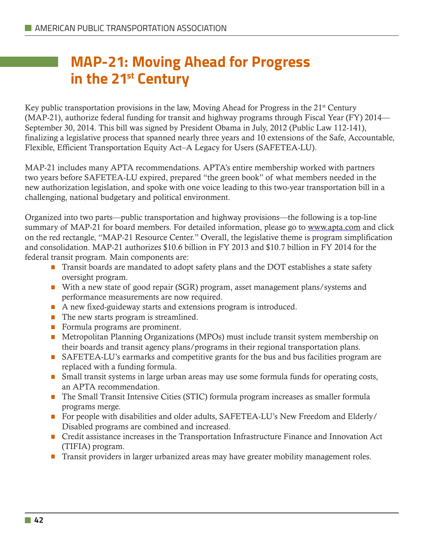# **MAP-21: Moving Ahead for Progress in the 21st Century**

Key public transportation provisions in the law, Moving Ahead for Progress in the  $21<sup>st</sup>$  Century (MAP-21), authorize federal funding for transit and highway programs through Fiscal Year (FY) 2014— September 30, 2014. This bill was signed by President Obama in July, 2012 (Public Law 112-141), finalizing a legislative process that spanned nearly three years and 10 extensions of the Safe, Accountable, Flexible, Efficient Transportation Equity Act–A Legacy for Users (SAFETEA-LU).

MAP-21 includes many APTA recommendations. APTA's entire membership worked with partners two years before SAFETEA-LU expired, prepared "the green book" of what members needed in the new authorization legislation, and spoke with one voice leading to this two-year transportation bill in a challenging, national budgetary and political environment.

Organized into two parts—public transportation and highway provisions—the following is a top-line summary of MAP-21 for board members. For detailed information, please go to www.apta.com and click on the red rectangle, "MAP-21 Resource Center." Overall, the legislative theme is program simplification and consolidation. MAP-21 authorizes \$10.6 billion in FY 2013 and \$10.7 billion in FY 2014 for the federal transit program. Main components are:

- **•** Transit boards are mandated to adopt safety plans and the DOT establishes a state safety oversight program.
- With a new state of good repair (SGR) program, asset management plans/systems and performance measurements are now required.
- A new fixed-guideway starts and extensions program is introduced.
- The new starts program is streamlined.
- **Formula programs are prominent.**
- Metropolitan Planning Organizations (MPOs) must include transit system membership on their boards and transit agency plans/programs in their regional transportation plans.
- SAFETEA-LU's earmarks and competitive grants for the bus and bus facilities program are replaced with a funding formula.
- Small transit systems in large urban areas may use some formula funds for operating costs, an APTA recommendation.
- The Small Transit Intensive Cities (STIC) formula program increases as smaller formula programs merge.
- **For people with disabilities and older adults, SAFETEA-LU's New Freedom and Elderly/** Disabled programs are combined and increased.
- **Credit assistance increases in the Transportation Infrastructure Finance and Innovation Act** (TIFIA) program.
- **•** Transit providers in larger urbanized areas may have greater mobility management roles.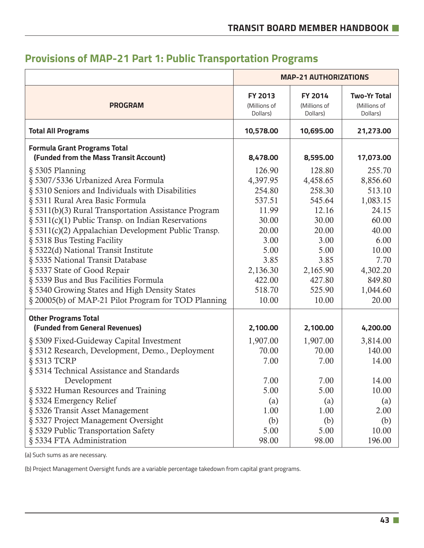|                                                                                                                                                                                                                                                                                                                                                                                                                                                                                                                                                                                                              | <b>MAP-21 AUTHORIZATIONS</b>                                                                                                       |                                                                                                                                    |                                                                                                                                         |
|--------------------------------------------------------------------------------------------------------------------------------------------------------------------------------------------------------------------------------------------------------------------------------------------------------------------------------------------------------------------------------------------------------------------------------------------------------------------------------------------------------------------------------------------------------------------------------------------------------------|------------------------------------------------------------------------------------------------------------------------------------|------------------------------------------------------------------------------------------------------------------------------------|-----------------------------------------------------------------------------------------------------------------------------------------|
| <b>PROGRAM</b>                                                                                                                                                                                                                                                                                                                                                                                                                                                                                                                                                                                               | FY 2013<br>(Millions of<br>Dollars)                                                                                                | <b>FY 2014</b><br>(Millions of<br>Dollars)                                                                                         | <b>Two-Yr Total</b><br>(Millions of<br>Dollars)                                                                                         |
| <b>Total All Programs</b>                                                                                                                                                                                                                                                                                                                                                                                                                                                                                                                                                                                    | 10,578.00                                                                                                                          | 10,695.00                                                                                                                          | 21,273.00                                                                                                                               |
| <b>Formula Grant Programs Total</b><br>(Funded from the Mass Transit Account)                                                                                                                                                                                                                                                                                                                                                                                                                                                                                                                                | 8,478.00                                                                                                                           | 8,595.00                                                                                                                           | 17,073.00                                                                                                                               |
| § 5305 Planning<br>§ 5307/5336 Urbanized Area Formula<br>§ 5310 Seniors and Individuals with Disabilities<br>§ 5311 Rural Area Basic Formula<br>§ 5311(b)(3) Rural Transportation Assistance Program<br>§ 5311(c)(1) Public Transp. on Indian Reservations<br>§ 5311(c)(2) Appalachian Development Public Transp.<br>§ 5318 Bus Testing Facility<br>§ 5322(d) National Transit Institute<br>§ 5335 National Transit Database<br>§ 5337 State of Good Repair<br>§ 5339 Bus and Bus Facilities Formula<br>§ 5340 Growing States and High Density States<br>§ 20005(b) of MAP-21 Pilot Program for TOD Planning | 126.90<br>4,397.95<br>254.80<br>537.51<br>11.99<br>30.00<br>20.00<br>3.00<br>5.00<br>3.85<br>2,136.30<br>422.00<br>518.70<br>10.00 | 128.80<br>4,458.65<br>258.30<br>545.64<br>12.16<br>30.00<br>20.00<br>3.00<br>5.00<br>3.85<br>2,165.90<br>427.80<br>525.90<br>10.00 | 255.70<br>8,856.60<br>513.10<br>1,083.15<br>24.15<br>60.00<br>40.00<br>6.00<br>10.00<br>7.70<br>4,302.20<br>849.80<br>1,044.60<br>20.00 |
| <b>Other Programs Total</b><br>(Funded from General Revenues)                                                                                                                                                                                                                                                                                                                                                                                                                                                                                                                                                | 2,100.00                                                                                                                           | 2,100.00                                                                                                                           | 4,200.00                                                                                                                                |
| § 5309 Fixed-Guideway Capital Investment<br>§ 5312 Research, Development, Demo., Deployment<br>§ 5313 TCRP<br>§ 5314 Technical Assistance and Standards                                                                                                                                                                                                                                                                                                                                                                                                                                                      | 1,907.00<br>70.00<br>7.00                                                                                                          | 1,907.00<br>70.00<br>7.00                                                                                                          | 3,814.00<br>140.00<br>14.00                                                                                                             |
| Development<br>§ 5322 Human Resources and Training<br>§ 5324 Emergency Relief<br>§ 5326 Transit Asset Management<br>§ 5327 Project Management Oversight<br>§ 5329 Public Transportation Safety                                                                                                                                                                                                                                                                                                                                                                                                               | 7.00<br>5.00<br>(a)<br>1.00<br>(b)<br>5.00                                                                                         | 7.00<br>5.00<br>(a)<br>1.00<br>(b)<br>5.00                                                                                         | 14.00<br>10.00<br>(a)<br>2.00<br>(b)<br>10.00                                                                                           |
| § 5334 FTA Administration                                                                                                                                                                                                                                                                                                                                                                                                                                                                                                                                                                                    | 98.00                                                                                                                              | 98.00                                                                                                                              | 196.00                                                                                                                                  |

## **Provisions of MAP-21 Part 1: Public Transportation Programs**

(a) Such sums as are necessary.

(b) Project Management Oversight funds are a variable percentage takedown from capital grant programs.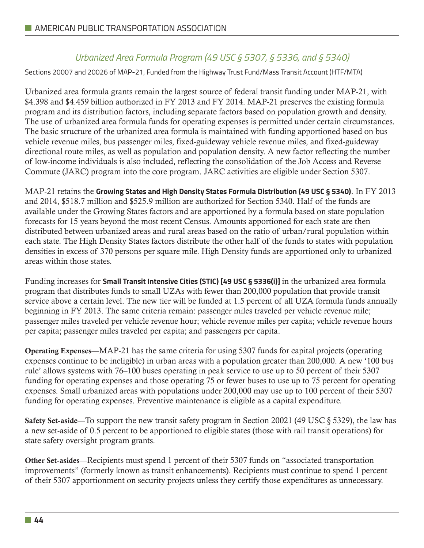## *Urbanized Area Formula Program (49 USC § 5307, § 5336, and § 5340)*

Sections 20007 and 20026 of MAP-21, Funded from the Highway Trust Fund/Mass Transit Account (HTF/MTA)

Urbanized area formula grants remain the largest source of federal transit funding under MAP-21, with \$4.398 and \$4.459 billion authorized in FY 2013 and FY 2014. MAP-21 preserves the existing formula program and its distribution factors, including separate factors based on population growth and density. The use of urbanized area formula funds for operating expenses is permitted under certain circumstances. The basic structure of the urbanized area formula is maintained with funding apportioned based on bus vehicle revenue miles, bus passenger miles, fixed-guideway vehicle revenue miles, and fixed-guideway directional route miles, as well as population and population density. A new factor reflecting the number of low-income individuals is also included, reflecting the consolidation of the Job Access and Reverse Commute (JARC) program into the core program. JARC activities are eligible under Section 5307.

MAP-21 retains the **Growing States and High Density States Formula Distribution (49 USC § 5340)**. In FY 2013 and 2014, \$518.7 million and \$525.9 million are authorized for Section 5340. Half of the funds are available under the Growing States factors and are apportioned by a formula based on state population forecasts for 15 years beyond the most recent Census. Amounts apportioned for each state are then distributed between urbanized areas and rural areas based on the ratio of urban/rural population within each state. The High Density States factors distribute the other half of the funds to states with population densities in excess of 370 persons per square mile. High Density funds are apportioned only to urbanized areas within those states.

Funding increases for **Small Transit Intensive Cities (STIC) [49 USC § 5336(i)]** in the urbanized area formula program that distributes funds to small UZAs with fewer than 200,000 population that provide transit service above a certain level. The new tier will be funded at 1.5 percent of all UZA formula funds annually beginning in FY 2013. The same criteria remain: passenger miles traveled per vehicle revenue mile; passenger miles traveled per vehicle revenue hour; vehicle revenue miles per capita; vehicle revenue hours per capita; passenger miles traveled per capita; and passengers per capita.

Operating Expenses—MAP-21 has the same criteria for using 5307 funds for capital projects (operating expenses continue to be ineligible) in urban areas with a population greater than 200,000. A new '100 bus rule' allows systems with 76–100 buses operating in peak service to use up to 50 percent of their 5307 funding for operating expenses and those operating 75 or fewer buses to use up to 75 percent for operating expenses. Small urbanized areas with populations under 200,000 may use up to 100 percent of their 5307 funding for operating expenses. Preventive maintenance is eligible as a capital expenditure.

Safety Set-aside—To support the new transit safety program in Section 20021 (49 USC § 5329), the law has a new set-aside of 0.5 percent to be apportioned to eligible states (those with rail transit operations) for state safety oversight program grants.

Other Set-asides—Recipients must spend 1 percent of their 5307 funds on "associated transportation improvements" (formerly known as transit enhancements). Recipients must continue to spend 1 percent of their 5307 apportionment on security projects unless they certify those expenditures as unnecessary.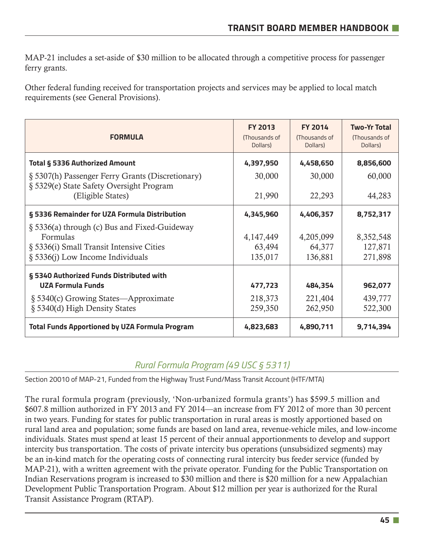MAP-21 includes a set-aside of \$30 million to be allocated through a competitive process for passenger ferry grants.

Other federal funding received for transportation projects and services may be applied to local match requirements (see General Provisions).

| <b>FORMULA</b>                                                                                                                           | <b>FY 2013</b><br>(Thousands of<br>Dollars) | <b>FY 2014</b><br>(Thousands of<br>Dollars) | <b>Two-Yr Total</b><br>(Thousands of<br>Dollars) |
|------------------------------------------------------------------------------------------------------------------------------------------|---------------------------------------------|---------------------------------------------|--------------------------------------------------|
| <b>Total § 5336 Authorized Amount</b>                                                                                                    | 4,397,950                                   | 4,458,650                                   | 8,856,600                                        |
| § 5307(h) Passenger Ferry Grants (Discretionary)<br>§ 5329(e) State Safety Oversight Program                                             | 30,000                                      | 30,000                                      | 60,000                                           |
| (Eligible States)                                                                                                                        | 21,990                                      | 22,293                                      | 44,283                                           |
| § 5336 Remainder for UZA Formula Distribution                                                                                            | 4,345,960                                   | 4,406,357                                   | 8,752,317                                        |
| § 5336(a) through (c) Bus and Fixed-Guideway<br>Formulas<br>§ 5336(i) Small Transit Intensive Cities<br>§ 5336(j) Low Income Individuals | 4,147,449<br>63,494<br>135,017              | 4,205,099<br>64,377<br>136,881              | 8,352,548<br>127,871<br>271,898                  |
| § 5340 Authorized Funds Distributed with<br><b>UZA Formula Funds</b>                                                                     | 477,723                                     | 484,354                                     | 962,077                                          |
| § 5340(c) Growing States—Approximate<br>§ 5340(d) High Density States                                                                    | 218,373<br>259,350                          | 221,404<br>262,950                          | 439,777<br>522,300                               |
| <b>Total Funds Apportioned by UZA Formula Program</b>                                                                                    | 4,823,683                                   | 4,890,711                                   | 9,714,394                                        |

## *Rural Formula Program (49 USC § 5311)*

Section 20010 of MAP-21, Funded from the Highway Trust Fund/Mass Transit Account (HTF/MTA)

The rural formula program (previously, 'Non-urbanized formula grants') has \$599.5 million and \$607.8 million authorized in FY 2013 and FY 2014—an increase from FY 2012 of more than 30 percent in two years. Funding for states for public transportation in rural areas is mostly apportioned based on rural land area and population; some funds are based on land area, revenue-vehicle miles, and low-income individuals. States must spend at least 15 percent of their annual apportionments to develop and support intercity bus transportation. The costs of private intercity bus operations (unsubsidized segments) may be an in-kind match for the operating costs of connecting rural intercity bus feeder service (funded by MAP-21), with a written agreement with the private operator. Funding for the Public Transportation on Indian Reservations program is increased to \$30 million and there is \$20 million for a new Appalachian Development Public Transportation Program. About \$12 million per year is authorized for the Rural Transit Assistance Program (RTAP).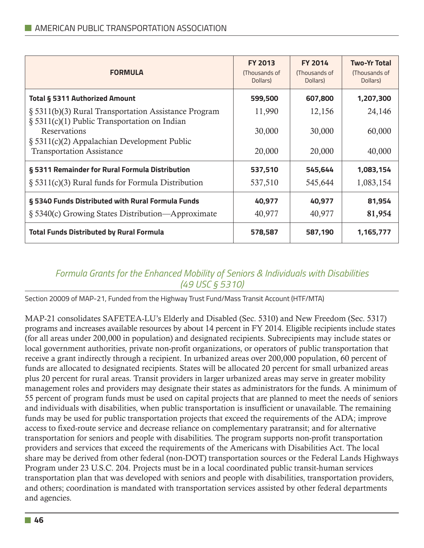| <b>FORMULA</b>                                                                                                                                  | <b>FY 2013</b><br>(Thousands of<br>Dollars) | <b>FY 2014</b><br>(Thousands of<br>Dollars) | <b>Two-Yr Total</b><br>(Thousands of<br>Dollars) |
|-------------------------------------------------------------------------------------------------------------------------------------------------|---------------------------------------------|---------------------------------------------|--------------------------------------------------|
| <b>Total § 5311 Authorized Amount</b>                                                                                                           | 599,500                                     | 607,800                                     | 1,207,300                                        |
| § 5311(b)(3) Rural Transportation Assistance Program                                                                                            | 11,990                                      | 12,156                                      | 24,146                                           |
| § 5311(c)(1) Public Transportation on Indian<br>Reservations<br>§ 5311(c)(2) Appalachian Development Public<br><b>Transportation Assistance</b> | 30,000                                      | 30,000                                      | 60,000                                           |
|                                                                                                                                                 | 20,000                                      | 20,000                                      | 40,000                                           |
| § 5311 Remainder for Rural Formula Distribution                                                                                                 | 537,510                                     | 545,644                                     | 1,083,154                                        |
| $\S$ 5311(c)(3) Rural funds for Formula Distribution                                                                                            | 537,510                                     | 545,644                                     | 1,083,154                                        |
| § 5340 Funds Distributed with Rural Formula Funds                                                                                               | 40,977                                      | 40,977                                      | 81,954                                           |
| § 5340(c) Growing States Distribution—Approximate                                                                                               | 40,977                                      | 40,977                                      | 81,954                                           |
| <b>Total Funds Distributed by Rural Formula</b>                                                                                                 | 578,587                                     | 587,190                                     | 1,165,777                                        |

#### *Formula Grants for the Enhanced Mobility of Seniors & Individuals with Disabilities (49 USC § 5310)*

Section 20009 of MAP-21, Funded from the Highway Trust Fund/Mass Transit Account (HTF/MTA)

MAP-21 consolidates SAFETEA-LU's Elderly and Disabled (Sec. 5310) and New Freedom (Sec. 5317) programs and increases available resources by about 14 percent in FY 2014. Eligible recipients include states (for all areas under 200,000 in population) and designated recipients. Subrecipients may include states or local government authorities, private non-profit organizations, or operators of public transportation that receive a grant indirectly through a recipient. In urbanized areas over 200,000 population, 60 percent of funds are allocated to designated recipients. States will be allocated 20 percent for small urbanized areas plus 20 percent for rural areas. Transit providers in larger urbanized areas may serve in greater mobility management roles and providers may designate their states as administrators for the funds. A minimum of 55 percent of program funds must be used on capital projects that are planned to meet the needs of seniors and individuals with disabilities, when public transportation is insufficient or unavailable. The remaining funds may be used for public transportation projects that exceed the requirements of the ADA; improve access to fixed-route service and decrease reliance on complementary paratransit; and for alternative transportation for seniors and people with disabilities. The program supports non-profit transportation providers and services that exceed the requirements of the Americans with Disabilities Act. The local share may be derived from other federal (non-DOT) transportation sources or the Federal Lands Highways Program under 23 U.S.C. 204. Projects must be in a local coordinated public transit-human services transportation plan that was developed with seniors and people with disabilities, transportation providers, and others; coordination is mandated with transportation services assisted by other federal departments and agencies.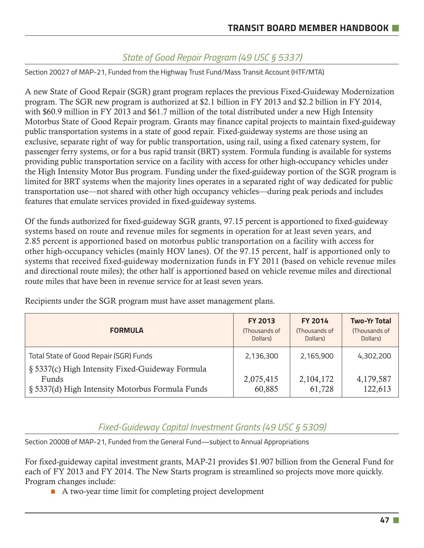## *State of Good Repair Program (49 USC § 5337)*

Section 20027 of MAP-21, Funded from the Highway Trust Fund/Mass Transit Account (HTF/MTA)

A new State of Good Repair (SGR) grant program replaces the previous Fixed-Guideway Modernization program. The SGR new program is authorized at \$2.1 billion in FY 2013 and \$2.2 billion in FY 2014, with \$60.9 million in FY 2013 and \$61.7 million of the total distributed under a new High Intensity Motorbus State of Good Repair program. Grants may finance capital projects to maintain fixed-guideway public transportation systems in a state of good repair. Fixed-guideway systems are those using an exclusive, separate right of way for public transportation, using rail, using a fixed catenary system, for passenger ferry systems, or for a bus rapid transit (BRT) system. Formula funding is available for systems providing public transportation service on a facility with access for other high-occupancy vehicles under the High Intensity Motor Bus program. Funding under the fixed-guideway portion of the SGR program is limited for BRT systems when the majority lines operates in a separated right of way dedicated for public transportation use—not shared with other high occupancy vehicles—during peak periods and includes features that emulate services provided in fixed-guideway systems.

Of the funds authorized for fixed-guideway SGR grants, 97.15 percent is apportioned to fixed-guideway systems based on route and revenue miles for segments in operation for at least seven years, and 2.85 percent is apportioned based on motorbus public transportation on a facility with access for other high-occupancy vehicles (mainly HOV lanes). Of the 97.15 percent, half is apportioned only to systems that received fixed-guideway modernization funds in FY 2011 (based on vehicle revenue miles and directional route miles); the other half is apportioned based on vehicle revenue miles and directional route miles that have been in revenue service for at least seven years.

| <b>FORMULA</b>                                                                                              | <b>FY 2013</b><br>(Thousands of<br>Dollars) | <b>FY 2014</b><br>(Thousands of<br>Dollars) | <b>Two-Yr Total</b><br>(Thousands of<br>Dollars) |
|-------------------------------------------------------------------------------------------------------------|---------------------------------------------|---------------------------------------------|--------------------------------------------------|
| Total State of Good Repair (SGR) Funds                                                                      | 2,136,300                                   | 2,165,900                                   | 4,302,200                                        |
| § 5337(c) High Intensity Fixed-Guideway Formula<br>Funds<br>§ 5337(d) High Intensity Motorbus Formula Funds | 2,075,415<br>60,885                         | 2,104,172<br>61,728                         | 4,179,587<br>122,613                             |

Recipients under the SGR program must have asset management plans.

### *Fixed-Guideway Capital Investment Grants (49 USC § 5309)*

Section 20008 of MAP-21, Funded from the General Fund—subject to Annual Appropriations

For fixed-guideway capital investment grants, MAP-21 provides \$1.907 billion from the General Fund for each of FY 2013 and FY 2014. The New Starts program is streamlined so projects move more quickly. Program changes include:

 $\blacksquare$  A two-year time limit for completing project development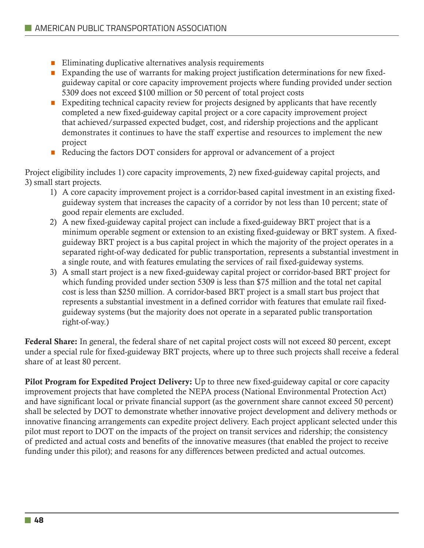- $\blacksquare$  Eliminating duplicative alternatives analysis requirements
- Expanding the use of warrants for making project justification determinations for new fixedguideway capital or core capacity improvement projects where funding provided under section 5309 does not exceed \$100 million or 50 percent of total project costs
- $\blacksquare$  Expediting technical capacity review for projects designed by applicants that have recently completed a new fixed-guideway capital project or a core capacity improvement project that achieved/surpassed expected budget, cost, and ridership projections and the applicant demonstrates it continues to have the staff expertise and resources to implement the new project
- Reducing the factors DOT considers for approval or advancement of a project

Project eligibility includes 1) core capacity improvements, 2) new fixed-guideway capital projects, and 3) small start projects.

- 1) A core capacity improvement project is a corridor-based capital investment in an existing fixedguideway system that increases the capacity of a corridor by not less than 10 percent; state of good repair elements are excluded.
- 2) A new fixed-guideway capital project can include a fixed-guideway BRT project that is a minimum operable segment or extension to an existing fixed-guideway or BRT system. A fixedguideway BRT project is a bus capital project in which the majority of the project operates in a separated right-of-way dedicated for public transportation, represents a substantial investment in a single route, and with features emulating the services of rail fixed-guideway systems.
- 3) A small start project is a new fixed-guideway capital project or corridor-based BRT project for which funding provided under section 5309 is less than \$75 million and the total net capital cost is less than \$250 million. A corridor-based BRT project is a small start bus project that represents a substantial investment in a defined corridor with features that emulate rail fixedguideway systems (but the majority does not operate in a separated public transportation right-of-way.)

Federal Share: In general, the federal share of net capital project costs will not exceed 80 percent, except under a special rule for fixed-guideway BRT projects, where up to three such projects shall receive a federal share of at least 80 percent.

Pilot Program for Expedited Project Delivery: Up to three new fixed-guideway capital or core capacity improvement projects that have completed the NEPA process (National Environmental Protection Act) and have significant local or private financial support (as the government share cannot exceed 50 percent) shall be selected by DOT to demonstrate whether innovative project development and delivery methods or innovative financing arrangements can expedite project delivery. Each project applicant selected under this pilot must report to DOT on the impacts of the project on transit services and ridership; the consistency of predicted and actual costs and benefits of the innovative measures (that enabled the project to receive funding under this pilot); and reasons for any differences between predicted and actual outcomes.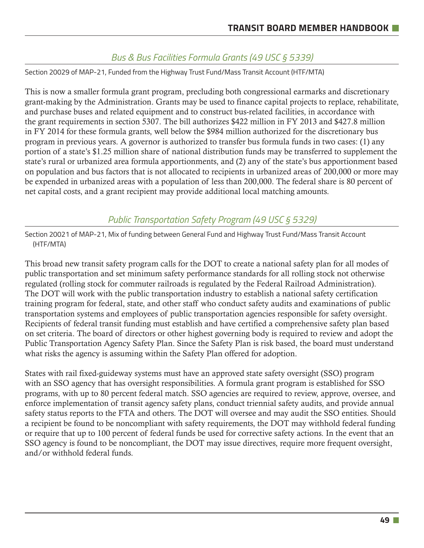## *Bus & Bus Facilities Formula Grants (49 USC § 5339)*

Section 20029 of MAP-21, Funded from the Highway Trust Fund/Mass Transit Account (HTF/MTA)

This is now a smaller formula grant program, precluding both congressional earmarks and discretionary grant-making by the Administration. Grants may be used to finance capital projects to replace, rehabilitate, and purchase buses and related equipment and to construct bus-related facilities, in accordance with the grant requirements in section 5307. The bill authorizes \$422 million in FY 2013 and \$427.8 million in FY 2014 for these formula grants, well below the \$984 million authorized for the discretionary bus program in previous years. A governor is authorized to transfer bus formula funds in two cases: (1) any portion of a state's \$1.25 million share of national distribution funds may be transferred to supplement the state's rural or urbanized area formula apportionments, and (2) any of the state's bus apportionment based on population and bus factors that is not allocated to recipients in urbanized areas of 200,000 or more may be expended in urbanized areas with a population of less than 200,000. The federal share is 80 percent of net capital costs, and a grant recipient may provide additional local matching amounts.

## *Public Transportation Safety Program (49 USC § 5329)*

Section 20021 of MAP-21, Mix of funding between General Fund and Highway Trust Fund/Mass Transit Account (HTF/MTA)

This broad new transit safety program calls for the DOT to create a national safety plan for all modes of public transportation and set minimum safety performance standards for all rolling stock not otherwise regulated (rolling stock for commuter railroads is regulated by the Federal Railroad Administration). The DOT will work with the public transportation industry to establish a national safety certification training program for federal, state, and other staff who conduct safety audits and examinations of public transportation systems and employees of public transportation agencies responsible for safety oversight. Recipients of federal transit funding must establish and have certified a comprehensive safety plan based on set criteria. The board of directors or other highest governing body is required to review and adopt the Public Transportation Agency Safety Plan. Since the Safety Plan is risk based, the board must understand what risks the agency is assuming within the Safety Plan offered for adoption.

States with rail fixed-guideway systems must have an approved state safety oversight (SSO) program with an SSO agency that has oversight responsibilities. A formula grant program is established for SSO programs, with up to 80 percent federal match. SSO agencies are required to review, approve, oversee, and enforce implementation of transit agency safety plans, conduct triennial safety audits, and provide annual safety status reports to the FTA and others. The DOT will oversee and may audit the SSO entities. Should a recipient be found to be noncompliant with safety requirements, the DOT may withhold federal funding or require that up to 100 percent of federal funds be used for corrective safety actions. In the event that an SSO agency is found to be noncompliant, the DOT may issue directives, require more frequent oversight, and/or withhold federal funds.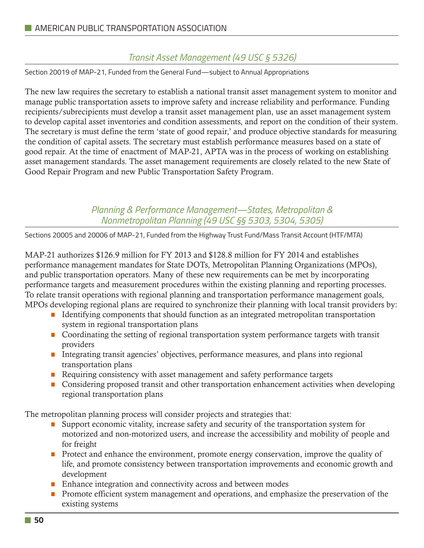### *Transit Asset Management (49 USC § 5326)*

Section 20019 of MAP-21, Funded from the General Fund—subject to Annual Appropriations

The new law requires the secretary to establish a national transit asset management system to monitor and manage public transportation assets to improve safety and increase reliability and performance. Funding recipients/subrecipients must develop a transit asset management plan, use an asset management system to develop capital asset inventories and condition assessments, and report on the condition of their system. The secretary is must define the term 'state of good repair,' and produce objective standards for measuring the condition of capital assets. The secretary must establish performance measures based on a state of good repair. At the time of enactment of MAP-21, APTA was in the process of working on establishing asset management standards. The asset management requirements are closely related to the new State of Good Repair Program and new Public Transportation Safety Program.

#### *Planning & Performance Management—States, Metropolitan & Nonmetropolitan Planning (49 USC §§ 5303, 5304, 5305)*

Sections 20005 and 20006 of MAP-21, Funded from the Highway Trust Fund/Mass Transit Account (HTF/MTA)

MAP-21 authorizes \$126.9 million for FY 2013 and \$128.8 million for FY 2014 and establishes performance management mandates for State DOTs, Metropolitan Planning Organizations (MPOs), and public transportation operators. Many of these new requirements can be met by incorporating performance targets and measurement procedures within the existing planning and reporting processes. To relate transit operations with regional planning and transportation performance management goals, MPOs developing regional plans are required to synchronize their planning with local transit providers by:

- **•** Identifying components that should function as an integrated metropolitan transportation system in regional transportation plans
- Coordinating the setting of regional transportation system performance targets with transit providers
- Integrating transit agencies' objectives, performance measures, and plans into regional transportation plans
- **Requiring consistency with asset management and safety performance targets**
- Considering proposed transit and other transportation enhancement activities when developing regional transportation plans

The metropolitan planning process will consider projects and strategies that:

- Support economic vitality, increase safety and security of the transportation system for motorized and non-motorized users, and increase the accessibility and mobility of people and for freight
- **•** Protect and enhance the environment, promote energy conservation, improve the quality of life, and promote consistency between transportation improvements and economic growth and development
- **Enhance integration and connectivity across and between modes**
- **•** Promote efficient system management and operations, and emphasize the preservation of the existing systems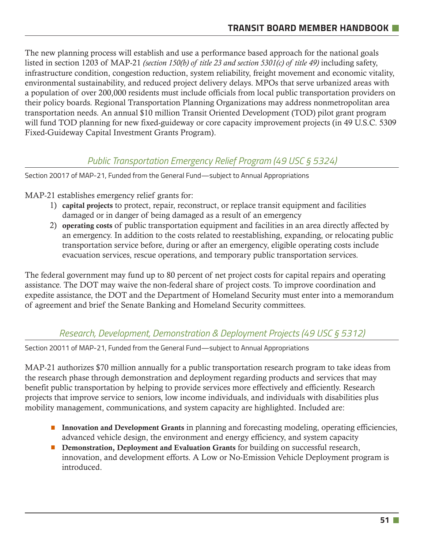The new planning process will establish and use a performance based approach for the national goals listed in section 1203 of MAP-21 *(section 150(b) of title 23 and section 5301(c) of title 49)* including safety, infrastructure condition, congestion reduction, system reliability, freight movement and economic vitality, environmental sustainability, and reduced project delivery delays. MPOs that serve urbanized areas with a population of over 200,000 residents must include officials from local public transportation providers on their policy boards. Regional Transportation Planning Organizations may address nonmetropolitan area transportation needs. An annual \$10 million Transit Oriented Development (TOD) pilot grant program will fund TOD planning for new fixed-guideway or core capacity improvement projects (in 49 U.S.C. 5309 Fixed-Guideway Capital Investment Grants Program).

## *Public Transportation Emergency Relief Program (49 USC § 5324)*

Section 20017 of MAP-21, Funded from the General Fund—subject to Annual Appropriations

MAP-21 establishes emergency relief grants for:

- 1) capital projects to protect, repair, reconstruct, or replace transit equipment and facilities damaged or in danger of being damaged as a result of an emergency
- 2) operating costs of public transportation equipment and facilities in an area directly affected by an emergency. In addition to the costs related to reestablishing, expanding, or relocating public transportation service before, during or after an emergency, eligible operating costs include evacuation services, rescue operations, and temporary public transportation services.

The federal government may fund up to 80 percent of net project costs for capital repairs and operating assistance. The DOT may waive the non-federal share of project costs. To improve coordination and expedite assistance, the DOT and the Department of Homeland Security must enter into a memorandum of agreement and brief the Senate Banking and Homeland Security committees.

### *Research, Development, Demonstration & Deployment Projects (49 USC § 5312)*

Section 20011 of MAP-21, Funded from the General Fund—subject to Annual Appropriations

MAP-21 authorizes \$70 million annually for a public transportation research program to take ideas from the research phase through demonstration and deployment regarding products and services that may benefit public transportation by helping to provide services more effectively and efficiently. Research projects that improve service to seniors, low income individuals, and individuals with disabilities plus mobility management, communications, and system capacity are highlighted. Included are:

- **Innovation and Development Grants** in planning and forecasting modeling, operating efficiencies, advanced vehicle design, the environment and energy efficiency, and system capacity
- **Demonstration, Deployment and Evaluation Grants** for building on successful research, innovation, and development efforts. A Low or No-Emission Vehicle Deployment program is introduced.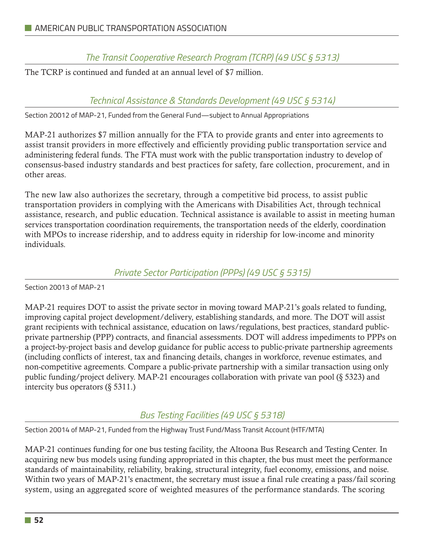*The Transit Cooperative Research Program (TCRP) (49 USC § 5313)* 

The TCRP is continued and funded at an annual level of \$7 million.

### *Technical Assistance & Standards Development (49 USC § 5314)*

Section 20012 of MAP-21, Funded from the General Fund—subject to Annual Appropriations

MAP-21 authorizes \$7 million annually for the FTA to provide grants and enter into agreements to assist transit providers in more effectively and efficiently providing public transportation service and administering federal funds. The FTA must work with the public transportation industry to develop of consensus-based industry standards and best practices for safety, fare collection, procurement, and in other areas.

The new law also authorizes the secretary, through a competitive bid process, to assist public transportation providers in complying with the Americans with Disabilities Act, through technical assistance, research, and public education. Technical assistance is available to assist in meeting human services transportation coordination requirements, the transportation needs of the elderly, coordination with MPOs to increase ridership, and to address equity in ridership for low-income and minority individuals.

*Private Sector Participation (PPPs) (49 USC § 5315)*

Section 20013 of MAP-21

MAP-21 requires DOT to assist the private sector in moving toward MAP-21's goals related to funding, improving capital project development/delivery, establishing standards, and more. The DOT will assist grant recipients with technical assistance, education on laws/regulations, best practices, standard publicprivate partnership (PPP) contracts, and financial assessments. DOT will address impediments to PPPs on a project-by-project basis and develop guidance for public access to public-private partnership agreements (including conflicts of interest, tax and financing details, changes in workforce, revenue estimates, and non-competitive agreements. Compare a public-private partnership with a similar transaction using only public funding/project delivery. MAP-21 encourages collaboration with private van pool (§ 5323) and intercity bus operators (§ 5311.)

## *Bus Testing Facilities (49 USC § 5318)*

Section 20014 of MAP-21, Funded from the Highway Trust Fund/Mass Transit Account (HTF/MTA)

MAP-21 continues funding for one bus testing facility, the Altoona Bus Research and Testing Center. In acquiring new bus models using funding appropriated in this chapter, the bus must meet the performance standards of maintainability, reliability, braking, structural integrity, fuel economy, emissions, and noise. Within two years of MAP-21's enactment, the secretary must issue a final rule creating a pass/fail scoring system, using an aggregated score of weighted measures of the performance standards. The scoring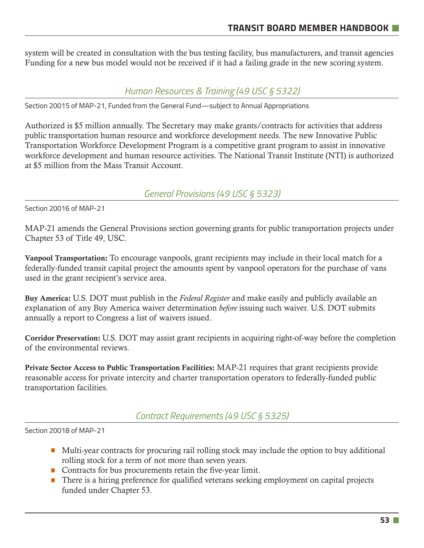system will be created in consultation with the bus testing facility, bus manufacturers, and transit agencies Funding for a new bus model would not be received if it had a failing grade in the new scoring system.

### *Human Resources & Training (49 USC § 5322)*

Section 20015 of MAP-21, Funded from the General Fund—subject to Annual Appropriations

Authorized is \$5 million annually. The Secretary may make grants/contracts for activities that address public transportation human resource and workforce development needs. The new Innovative Public Transportation Workforce Development Program is a competitive grant program to assist in innovative workforce development and human resource activities. The National Transit Institute (NTI) is authorized at \$5 million from the Mass Transit Account.

*General Provisions (49 USC § 5323)*

Section 20016 of MAP-21

MAP-21 amends the General Provisions section governing grants for public transportation projects under Chapter 53 of Title 49, USC.

Vanpool Transportation: To encourage vanpools, grant recipients may include in their local match for a federally-funded transit capital project the amounts spent by vanpool operators for the purchase of vans used in the grant recipient's service area.

Buy America: U.S. DOT must publish in the *Federal Register* and make easily and publicly available an explanation of any Buy America waiver determination *before* issuing such waiver. U.S. DOT submits annually a report to Congress a list of waivers issued.

Corridor Preservation: U.S. DOT may assist grant recipients in acquiring right-of-way before the completion of the environmental reviews.

Private Sector Access to Public Transportation Facilities: MAP-21 requires that grant recipients provide reasonable access for private intercity and charter transportation operators to federally-funded public transportation facilities.

*Contract Requirements (49 USC § 5325)*

Section 20018 of MAP-21

- Multi-year contracts for procuring rail rolling stock may include the option to buy additional rolling stock for a term of not more than seven years.
- **Contracts for bus procurements retain the five-year limit.**
- There is a hiring preference for qualified veterans seeking employment on capital projects funded under Chapter 53.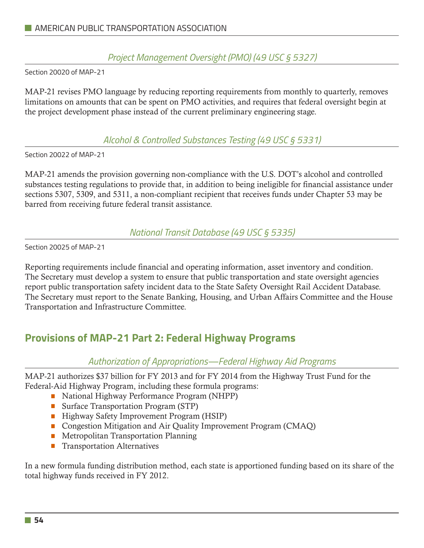#### *Project Management Oversight (PMO) (49 USC § 5327)*

Section 20020 of MAP-21

MAP-21 revises PMO language by reducing reporting requirements from monthly to quarterly, removes limitations on amounts that can be spent on PMO activities, and requires that federal oversight begin at the project development phase instead of the current preliminary engineering stage.

#### *Alcohol & Controlled Substances Testing (49 USC § 5331)*

Section 20022 of MAP-21

MAP-21 amends the provision governing non-compliance with the U.S. DOT's alcohol and controlled substances testing regulations to provide that, in addition to being ineligible for financial assistance under sections 5307, 5309, and 5311, a non-compliant recipient that receives funds under Chapter 53 may be barred from receiving future federal transit assistance.

#### *National Transit Database (49 USC § 5335)*

Section 20025 of MAP-21

Reporting requirements include financial and operating information, asset inventory and condition. The Secretary must develop a system to ensure that public transportation and state oversight agencies report public transportation safety incident data to the State Safety Oversight Rail Accident Database. The Secretary must report to the Senate Banking, Housing, and Urban Affairs Committee and the House Transportation and Infrastructure Committee.

## **Provisions of MAP-21 Part 2: Federal Highway Programs**

#### *Authorization of Appropriations—Federal Highway Aid Programs*

MAP-21 authorizes \$37 billion for FY 2013 and for FY 2014 from the Highway Trust Fund for the Federal-Aid Highway Program, including these formula programs:

- National Highway Performance Program (NHPP)
- Surface Transportation Program (STP)
- **Highway Safety Improvement Program (HSIP)**
- **Congestion Mitigation and Air Quality Improvement Program (CMAQ)**
- **Metropolitan Transportation Planning**
- **Transportation Alternatives**

In a new formula funding distribution method, each state is apportioned funding based on its share of the total highway funds received in FY 2012.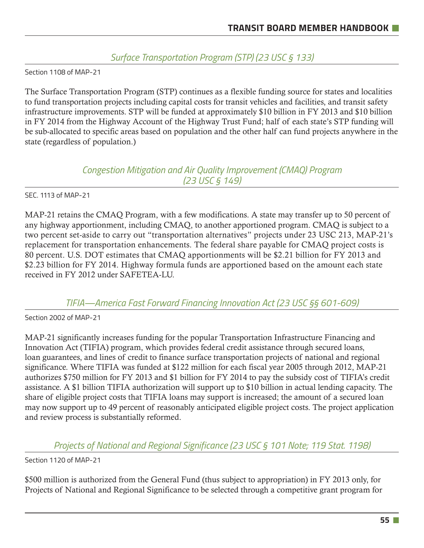## *Surface Transportation Program (STP) (23 USC § 133)*

Section 1108 of MAP-21

The Surface Transportation Program (STP) continues as a flexible funding source for states and localities to fund transportation projects including capital costs for transit vehicles and facilities, and transit safety infrastructure improvements. STP will be funded at approximately \$10 billion in FY 2013 and \$10 billion in FY 2014 from the Highway Account of the Highway Trust Fund; half of each state's STP funding will be sub-allocated to specific areas based on population and the other half can fund projects anywhere in the state (regardless of population.)

> *Congestion Mitigation and Air Quality Improvement (CMAQ) Program (23 USC § 149)*

SEC. 1113 of MAP-21

MAP-21 retains the CMAQ Program, with a few modifications. A state may transfer up to 50 percent of any highway apportionment, including CMAQ, to another apportioned program. CMAQ is subject to a two percent set-aside to carry out "transportation alternatives" projects under 23 USC 213, MAP-21's replacement for transportation enhancements. The federal share payable for CMAQ project costs is 80 percent. U.S. DOT estimates that CMAQ apportionments will be \$2.21 billion for FY 2013 and \$2.23 billion for FY 2014. Highway formula funds are apportioned based on the amount each state received in FY 2012 under SAFETEA-LU.

*TIFIA—America Fast Forward Financing Innovation Act (23 USC §§ 601-609)*

Section 2002 of MAP-21

MAP-21 significantly increases funding for the popular Transportation Infrastructure Financing and Innovation Act (TIFIA) program, which provides federal credit assistance through secured loans, loan guarantees, and lines of credit to finance surface transportation projects of national and regional significance. Where TIFIA was funded at \$122 million for each fiscal year 2005 through 2012, MAP-21 authorizes \$750 million for FY 2013 and \$1 billion for FY 2014 to pay the subsidy cost of TIFIA's credit assistance. A \$1 billion TIFIA authorization will support up to \$10 billion in actual lending capacity. The share of eligible project costs that TIFIA loans may support is increased; the amount of a secured loan may now support up to 49 percent of reasonably anticipated eligible project costs. The project application and review process is substantially reformed.

*Projects of National and Regional Significance (23 USC § 101 Note; 119 Stat. 1198)*

Section 1120 of MAP-21

\$500 million is authorized from the General Fund (thus subject to appropriation) in FY 2013 only, for Projects of National and Regional Significance to be selected through a competitive grant program for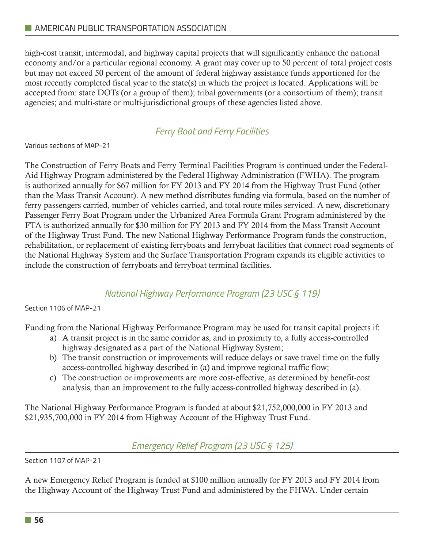high-cost transit, intermodal, and highway capital projects that will significantly enhance the national economy and/or a particular regional economy. A grant may cover up to 50 percent of total project costs but may not exceed 50 percent of the amount of federal highway assistance funds apportioned for the most recently completed fiscal year to the state(s) in which the project is located. Applications will be accepted from: state DOTs (or a group of them); tribal governments (or a consortium of them); transit agencies; and multi-state or multi-jurisdictional groups of these agencies listed above.

*Ferry Boat and Ferry Facilities*

Various sections of MAP-21

The Construction of Ferry Boats and Ferry Terminal Facilities Program is continued under the Federal-Aid Highway Program administered by the Federal Highway Administration (FWHA). The program is authorized annually for \$67 million for FY 2013 and FY 2014 from the Highway Trust Fund (other than the Mass Transit Account). A new method distributes funding via formula, based on the number of ferry passengers carried, number of vehicles carried, and total route miles serviced. A new, discretionary Passenger Ferry Boat Program under the Urbanized Area Formula Grant Program administered by the FTA is authorized annually for \$30 million for FY 2013 and FY 2014 from the Mass Transit Account of the Highway Trust Fund. The new National Highway Performance Program funds the construction, rehabilitation, or replacement of existing ferryboats and ferryboat facilities that connect road segments of the National Highway System and the Surface Transportation Program expands its eligible activities to include the construction of ferryboats and ferryboat terminal facilities.

*National Highway Performance Program (23 USC § 119)*

Section 1106 of MAP-21

Funding from the National Highway Performance Program may be used for transit capital projects if:

- a) A transit project is in the same corridor as, and in proximity to, a fully access-controlled highway designated as a part of the National Highway System;
- b) The transit construction or improvements will reduce delays or save travel time on the fully access-controlled highway described in (a) and improve regional traffic flow;
- c) The construction or improvements are more cost-effective, as determined by benefit-cost analysis, than an improvement to the fully access-controlled highway described in (a).

The National Highway Performance Program is funded at about \$21,752,000,000 in FY 2013 and \$21,935,700,000 in FY 2014 from Highway Account of the Highway Trust Fund.

*Emergency Relief Program (23 USC § 125)*

Section 1107 of MAP-21

A new Emergency Relief Program is funded at \$100 million annually for FY 2013 and FY 2014 from the Highway Account of the Highway Trust Fund and administered by the FHWA. Under certain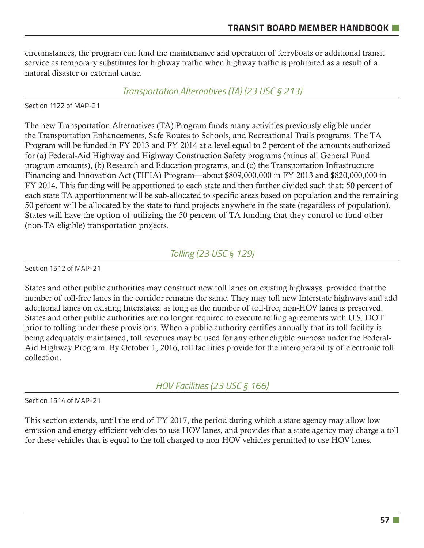circumstances, the program can fund the maintenance and operation of ferryboats or additional transit service as temporary substitutes for highway traffic when highway traffic is prohibited as a result of a natural disaster or external cause.

*Transportation Alternatives (TA) (23 USC § 213)*

Section 1122 of MAP-21

The new Transportation Alternatives (TA) Program funds many activities previously eligible under the Transportation Enhancements, Safe Routes to Schools, and Recreational Trails programs. The TA Program will be funded in FY 2013 and FY 2014 at a level equal to 2 percent of the amounts authorized for (a) Federal-Aid Highway and Highway Construction Safety programs (minus all General Fund program amounts), (b) Research and Education programs, and (c) the Transportation Infrastructure Financing and Innovation Act (TIFIA) Program—about \$809,000,000 in FY 2013 and \$820,000,000 in FY 2014. This funding will be apportioned to each state and then further divided such that: 50 percent of each state TA apportionment will be sub-allocated to specific areas based on population and the remaining 50 percent will be allocated by the state to fund projects anywhere in the state (regardless of population). States will have the option of utilizing the 50 percent of TA funding that they control to fund other (non-TA eligible) transportation projects.

*Tolling (23 USC § 129)*

Section 1512 of MAP-21

States and other public authorities may construct new toll lanes on existing highways, provided that the number of toll-free lanes in the corridor remains the same. They may toll new Interstate highways and add additional lanes on existing Interstates, as long as the number of toll-free, non-HOV lanes is preserved. States and other public authorities are no longer required to execute tolling agreements with U.S. DOT prior to tolling under these provisions. When a public authority certifies annually that its toll facility is being adequately maintained, toll revenues may be used for any other eligible purpose under the Federal-Aid Highway Program. By October 1, 2016, toll facilities provide for the interoperability of electronic toll collection.

*HOV Facilities (23 USC § 166)*

Section 1514 of MAP-21

This section extends, until the end of FY 2017, the period during which a state agency may allow low emission and energy-efficient vehicles to use HOV lanes, and provides that a state agency may charge a toll for these vehicles that is equal to the toll charged to non-HOV vehicles permitted to use HOV lanes.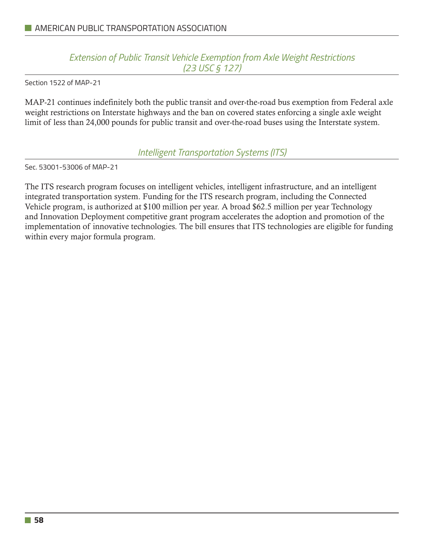*Extension of Public Transit Vehicle Exemption from Axle Weight Restrictions (23 USC § 127)*

Section 1522 of MAP-21

MAP-21 continues indefinitely both the public transit and over-the-road bus exemption from Federal axle weight restrictions on Interstate highways and the ban on covered states enforcing a single axle weight limit of less than 24,000 pounds for public transit and over-the-road buses using the Interstate system.

*Intelligent Transportation Systems (ITS)* 

Sec. 53001-53006 of MAP-21

The ITS research program focuses on intelligent vehicles, intelligent infrastructure, and an intelligent integrated transportation system. Funding for the ITS research program, including the Connected Vehicle program, is authorized at \$100 million per year. A broad \$62.5 million per year Technology and Innovation Deployment competitive grant program accelerates the adoption and promotion of the implementation of innovative technologies. The bill ensures that ITS technologies are eligible for funding within every major formula program.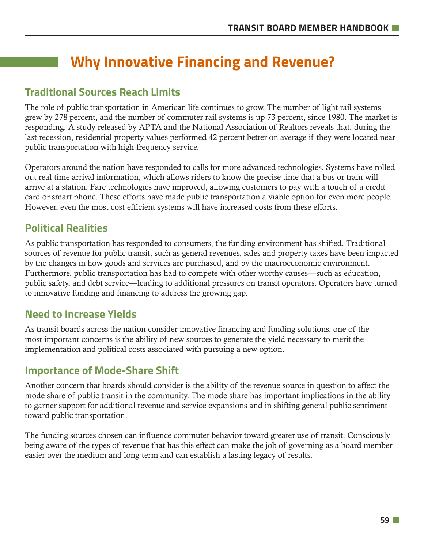# **Why Innovative Financing and Revenue?**

## **Traditional Sources Reach Limits**

The role of public transportation in American life continues to grow. The number of light rail systems grew by 278 percent, and the number of commuter rail systems is up 73 percent, since 1980. The market is responding. A study released by APTA and the National Association of Realtors reveals that, during the last recession, residential property values performed 42 percent better on average if they were located near public transportation with high-frequency service.

Operators around the nation have responded to calls for more advanced technologies. Systems have rolled out real-time arrival information, which allows riders to know the precise time that a bus or train will arrive at a station. Fare technologies have improved, allowing customers to pay with a touch of a credit card or smart phone. These efforts have made public transportation a viable option for even more people. However, even the most cost-efficient systems will have increased costs from these efforts.

## **Political Realities**

As public transportation has responded to consumers, the funding environment has shifted. Traditional sources of revenue for public transit, such as general revenues, sales and property taxes have been impacted by the changes in how goods and services are purchased, and by the macroeconomic environment. Furthermore, public transportation has had to compete with other worthy causes—such as education, public safety, and debt service—leading to additional pressures on transit operators. Operators have turned to innovative funding and financing to address the growing gap.

## **Need to Increase Yields**

As transit boards across the nation consider innovative financing and funding solutions, one of the most important concerns is the ability of new sources to generate the yield necessary to merit the implementation and political costs associated with pursuing a new option.

## **Importance of Mode-Share Shift**

Another concern that boards should consider is the ability of the revenue source in question to affect the mode share of public transit in the community. The mode share has important implications in the ability to garner support for additional revenue and service expansions and in shifting general public sentiment toward public transportation.

The funding sources chosen can influence commuter behavior toward greater use of transit. Consciously being aware of the types of revenue that has this effect can make the job of governing as a board member easier over the medium and long-term and can establish a lasting legacy of results.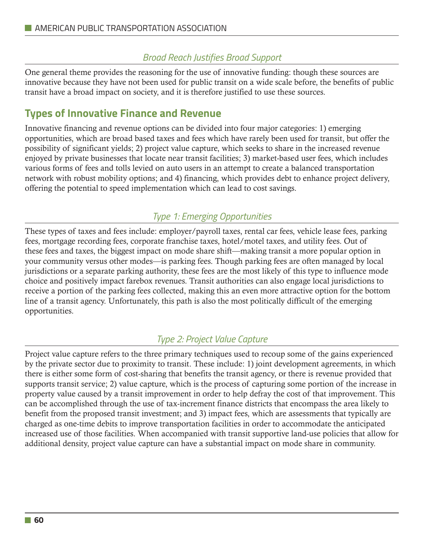### *Broad Reach Justifies Broad Support*

One general theme provides the reasoning for the use of innovative funding: though these sources are innovative because they have not been used for public transit on a wide scale before, the benefits of public transit have a broad impact on society, and it is therefore justified to use these sources.

## **Types of Innovative Finance and Revenue**

Innovative financing and revenue options can be divided into four major categories: 1) emerging opportunities, which are broad based taxes and fees which have rarely been used for transit, but offer the possibility of significant yields; 2) project value capture, which seeks to share in the increased revenue enjoyed by private businesses that locate near transit facilities; 3) market-based user fees, which includes various forms of fees and tolls levied on auto users in an attempt to create a balanced transportation network with robust mobility options; and 4) financing, which provides debt to enhance project delivery, offering the potential to speed implementation which can lead to cost savings.

## *Type 1: Emerging Opportunities*

These types of taxes and fees include: employer/payroll taxes, rental car fees, vehicle lease fees, parking fees, mortgage recording fees, corporate franchise taxes, hotel/motel taxes, and utility fees. Out of these fees and taxes, the biggest impact on mode share shift—making transit a more popular option in your community versus other modes—is parking fees. Though parking fees are often managed by local jurisdictions or a separate parking authority, these fees are the most likely of this type to influence mode choice and positively impact farebox revenues. Transit authorities can also engage local jurisdictions to receive a portion of the parking fees collected, making this an even more attractive option for the bottom line of a transit agency. Unfortunately, this path is also the most politically difficult of the emerging opportunities.

## *Type 2: Project Value Capture*

Project value capture refers to the three primary techniques used to recoup some of the gains experienced by the private sector due to proximity to transit. These include: 1) joint development agreements, in which there is either some form of cost-sharing that benefits the transit agency, or there is revenue provided that supports transit service; 2) value capture, which is the process of capturing some portion of the increase in property value caused by a transit improvement in order to help defray the cost of that improvement. This can be accomplished through the use of tax-increment finance districts that encompass the area likely to benefit from the proposed transit investment; and 3) impact fees, which are assessments that typically are charged as one-time debits to improve transportation facilities in order to accommodate the anticipated increased use of those facilities. When accompanied with transit supportive land-use policies that allow for additional density, project value capture can have a substantial impact on mode share in community.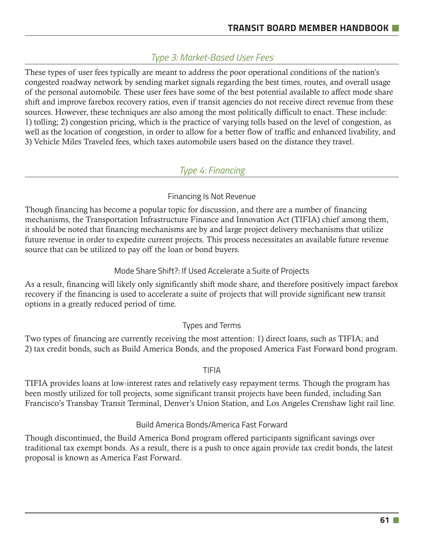## *Type 3: Market-Based User Fees*

These types of user fees typically are meant to address the poor operational conditions of the nation's congested roadway network by sending market signals regarding the best times, routes, and overall usage of the personal automobile. These user fees have some of the best potential available to affect mode share shift and improve farebox recovery ratios, even if transit agencies do not receive direct revenue from these sources. However, these techniques are also among the most politically difficult to enact. These include: 1) tolling; 2) congestion pricing, which is the practice of varying tolls based on the level of congestion, as well as the location of congestion, in order to allow for a better flow of traffic and enhanced livability, and 3) Vehicle Miles Traveled fees, which taxes automobile users based on the distance they travel.

## *Type 4: Financing*

#### Financing Is Not Revenue

Though financing has become a popular topic for discussion, and there are a number of financing mechanisms, the Transportation Infrastructure Finance and Innovation Act (TIFIA) chief among them, it should be noted that financing mechanisms are by and large project delivery mechanisms that utilize future revenue in order to expedite current projects. This process necessitates an available future revenue source that can be utilized to pay off the loan or bond buyers.

#### Mode Share Shift?: If Used Accelerate a Suite of Projects

As a result, financing will likely only significantly shift mode share, and therefore positively impact farebox recovery if the financing is used to accelerate a suite of projects that will provide significant new transit options in a greatly reduced period of time.

#### Types and Terms

Two types of financing are currently receiving the most attention: 1) direct loans, such as TIFIA; and 2) tax credit bonds, such as Build America Bonds, and the proposed America Fast Forward bond program.

#### TIFIA

TIFIA provides loans at low-interest rates and relatively easy repayment terms. Though the program has been mostly utilized for toll projects, some significant transit projects have been funded, including San Francisco's Transbay Transit Terminal, Denver's Union Station, and Los Angeles Crenshaw light rail line.

#### Build America Bonds/America Fast Forward

Though discontinued, the Build America Bond program offered participants significant savings over traditional tax exempt bonds. As a result, there is a push to once again provide tax credit bonds, the latest proposal is known as America Fast Forward.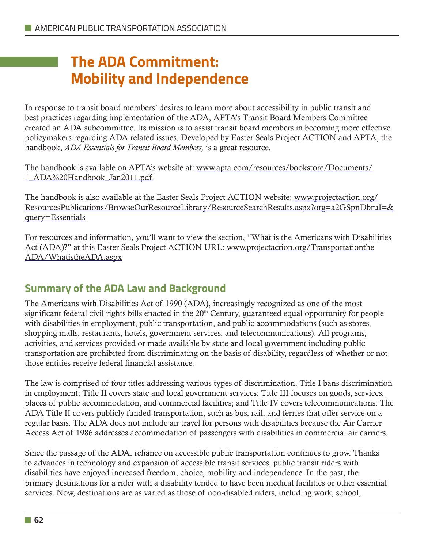# **The ADA Commitment: Mobility and Independence**

In response to transit board members' desires to learn more about accessibility in public transit and best practices regarding implementation of the ADA, APTA's Transit Board Members Committee created an ADA subcommittee. Its mission is to assist transit board members in becoming more effective policymakers regarding ADA related issues. Developed by Easter Seals Project ACTION and APTA, the handbook, *ADA Essentials for Transit Board Members,* is a great resource.

The handbook is available on APTA's website at: www.apta.com/resources/bookstore/Documents/ 1\_ADA%20Handbook\_Jan2011.pdf

The handbook is also available at the Easter Seals Project ACTION website: www.projectaction.org/ ResourcesPublications/BrowseOurResourceLibrary/ResourceSearchResults.aspx?org=a2GSpnDbruI=& query=Essentials

For resources and information, you'll want to view the section, "What is the Americans with Disabilities Act (ADA)?" at this Easter Seals Project ACTION URL: www.projectaction.org/Transportationthe ADA/WhatistheADA.aspx

## **Summary of the ADA Law and Background**

The Americans with Disabilities Act of 1990 (ADA), increasingly recognized as one of the most significant federal civil rights bills enacted in the 20<sup>th</sup> Century, guaranteed equal opportunity for people with disabilities in employment, public transportation, and public accommodations (such as stores, shopping malls, restaurants, hotels, government services, and telecommunications). All programs, activities, and services provided or made available by state and local government including public transportation are prohibited from discriminating on the basis of disability, regardless of whether or not those entities receive federal financial assistance.

The law is comprised of four titles addressing various types of discrimination. Title I bans discrimination in employment; Title II covers state and local government services; Title III focuses on goods, services, places of public accommodation, and commercial facilities; and Title IV covers telecommunications. The ADA Title II covers publicly funded transportation, such as bus, rail, and ferries that offer service on a regular basis. The ADA does not include air travel for persons with disabilities because the Air Carrier Access Act of 1986 addresses accommodation of passengers with disabilities in commercial air carriers.

Since the passage of the ADA, reliance on accessible public transportation continues to grow. Thanks to advances in technology and expansion of accessible transit services, public transit riders with disabilities have enjoyed increased freedom, choice, mobility and independence. In the past, the primary destinations for a rider with a disability tended to have been medical facilities or other essential services. Now, destinations are as varied as those of non-disabled riders, including work, school,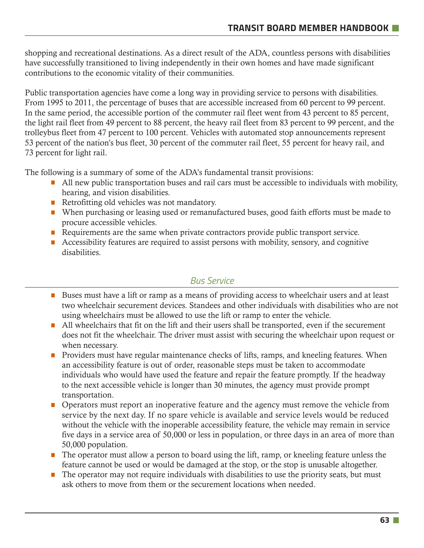shopping and recreational destinations. As a direct result of the ADA, countless persons with disabilities have successfully transitioned to living independently in their own homes and have made significant contributions to the economic vitality of their communities.

Public transportation agencies have come a long way in providing service to persons with disabilities. From 1995 to 2011, the percentage of buses that are accessible increased from 60 percent to 99 percent. In the same period, the accessible portion of the commuter rail fleet went from 43 percent to 85 percent, the light rail fleet from 49 percent to 88 percent, the heavy rail fleet from 83 percent to 99 percent, and the trolleybus fleet from 47 percent to 100 percent. Vehicles with automated stop announcements represent 53 percent of the nation's bus fleet, 30 percent of the commuter rail fleet, 55 percent for heavy rail, and 73 percent for light rail.

The following is a summary of some of the ADA's fundamental transit provisions:

- All new public transportation buses and rail cars must be accessible to individuals with mobility, hearing, and vision disabilities.
- $\blacksquare$  Retrofitting old vehicles was not mandatory.
- When purchasing or leasing used or remanufactured buses, good faith efforts must be made to procure accessible vehicles.
- $\blacksquare$  Requirements are the same when private contractors provide public transport service.
- Accessibility features are required to assist persons with mobility, sensory, and cognitive disabilities.

### *Bus Service*

- Buses must have a lift or ramp as a means of providing access to wheelchair users and at least two wheelchair securement devices. Standees and other individuals with disabilities who are not using wheelchairs must be allowed to use the lift or ramp to enter the vehicle.
- All wheelchairs that fit on the lift and their users shall be transported, even if the securement does not fit the wheelchair. The driver must assist with securing the wheelchair upon request or when necessary.
- **•** Providers must have regular maintenance checks of lifts, ramps, and kneeling features. When an accessibility feature is out of order, reasonable steps must be taken to accommodate individuals who would have used the feature and repair the feature promptly. If the headway to the next accessible vehicle is longer than 30 minutes, the agency must provide prompt transportation.
- Operators must report an inoperative feature and the agency must remove the vehicle from service by the next day. If no spare vehicle is available and service levels would be reduced without the vehicle with the inoperable accessibility feature, the vehicle may remain in service five days in a service area of 50,000 or less in population, or three days in an area of more than 50,000 population.
- **•** The operator must allow a person to board using the lift, ramp, or kneeling feature unless the feature cannot be used or would be damaged at the stop, or the stop is unusable altogether.
- $\blacksquare$  The operator may not require individuals with disabilities to use the priority seats, but must ask others to move from them or the securement locations when needed.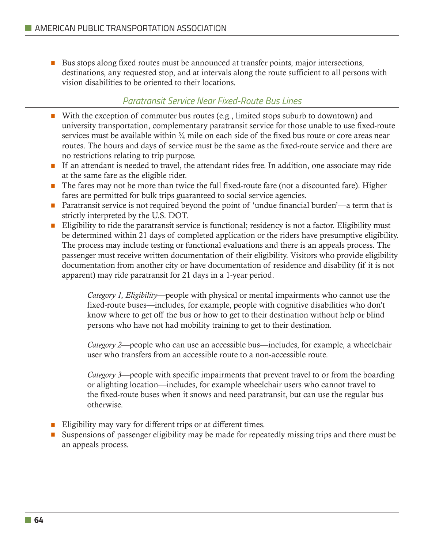■ Bus stops along fixed routes must be announced at transfer points, major intersections, destinations, any requested stop, and at intervals along the route sufficient to all persons with vision disabilities to be oriented to their locations.

#### *Paratransit Service Near Fixed-Route Bus Lines*

- $\blacksquare$  With the exception of commuter bus routes (e.g., limited stops suburb to downtown) and university transportation, complementary paratransit service for those unable to use fixed-route services must be available within  $\frac{3}{4}$  mile on each side of the fixed bus route or core areas near routes. The hours and days of service must be the same as the fixed-route service and there are no restrictions relating to trip purpose.
- **•** If an attendant is needed to travel, the attendant rides free. In addition, one associate may ride at the same fare as the eligible rider.
- The fares may not be more than twice the full fixed-route fare (not a discounted fare). Higher fares are permitted for bulk trips guaranteed to social service agencies.
- Paratransit service is not required beyond the point of 'undue financial burden'—a term that is strictly interpreted by the U.S. DOT.
- **•** Eligibility to ride the paratransit service is functional; residency is not a factor. Eligibility must be determined within 21 days of completed application or the riders have presumptive eligibility. The process may include testing or functional evaluations and there is an appeals process. The passenger must receive written documentation of their eligibility. Visitors who provide eligibility documentation from another city or have documentation of residence and disability (if it is not apparent) may ride paratransit for 21 days in a 1-year period.

*Category 1, Eligibility*—people with physical or mental impairments who cannot use the fixed-route buses—includes, for example, people with cognitive disabilities who don't know where to get off the bus or how to get to their destination without help or blind persons who have not had mobility training to get to their destination.

*Category 2*—people who can use an accessible bus—includes, for example, a wheelchair user who transfers from an accessible route to a non-accessible route.

*Category 3*—people with specific impairments that prevent travel to or from the boarding or alighting location—includes, for example wheelchair users who cannot travel to the fixed-route buses when it snows and need paratransit, but can use the regular bus otherwise.

- Eligibility may vary for different trips or at different times.
- **•** Suspensions of passenger eligibility may be made for repeatedly missing trips and there must be an appeals process.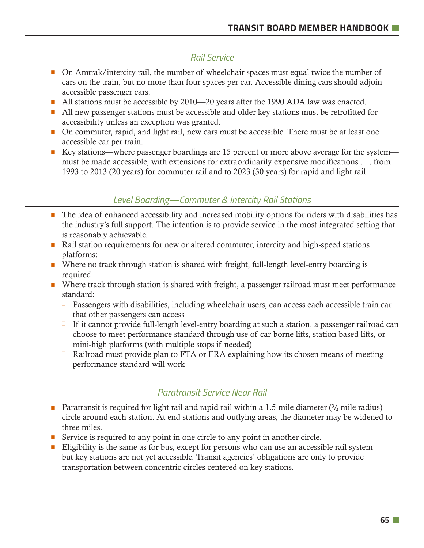## *Rail Service*

- On Amtrak/intercity rail, the number of wheelchair spaces must equal twice the number of cars on the train, but no more than four spaces per car. Accessible dining cars should adjoin accessible passenger cars.
- All stations must be accessible by 2010—20 years after the 1990 ADA law was enacted.
- All new passenger stations must be accessible and older key stations must be retrofitted for accessibility unless an exception was granted.
- **•** On commuter, rapid, and light rail, new cars must be accessible. There must be at least one accessible car per train.
- Key stations—where passenger boardings are 15 percent or more above average for the system must be made accessible, with extensions for extraordinarily expensive modifications . . . from 1993 to 2013 (20 years) for commuter rail and to 2023 (30 years) for rapid and light rail.

## *Level Boarding—Commuter & Intercity Rail Stations*

- The idea of enhanced accessibility and increased mobility options for riders with disabilities has the industry's full support. The intention is to provide service in the most integrated setting that is reasonably achievable.
- Rail station requirements for new or altered commuter, intercity and high-speed stations platforms:
- Where no track through station is shared with freight, full-length level-entry boarding is required
- Where track through station is shared with freight, a passenger railroad must meet performance standard:
	- $\Box$  Passengers with disabilities, including wheelchair users, can access each accessible train car that other passengers can access
	- $\Box$  If it cannot provide full-length level-entry boarding at such a station, a passenger railroad can choose to meet performance standard through use of car-borne lifts, station-based lifts, or mini-high platforms (with multiple stops if needed)
	- $\Box$  Railroad must provide plan to FTA or FRA explaining how its chosen means of meeting performance standard will work

### *Paratransit Service Near Rail*

- **•** Paratransit is required for light rail and rapid rail within a 1.5-mile diameter  $(3/4)$  mile radius) circle around each station. At end stations and outlying areas, the diameter may be widened to three miles.
- Service is required to any point in one circle to any point in another circle.
- **Eligibility is the same as for bus, except for persons who can use an accessible rail system** but key stations are not yet accessible. Transit agencies' obligations are only to provide transportation between concentric circles centered on key stations.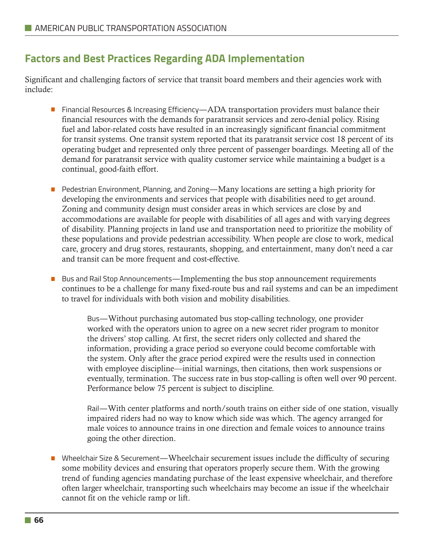## **Factors and Best Practices Regarding ADA Implementation**

Significant and challenging factors of service that transit board members and their agencies work with include:

- **Financial Resources & Increasing Efficiency—ADA transportation providers must balance their** financial resources with the demands for paratransit services and zero-denial policy. Rising fuel and labor-related costs have resulted in an increasingly significant financial commitment for transit systems. One transit system reported that its paratransit service cost 18 percent of its operating budget and represented only three percent of passenger boardings. Meeting all of the demand for paratransit service with quality customer service while maintaining a budget is a continual, good-faith effort.
- Pedestrian Environment, Planning, and Zoning—Many locations are setting a high priority for developing the environments and services that people with disabilities need to get around. Zoning and community design must consider areas in which services are close by and accommodations are available for people with disabilities of all ages and with varying degrees of disability. Planning projects in land use and transportation need to prioritize the mobility of these populations and provide pedestrian accessibility. When people are close to work, medical care, grocery and drug stores, restaurants, shopping, and entertainment, many don't need a car and transit can be more frequent and cost-effective.
- Bus and Rail Stop Announcements—Implementing the bus stop announcement requirements continues to be a challenge for many fixed-route bus and rail systems and can be an impediment to travel for individuals with both vision and mobility disabilities.

Bus—Without purchasing automated bus stop-calling technology, one provider worked with the operators union to agree on a new secret rider program to monitor the drivers' stop calling. At first, the secret riders only collected and shared the information, providing a grace period so everyone could become comfortable with the system. Only after the grace period expired were the results used in connection with employee discipline—initial warnings, then citations, then work suspensions or eventually, termination. The success rate in bus stop-calling is often well over 90 percent. Performance below 75 percent is subject to discipline.

Rail—With center platforms and north/south trains on either side of one station, visually impaired riders had no way to know which side was which. The agency arranged for male voices to announce trains in one direction and female voices to announce trains going the other direction.

■ Wheelchair Size & Securement—Wheelchair securement issues include the difficulty of securing some mobility devices and ensuring that operators properly secure them. With the growing trend of funding agencies mandating purchase of the least expensive wheelchair, and therefore often larger wheelchair, transporting such wheelchairs may become an issue if the wheelchair cannot fit on the vehicle ramp or lift.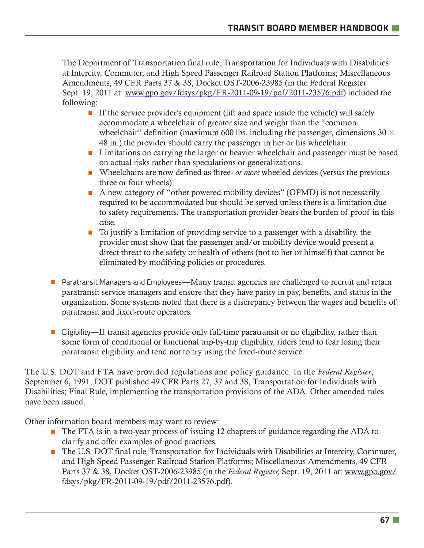The Department of Transportation final rule, Transportation for Individuals with Disabilities at Intercity, Commuter, and High Speed Passenger Railroad Station Platforms; Miscellaneous Amendments, 49 CFR Parts 37 & 38, Docket OST-2006-23985 (in the Federal Register Sept. 19, 2011 at: www.gpo.gov/fdsys/pkg/FR-2011-09-19/pdf/2011-23576.pdf) included the following:

- **•** If the service provider's equipment (lift and space inside the vehicle) will safely accommodate a wheelchair of greater size and weight than the "common wheelchair" definition (maximum 600 lbs. including the passenger, dimensions 30  $\times$ 48 in.) the provider should carry the passenger in her or his wheelchair.
- Limitations on carrying the larger or heavier wheelchair and passenger must be based on actual risks rather than speculations or generalizations.
- Wheelchairs are now defined as three- *or more* wheeled devices (versus the previous three or four wheels).
- A new category of "other powered mobility devices" (OPMD) is not necessarily required to be accommodated but should be served unless there is a limitation due to safety requirements. The transportation provider bears the burden of proof in this case.
- $\blacksquare$  To justify a limitation of providing service to a passenger with a disability, the provider must show that the passenger and/or mobility device would present a direct threat to the safety or health of others (not to her or himself) that cannot be eliminated by modifying policies or procedures.
- **Paratransit Managers and Employees—Many transit agencies are challenged to recruit and retain** paratransit service managers and ensure that they have parity in pay, benefits, and status in the organization. Some systems noted that there is a discrepancy between the wages and benefits of paratransit and fixed-route operators.
- Eligibility—If transit agencies provide only full-time paratransit or no eligibility, rather than some form of conditional or functional trip-by-trip eligibility, riders tend to fear losing their paratransit eligibility and tend not to try using the fixed-route service.

The U.S. DOT and FTA have provided regulations and policy guidance. In the *Federal Register*, September 6, 1991, DOT published 49 CFR Parts 27, 37 and 38, Transportation for Individuals with Disabilities; Final Rule, implementing the transportation provisions of the ADA. Other amended rules have been issued.

Other information board members may want to review:

- The FTA is in a two-year process of issuing 12 chapters of guidance regarding the ADA to clarify and offer examples of good practices.
- **The U.S. DOT final rule, Transportation for Individuals with Disabilities at Intercity, Commuter,** and High Speed Passenger Railroad Station Platforms; Miscellaneous Amendments, 49 CFR Parts 37 & 38, Docket OST-2006-23985 (in the *Federal Register,* Sept. 19, 2011 at: www.gpo.gov/ fdsys/pkg/FR-2011-09-19/pdf/2011-23576.pdf).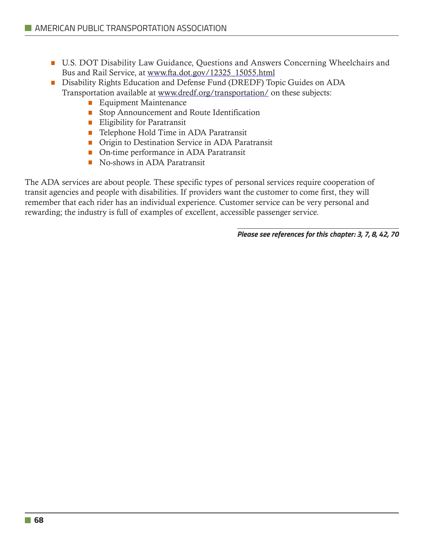- U.S. DOT Disability Law Guidance, Questions and Answers Concerning Wheelchairs and Bus and Rail Service, at www.fta.dot.gov/12325\_15055.html
- **Disability Rights Education and Defense Fund (DREDF) Topic Guides on ADA** Transportation available at www.dredf.org/transportation/ on these subjects:
	- **Equipment Maintenance**
	- **Stop Announcement and Route Identification**
	- $\blacksquare$  Eligibility for Paratransit
	- **Telephone Hold Time in ADA Paratransit**
	- **Origin to Destination Service in ADA Paratransit**
	- **On-time performance in ADA Paratransit**
	- No-shows in ADA Paratransit

The ADA services are about people. These specific types of personal services require cooperation of transit agencies and people with disabilities. If providers want the customer to come first, they will remember that each rider has an individual experience. Customer service can be very personal and rewarding; the industry is full of examples of excellent, accessible passenger service.

*Please see references for this chapter: 3, 7, 8, 42, 70*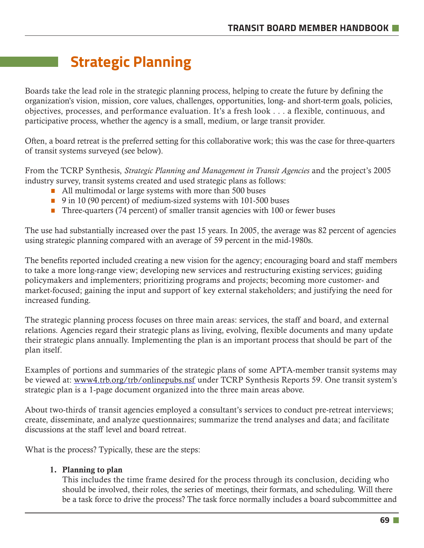# **Strategic Planning**

Boards take the lead role in the strategic planning process, helping to create the future by defining the organization's vision, mission, core values, challenges, opportunities, long- and short-term goals, policies, objectives, processes, and performance evaluation. It's a fresh look . . . a flexible, continuous, and participative process, whether the agency is a small, medium, or large transit provider.

Often, a board retreat is the preferred setting for this collaborative work; this was the case for three-quarters of transit systems surveyed (see below).

From the TCRP Synthesis, *Strategic Planning and Management in Transit Agencies* and the project's 2005 industry survey, transit systems created and used strategic plans as follows:

- All multimodal or large systems with more than 500 buses
- 9 in 10 (90 percent) of medium-sized systems with 101-500 buses
- **•** Three-quarters (74 percent) of smaller transit agencies with 100 or fewer buses

The use had substantially increased over the past 15 years. In 2005, the average was 82 percent of agencies using strategic planning compared with an average of 59 percent in the mid-1980s.

The benefits reported included creating a new vision for the agency; encouraging board and staff members to take a more long-range view; developing new services and restructuring existing services; guiding policymakers and implementers; prioritizing programs and projects; becoming more customer- and market-focused; gaining the input and support of key external stakeholders; and justifying the need for increased funding.

The strategic planning process focuses on three main areas: services, the staff and board, and external relations. Agencies regard their strategic plans as living, evolving, flexible documents and many update their strategic plans annually. Implementing the plan is an important process that should be part of the plan itself.

Examples of portions and summaries of the strategic plans of some APTA-member transit systems may be viewed at: www4.trb.org/trb/onlinepubs.nsf under TCRP Synthesis Reports 59. One transit system's strategic plan is a 1-page document organized into the three main areas above.

About two-thirds of transit agencies employed a consultant's services to conduct pre-retreat interviews; create, disseminate, and analyze questionnaires; summarize the trend analyses and data; and facilitate discussions at the staff level and board retreat.

What is the process? Typically, these are the steps:

#### 1. Planning to plan

This includes the time frame desired for the process through its conclusion, deciding who should be involved, their roles, the series of meetings, their formats, and scheduling. Will there be a task force to drive the process? The task force normally includes a board subcommittee and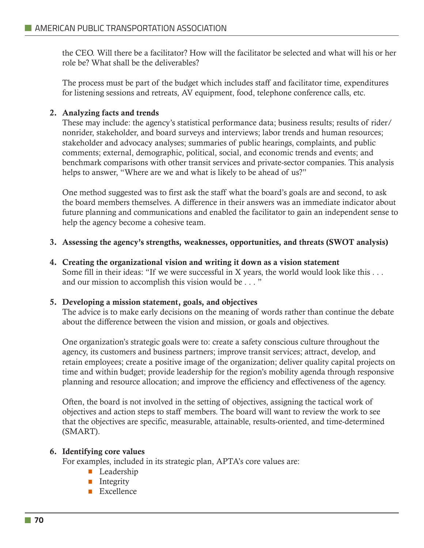the CEO. Will there be a facilitator? How will the facilitator be selected and what will his or her role be? What shall be the deliverables?

The process must be part of the budget which includes staff and facilitator time, expenditures for listening sessions and retreats, AV equipment, food, telephone conference calls, etc.

#### 2. Analyzing facts and trends

These may include: the agency's statistical performance data; business results; results of rider/ nonrider, stakeholder, and board surveys and interviews; labor trends and human resources; stakeholder and advocacy analyses; summaries of public hearings, complaints, and public comments; external, demographic, political, social, and economic trends and events; and benchmark comparisons with other transit services and private-sector companies. This analysis helps to answer, "Where are we and what is likely to be ahead of us?"

One method suggested was to first ask the staff what the board's goals are and second, to ask the board members themselves. A difference in their answers was an immediate indicator about future planning and communications and enabled the facilitator to gain an independent sense to help the agency become a cohesive team.

#### 3. Assessing the agency's strengths, weaknesses, opportunities, and threats (SWOT analysis)

4. Creating the organizational vision and writing it down as a vision statement Some fill in their ideas: "If we were successful in X years, the world would look like this . . . and our mission to accomplish this vision would be . . . "

#### 5. Developing a mission statement, goals, and objectives

The advice is to make early decisions on the meaning of words rather than continue the debate about the difference between the vision and mission, or goals and objectives.

One organization's strategic goals were to: create a safety conscious culture throughout the agency, its customers and business partners; improve transit services; attract, develop, and retain employees; create a positive image of the organization; deliver quality capital projects on time and within budget; provide leadership for the region's mobility agenda through responsive planning and resource allocation; and improve the efficiency and effectiveness of the agency.

Often, the board is not involved in the setting of objectives, assigning the tactical work of objectives and action steps to staff members. The board will want to review the work to see that the objectives are specific, measurable, attainable, results-oriented, and time-determined (SMART).

#### 6. Identifying core values

For examples, included in its strategic plan, APTA's core values are:

- **•** Leadership
- **•** Integrity
- **Excellence**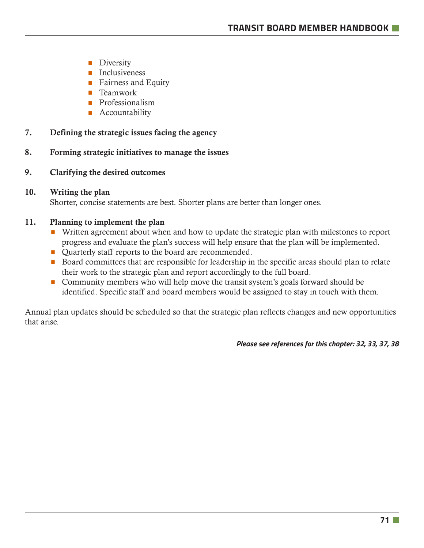- **•** Diversity
- **•** Inclusiveness
- **Fairness and Equity**
- **F** Teamwork
- **•** Professionalism
- $\blacksquare$  Accountability
- 7. Defining the strategic issues facing the agency
- 8. Forming strategic initiatives to manage the issues
- 9. Clarifying the desired outcomes

#### 10. Writing the plan

Shorter, concise statements are best. Shorter plans are better than longer ones.

#### 11. Planning to implement the plan

- **•** Written agreement about when and how to update the strategic plan with milestones to report progress and evaluate the plan's success will help ensure that the plan will be implemented.
- **Quarterly staff reports to the board are recommended.**
- **Board committees that are responsible for leadership in the specific areas should plan to relate** their work to the strategic plan and report accordingly to the full board.
- Community members who will help move the transit system's goals forward should be identified. Specific staff and board members would be assigned to stay in touch with them.

Annual plan updates should be scheduled so that the strategic plan reflects changes and new opportunities that arise.

*Please see references for this chapter: 32, 33, 37, 38*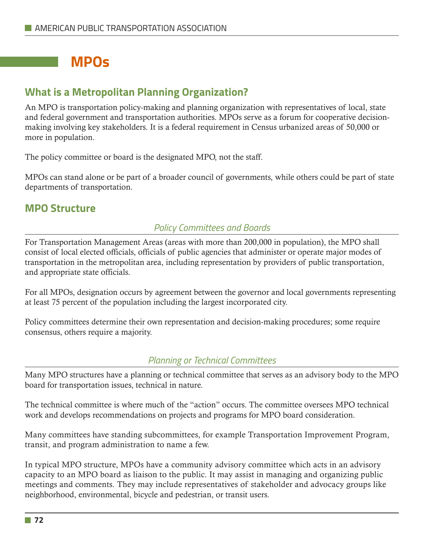## **MPOs**

## **What is a Metropolitan Planning Organization?**

An MPO is transportation policy-making and planning organization with representatives of local, state and federal government and transportation authorities. MPOs serve as a forum for cooperative decisionmaking involving key stakeholders. It is a federal requirement in Census urbanized areas of 50,000 or more in population.

The policy committee or board is the designated MPO, not the staff.

MPOs can stand alone or be part of a broader council of governments, while others could be part of state departments of transportation.

## **MPO Structure**

### *Policy Committees and Boards*

For Transportation Management Areas (areas with more than 200,000 in population), the MPO shall consist of local elected officials, officials of public agencies that administer or operate major modes of transportation in the metropolitan area, including representation by providers of public transportation, and appropriate state officials.

For all MPOs, designation occurs by agreement between the governor and local governments representing at least 75 percent of the population including the largest incorporated city.

Policy committees determine their own representation and decision-making procedures; some require consensus, others require a majority.

### *Planning or Technical Committees*

Many MPO structures have a planning or technical committee that serves as an advisory body to the MPO board for transportation issues, technical in nature.

The technical committee is where much of the "action" occurs. The committee oversees MPO technical work and develops recommendations on projects and programs for MPO board consideration.

Many committees have standing subcommittees, for example Transportation Improvement Program, transit, and program administration to name a few.

In typical MPO structure, MPOs have a community advisory committee which acts in an advisory capacity to an MPO board as liaison to the public. It may assist in managing and organizing public meetings and comments. They may include representatives of stakeholder and advocacy groups like neighborhood, environmental, bicycle and pedestrian, or transit users.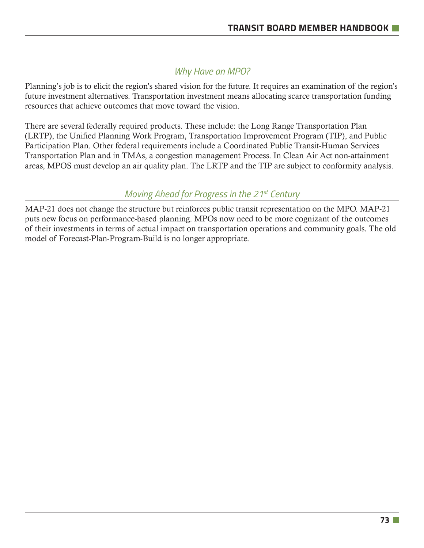### *Why Have an MPO?*

Planning's job is to elicit the region's shared vision for the future. It requires an examination of the region's future investment alternatives. Transportation investment means allocating scarce transportation funding resources that achieve outcomes that move toward the vision.

There are several federally required products. These include: the Long Range Transportation Plan (LRTP), the Unified Planning Work Program, Transportation Improvement Program (TIP), and Public Participation Plan. Other federal requirements include a Coordinated Public Transit-Human Services Transportation Plan and in TMAs, a congestion management Process. In Clean Air Act non-attainment areas, MPOS must develop an air quality plan. The LRTP and the TIP are subject to conformity analysis.

## *Moving Ahead for Progress in the 21st Century*

MAP-21 does not change the structure but reinforces public transit representation on the MPO. MAP-21 puts new focus on performance-based planning. MPOs now need to be more cognizant of the outcomes of their investments in terms of actual impact on transportation operations and community goals. The old model of Forecast-Plan-Program-Build is no longer appropriate.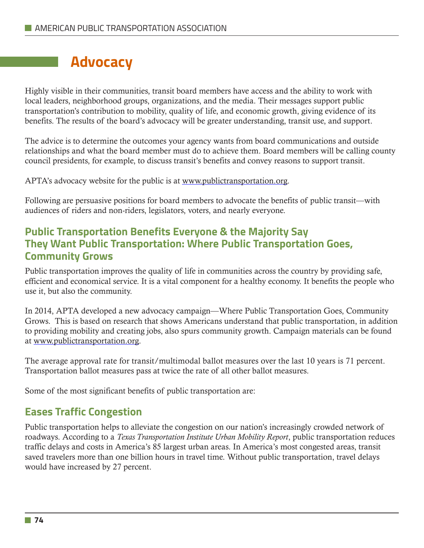# **Advocacy**

Highly visible in their communities, transit board members have access and the ability to work with local leaders, neighborhood groups, organizations, and the media. Their messages support public transportation's contribution to mobility, quality of life, and economic growth, giving evidence of its benefits. The results of the board's advocacy will be greater understanding, transit use, and support.

The advice is to determine the outcomes your agency wants from board communications and outside relationships and what the board member must do to achieve them. Board members will be calling county council presidents, for example, to discuss transit's benefits and convey reasons to support transit.

APTA's advocacy website for the public is at www.publictransportation.org.

Following are persuasive positions for board members to advocate the benefits of public transit—with audiences of riders and non-riders, legislators, voters, and nearly everyone.

## **Public Transportation Benefits Everyone & the Majority Say They Want Public Transportation: Where Public Transportation Goes, Community Grows**

Public transportation improves the quality of life in communities across the country by providing safe, efficient and economical service. It is a vital component for a healthy economy. It benefits the people who use it, but also the community.

In 2014, APTA developed a new advocacy campaign—Where Public Transportation Goes, Community Grows. This is based on research that shows Americans understand that public transportation, in addition to providing mobility and creating jobs, also spurs community growth. Campaign materials can be found at www.publictransportation.org.

The average approval rate for transit/multimodal ballot measures over the last 10 years is 71 percent. Transportation ballot measures pass at twice the rate of all other ballot measures.

Some of the most significant benefits of public transportation are:

## **Eases Traffic Congestion**

Public transportation helps to alleviate the congestion on our nation's increasingly crowded network of roadways. According to a *Texas Transportation Institute Urban Mobility Report*, public transportation reduces traffic delays and costs in America's 85 largest urban areas. In America's most congested areas, transit saved travelers more than one billion hours in travel time. Without public transportation, travel delays would have increased by 27 percent.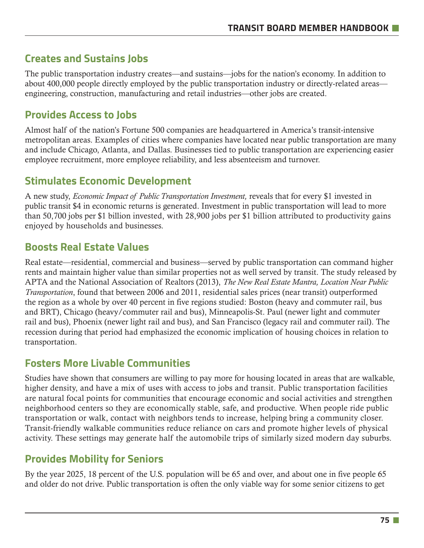## **Creates and Sustains Jobs**

The public transportation industry creates—and sustains—jobs for the nation's economy. In addition to about 400,000 people directly employed by the public transportation industry or directly-related areas engineering, construction, manufacturing and retail industries—other jobs are created.

## **Provides Access to Jobs**

Almost half of the nation's Fortune 500 companies are headquartered in America's transit-intensive metropolitan areas. Examples of cities where companies have located near public transportation are many and include Chicago, Atlanta, and Dallas. Businesses tied to public transportation are experiencing easier employee recruitment, more employee reliability, and less absenteeism and turnover.

## **Stimulates Economic Development**

A new study, *Economic Impact of Public Transportation Investment,* reveals that for every \$1 invested in public transit \$4 in economic returns is generated. Investment in public transportation will lead to more than 50,700 jobs per \$1 billion invested, with 28,900 jobs per \$1 billion attributed to productivity gains enjoyed by households and businesses.

## **Boosts Real Estate Values**

Real estate—residential, commercial and business—served by public transportation can command higher rents and maintain higher value than similar properties not as well served by transit. The study released by APTA and the National Association of Realtors (2013), *The New Real Estate Mantra, Location Near Public Transportation*, found that between 2006 and 2011, residential sales prices (near transit) outperformed the region as a whole by over 40 percent in five regions studied: Boston (heavy and commuter rail, bus and BRT), Chicago (heavy/commuter rail and bus), Minneapolis-St. Paul (newer light and commuter rail and bus), Phoenix (newer light rail and bus), and San Francisco (legacy rail and commuter rail). The recession during that period had emphasized the economic implication of housing choices in relation to transportation.

## **Fosters More Livable Communities**

Studies have shown that consumers are willing to pay more for housing located in areas that are walkable, higher density, and have a mix of uses with access to jobs and transit. Public transportation facilities are natural focal points for communities that encourage economic and social activities and strengthen neighborhood centers so they are economically stable, safe, and productive. When people ride public transportation or walk, contact with neighbors tends to increase, helping bring a community closer. Transit-friendly walkable communities reduce reliance on cars and promote higher levels of physical activity. These settings may generate half the automobile trips of similarly sized modern day suburbs.

## **Provides Mobility for Seniors**

By the year 2025, 18 percent of the U.S. population will be 65 and over, and about one in five people 65 and older do not drive. Public transportation is often the only viable way for some senior citizens to get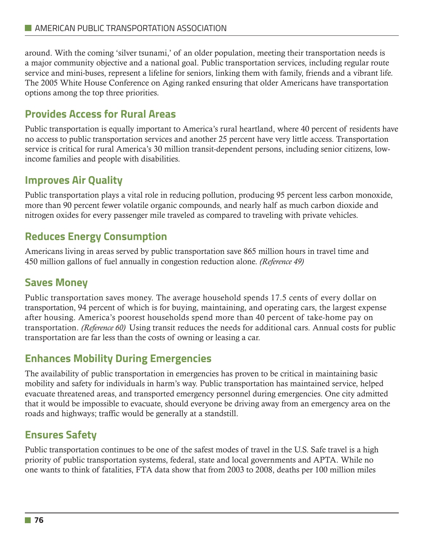around. With the coming 'silver tsunami,' of an older population, meeting their transportation needs is a major community objective and a national goal. Public transportation services, including regular route service and mini-buses, represent a lifeline for seniors, linking them with family, friends and a vibrant life. The 2005 White House Conference on Aging ranked ensuring that older Americans have transportation options among the top three priorities.

## **Provides Access for Rural Areas**

Public transportation is equally important to America's rural heartland, where 40 percent of residents have no access to public transportation services and another 25 percent have very little access. Transportation service is critical for rural America's 30 million transit-dependent persons, including senior citizens, lowincome families and people with disabilities.

## **Improves Air Quality**

Public transportation plays a vital role in reducing pollution, producing 95 percent less carbon monoxide, more than 90 percent fewer volatile organic compounds, and nearly half as much carbon dioxide and nitrogen oxides for every passenger mile traveled as compared to traveling with private vehicles.

## **Reduces Energy Consumption**

Americans living in areas served by public transportation save 865 million hours in travel time and 450 million gallons of fuel annually in congestion reduction alone. *(Reference 49)*

## **Saves Money**

Public transportation saves money. The average household spends 17.5 cents of every dollar on transportation, 94 percent of which is for buying, maintaining, and operating cars, the largest expense after housing. America's poorest households spend more than 40 percent of take-home pay on transportation. *(Reference 60)* Using transit reduces the needs for additional cars. Annual costs for public transportation are far less than the costs of owning or leasing a car.

## **Enhances Mobility During Emergencies**

The availability of public transportation in emergencies has proven to be critical in maintaining basic mobility and safety for individuals in harm's way. Public transportation has maintained service, helped evacuate threatened areas, and transported emergency personnel during emergencies. One city admitted that it would be impossible to evacuate, should everyone be driving away from an emergency area on the roads and highways; traffic would be generally at a standstill.

## **Ensures Safety**

Public transportation continues to be one of the safest modes of travel in the U.S. Safe travel is a high priority of public transportation systems, federal, state and local governments and APTA. While no one wants to think of fatalities, FTA data show that from 2003 to 2008, deaths per 100 million miles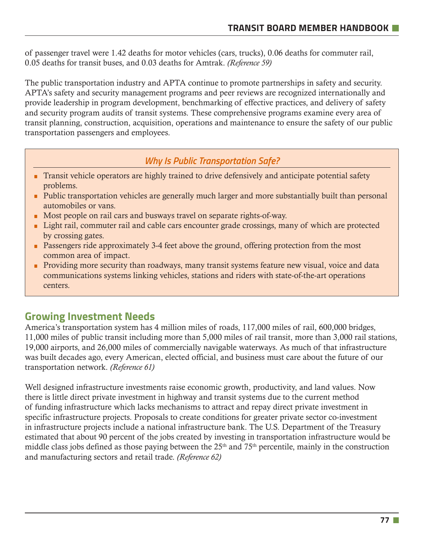of passenger travel were 1.42 deaths for motor vehicles (cars, trucks), 0.06 deaths for commuter rail, 0.05 deaths for transit buses, and 0.03 deaths for Amtrak. *(Reference 59)*

The public transportation industry and APTA continue to promote partnerships in safety and security. APTA's safety and security management programs and peer reviews are recognized internationally and provide leadership in program development, benchmarking of effective practices, and delivery of safety and security program audits of transit systems. These comprehensive programs examine every area of transit planning, construction, acquisition, operations and maintenance to ensure the safety of our public transportation passengers and employees.

### *Why Is Public Transportation Safe?*

- Transit vehicle operators are highly trained to drive defensively and anticipate potential safety problems.
- Public transportation vehicles are generally much larger and more substantially built than personal automobiles or vans.
- Most people on rail cars and busways travel on separate rights-of-way.
- Light rail, commuter rail and cable cars encounter grade crossings, many of which are protected by crossing gates.
- Passengers ride approximately 3-4 feet above the ground, offering protection from the most common area of impact.
- **Providing more security than roadways, many transit systems feature new visual, voice and data** communications systems linking vehicles, stations and riders with state-of-the-art operations centers.

## **Growing Investment Needs**

America's transportation system has 4 million miles of roads, 117,000 miles of rail, 600,000 bridges, 11,000 miles of public transit including more than 5,000 miles of rail transit, more than 3,000 rail stations, 19,000 airports, and 26,000 miles of commercially navigable waterways. As much of that infrastructure was built decades ago, every American, elected official, and business must care about the future of our transportation network. *(Reference 61)*

Well designed infrastructure investments raise economic growth, productivity, and land values. Now there is little direct private investment in highway and transit systems due to the current method of funding infrastructure which lacks mechanisms to attract and repay direct private investment in specific infrastructure projects. Proposals to create conditions for greater private sector co-investment in infrastructure projects include a national infrastructure bank. The U.S. Department of the Treasury estimated that about 90 percent of the jobs created by investing in transportation infrastructure would be middle class jobs defined as those paying between the 25<sup>th</sup> and 75<sup>th</sup> percentile, mainly in the construction and manufacturing sectors and retail trade. *(Reference 62)*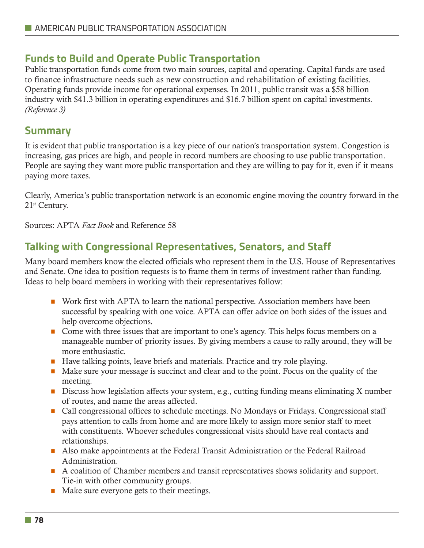### **Funds to Build and Operate Public Transportation**

Public transportation funds come from two main sources, capital and operating. Capital funds are used to finance infrastructure needs such as new construction and rehabilitation of existing facilities. Operating funds provide income for operational expenses. In 2011, public transit was a \$58 billion industry with \$41.3 billion in operating expenditures and \$16.7 billion spent on capital investments. *(Reference 3)*

## **Summary**

It is evident that public transportation is a key piece of our nation's transportation system. Congestion is increasing, gas prices are high, and people in record numbers are choosing to use public transportation. People are saying they want more public transportation and they are willing to pay for it, even if it means paying more taxes.

Clearly, America's public transportation network is an economic engine moving the country forward in the 21st Century.

Sources: APTA *Fact Book* and Reference 58

## **Talking with Congressional Representatives, Senators, and Staff**

Many board members know the elected officials who represent them in the U.S. House of Representatives and Senate. One idea to position requests is to frame them in terms of investment rather than funding. Ideas to help board members in working with their representatives follow:

- Work first with APTA to learn the national perspective. Association members have been successful by speaking with one voice. APTA can offer advice on both sides of the issues and help overcome objections.
- **•** Come with three issues that are important to one's agency. This helps focus members on a manageable number of priority issues. By giving members a cause to rally around, they will be more enthusiastic.
- Have talking points, leave briefs and materials. Practice and try role playing.
- Make sure your message is succinct and clear and to the point. Focus on the quality of the meeting.
- **•** Discuss how legislation affects your system, e.g., cutting funding means eliminating X number of routes, and name the areas affected.
- Call congressional offices to schedule meetings. No Mondays or Fridays. Congressional staff pays attention to calls from home and are more likely to assign more senior staff to meet with constituents. Whoever schedules congressional visits should have real contacts and relationships.
- Also make appointments at the Federal Transit Administration or the Federal Railroad Administration.
- A coalition of Chamber members and transit representatives shows solidarity and support. Tie-in with other community groups.
- Make sure everyone gets to their meetings.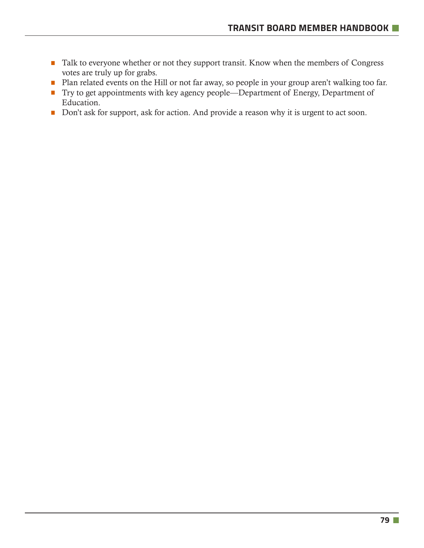- **•** Talk to everyone whether or not they support transit. Know when the members of Congress votes are truly up for grabs.
- **•** Plan related events on the Hill or not far away, so people in your group aren't walking too far.
- **•** Try to get appointments with key agency people—Department of Energy, Department of Education.
- Don't ask for support, ask for action. And provide a reason why it is urgent to act soon.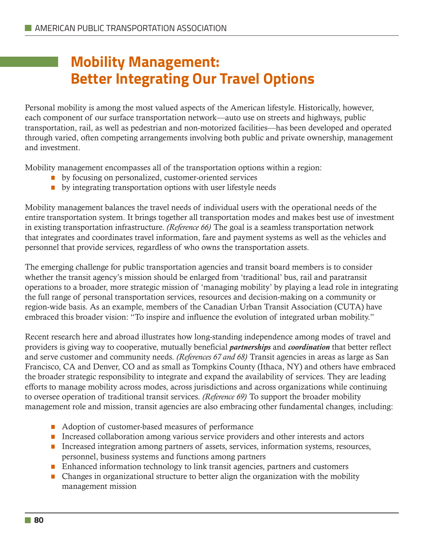# **Mobility Management: Better Integrating Our Travel Options**

Personal mobility is among the most valued aspects of the American lifestyle. Historically, however, each component of our surface transportation network—auto use on streets and highways, public transportation, rail, as well as pedestrian and non-motorized facilities—has been developed and operated through varied, often competing arrangements involving both public and private ownership, management and investment.

Mobility management encompasses all of the transportation options within a region:

- by focusing on personalized, customer-oriented services
- $\blacksquare$  by integrating transportation options with user lifestyle needs

Mobility management balances the travel needs of individual users with the operational needs of the entire transportation system. It brings together all transportation modes and makes best use of investment in existing transportation infrastructure. *(Reference 66)* The goal is a seamless transportation network that integrates and coordinates travel information, fare and payment systems as well as the vehicles and personnel that provide services, regardless of who owns the transportation assets.

The emerging challenge for public transportation agencies and transit board members is to consider whether the transit agency's mission should be enlarged from 'traditional' bus, rail and paratransit operations to a broader, more strategic mission of 'managing mobility' by playing a lead role in integrating the full range of personal transportation services, resources and decision-making on a community or region-wide basis. As an example, members of the Canadian Urban Transit Association (CUTA) have embraced this broader vision: "To inspire and influence the evolution of integrated urban mobility."

Recent research here and abroad illustrates how long-standing independence among modes of travel and providers is giving way to cooperative, mutually beneficial *partnerships* and *coordination* that better reflect and serve customer and community needs. *(References 67 and 68)* Transit agencies in areas as large as San Francisco, CA and Denver, CO and as small as Tompkins County (Ithaca, NY) and others have embraced the broader strategic responsibility to integrate and expand the availability of services. They are leading efforts to manage mobility across modes, across jurisdictions and across organizations while continuing to oversee operation of traditional transit services. *(Reference 69)* To support the broader mobility management role and mission, transit agencies are also embracing other fundamental changes, including:

- Adoption of customer-based measures of performance
- **•** Increased collaboration among various service providers and other interests and actors
- **•** Increased integration among partners of assets, services, information systems, resources, personnel, business systems and functions among partners
- Enhanced information technology to link transit agencies, partners and customers
- Changes in organizational structure to better align the organization with the mobility management mission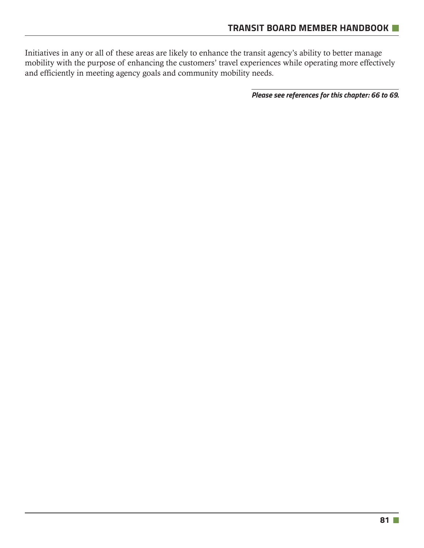Initiatives in any or all of these areas are likely to enhance the transit agency's ability to better manage mobility with the purpose of enhancing the customers' travel experiences while operating more effectively and efficiently in meeting agency goals and community mobility needs.

*Please see references for this chapter: 66 to 69.*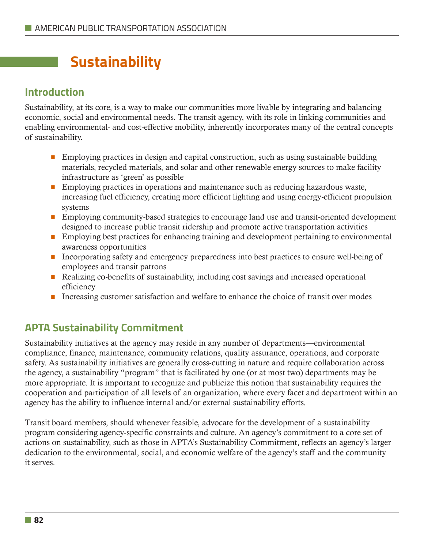# **Sustainability**

## **Introduction**

Sustainability, at its core, is a way to make our communities more livable by integrating and balancing economic, social and environmental needs. The transit agency, with its role in linking communities and enabling environmental- and cost-effective mobility, inherently incorporates many of the central concepts of sustainability.

- Employing practices in design and capital construction, such as using sustainable building materials, recycled materials, and solar and other renewable energy sources to make facility infrastructure as 'green' as possible
- **Employing practices in operations and maintenance such as reducing hazardous waste,** increasing fuel efficiency, creating more efficient lighting and using energy-efficient propulsion systems
- Employing community-based strategies to encourage land use and transit-oriented development designed to increase public transit ridership and promote active transportation activities
- Employing best practices for enhancing training and development pertaining to environmental awareness opportunities
- **Incorporating safety and emergency preparedness into best practices to ensure well-being of** employees and transit patrons
- Realizing co-benefits of sustainability, including cost savings and increased operational efficiency
- **•** Increasing customer satisfaction and welfare to enhance the choice of transit over modes

## **APTA Sustainability Commitment**

Sustainability initiatives at the agency may reside in any number of departments—environmental compliance, finance, maintenance, community relations, quality assurance, operations, and corporate safety. As sustainability initiatives are generally cross-cutting in nature and require collaboration across the agency, a sustainability "program" that is facilitated by one (or at most two) departments may be more appropriate. It is important to recognize and publicize this notion that sustainability requires the cooperation and participation of all levels of an organization, where every facet and department within an agency has the ability to influence internal and/or external sustainability efforts.

Transit board members, should whenever feasible, advocate for the development of a sustainability program considering agency-specific constraints and culture. An agency's commitment to a core set of actions on sustainability, such as those in APTA's Sustainability Commitment, reflects an agency's larger dedication to the environmental, social, and economic welfare of the agency's staff and the community it serves.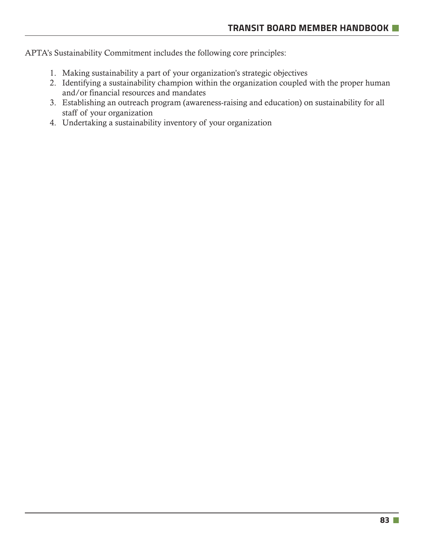APTA's Sustainability Commitment includes the following core principles:

- 1. Making sustainability a part of your organization's strategic objectives
- 2. Identifying a sustainability champion within the organization coupled with the proper human and/or financial resources and mandates
- 3. Establishing an outreach program (awareness-raising and education) on sustainability for all staff of your organization
- 4. Undertaking a sustainability inventory of your organization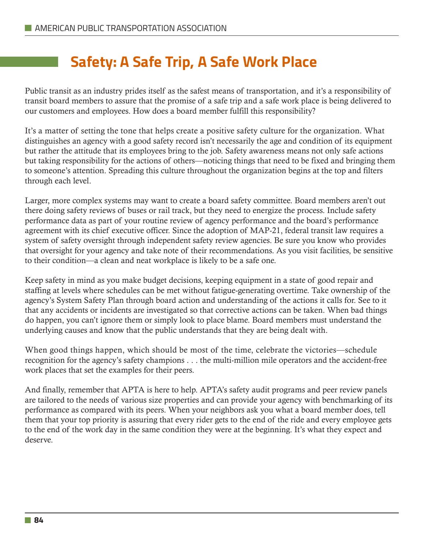# **Safety: A Safe Trip, A Safe Work Place**

Public transit as an industry prides itself as the safest means of transportation, and it's a responsibility of transit board members to assure that the promise of a safe trip and a safe work place is being delivered to our customers and employees. How does a board member fulfill this responsibility?

It's a matter of setting the tone that helps create a positive safety culture for the organization. What distinguishes an agency with a good safety record isn't necessarily the age and condition of its equipment but rather the attitude that its employees bring to the job. Safety awareness means not only safe actions but taking responsibility for the actions of others—noticing things that need to be fixed and bringing them to someone's attention. Spreading this culture throughout the organization begins at the top and filters through each level.

Larger, more complex systems may want to create a board safety committee. Board members aren't out there doing safety reviews of buses or rail track, but they need to energize the process. Include safety performance data as part of your routine review of agency performance and the board's performance agreement with its chief executive officer. Since the adoption of MAP-21, federal transit law requires a system of safety oversight through independent safety review agencies. Be sure you know who provides that oversight for your agency and take note of their recommendations. As you visit facilities, be sensitive to their condition—a clean and neat workplace is likely to be a safe one.

Keep safety in mind as you make budget decisions, keeping equipment in a state of good repair and staffing at levels where schedules can be met without fatigue-generating overtime. Take ownership of the agency's System Safety Plan through board action and understanding of the actions it calls for. See to it that any accidents or incidents are investigated so that corrective actions can be taken. When bad things do happen, you can't ignore them or simply look to place blame. Board members must understand the underlying causes and know that the public understands that they are being dealt with.

When good things happen, which should be most of the time, celebrate the victories—schedule recognition for the agency's safety champions . . . the multi-million mile operators and the accident-free work places that set the examples for their peers.

And finally, remember that APTA is here to help. APTA's safety audit programs and peer review panels are tailored to the needs of various size properties and can provide your agency with benchmarking of its performance as compared with its peers. When your neighbors ask you what a board member does, tell them that your top priority is assuring that every rider gets to the end of the ride and every employee gets to the end of the work day in the same condition they were at the beginning. It's what they expect and deserve.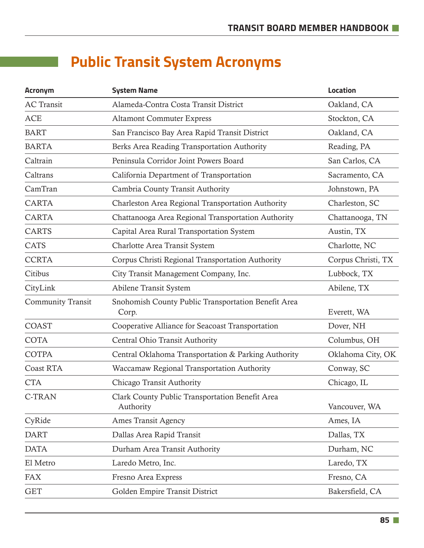# **Public Transit System Acronyms**

| <b>Acronym</b>           | <b>System Name</b>                                           | <b>Location</b>    |
|--------------------------|--------------------------------------------------------------|--------------------|
| <b>AC</b> Transit        | Alameda-Contra Costa Transit District                        | Oakland, CA        |
| <b>ACE</b>               | <b>Altamont Commuter Express</b>                             | Stockton, CA       |
| <b>BART</b>              | San Francisco Bay Area Rapid Transit District                | Oakland, CA        |
| <b>BARTA</b>             | Berks Area Reading Transportation Authority                  | Reading, PA        |
| Caltrain                 | Peninsula Corridor Joint Powers Board                        | San Carlos, CA     |
| Caltrans                 | California Department of Transportation                      | Sacramento, CA     |
| CamTran                  | Cambria County Transit Authority                             | Johnstown, PA      |
| <b>CARTA</b>             | Charleston Area Regional Transportation Authority            | Charleston, SC     |
| <b>CARTA</b>             | Chattanooga Area Regional Transportation Authority           | Chattanooga, TN    |
| <b>CARTS</b>             | Capital Area Rural Transportation System                     | Austin, TX         |
| <b>CATS</b>              | Charlotte Area Transit System                                | Charlotte, NC      |
| <b>CCRTA</b>             | Corpus Christi Regional Transportation Authority             | Corpus Christi, TX |
| Citibus                  | City Transit Management Company, Inc.                        | Lubbock, TX        |
| CityLink                 | Abilene Transit System                                       | Abilene, TX        |
| <b>Community Transit</b> | Snohomish County Public Transportation Benefit Area<br>Corp. | Everett, WA        |
| <b>COAST</b>             | Cooperative Alliance for Seacoast Transportation             | Dover, NH          |
| <b>COTA</b>              | Central Ohio Transit Authority                               | Columbus, OH       |
| <b>COTPA</b>             | Central Oklahoma Transportation & Parking Authority          | Oklahoma City, OK  |
| <b>Coast RTA</b>         | Waccamaw Regional Transportation Authority                   | Conway, SC         |
| <b>CTA</b>               | Chicago Transit Authority                                    | Chicago, IL        |
| C-TRAN                   | Clark County Public Transportation Benefit Area<br>Authority | Vancouver, WA      |
| CyRide                   | <b>Ames Transit Agency</b>                                   | Ames, IA           |
| <b>DART</b>              | Dallas Area Rapid Transit                                    | Dallas, TX         |
| <b>DATA</b>              | Durham Area Transit Authority                                | Durham, NC         |
| El Metro                 | Laredo Metro, Inc.                                           | Laredo, TX         |
| <b>FAX</b>               | Fresno Area Express                                          | Fresno, CA         |
| <b>GET</b>               | Golden Empire Transit District                               | Bakersfield, CA    |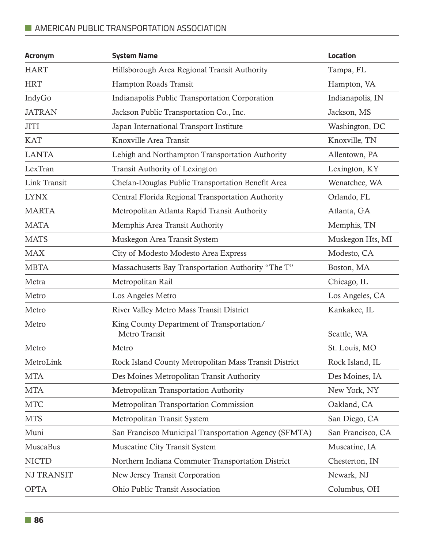| <b>Acronym</b>      | <b>System Name</b>                                         | <b>Location</b>   |
|---------------------|------------------------------------------------------------|-------------------|
| <b>HART</b>         | Hillsborough Area Regional Transit Authority               | Tampa, FL         |
| <b>HRT</b>          | Hampton Roads Transit                                      | Hampton, VA       |
| IndyGo              | Indianapolis Public Transportation Corporation             | Indianapolis, IN  |
| <b>JATRAN</b>       | Jackson Public Transportation Co., Inc.                    | Jackson, MS       |
| <b>JITI</b>         | Japan International Transport Institute                    | Washington, DC    |
| <b>KAT</b>          | Knoxville Area Transit                                     | Knoxville, TN     |
| <b>LANTA</b>        | Lehigh and Northampton Transportation Authority            | Allentown, PA     |
| LexTran             | Transit Authority of Lexington                             | Lexington, KY     |
| <b>Link Transit</b> | Chelan-Douglas Public Transportation Benefit Area          | Wenatchee, WA     |
| <b>LYNX</b>         | Central Florida Regional Transportation Authority          | Orlando, FL       |
| <b>MARTA</b>        | Metropolitan Atlanta Rapid Transit Authority               | Atlanta, GA       |
| <b>MATA</b>         | Memphis Area Transit Authority                             | Memphis, TN       |
| <b>MATS</b>         | Muskegon Area Transit System                               | Muskegon Hts, MI  |
| <b>MAX</b>          | City of Modesto Modesto Area Express                       | Modesto, CA       |
| <b>MBTA</b>         | Massachusetts Bay Transportation Authority "The T"         | Boston, MA        |
| Metra               | Metropolitan Rail                                          | Chicago, IL       |
| Metro               | Los Angeles Metro                                          | Los Angeles, CA   |
| Metro               | River Valley Metro Mass Transit District                   | Kankakee, IL      |
| Metro               | King County Department of Transportation/<br>Metro Transit | Seattle, WA       |
| Metro               | Metro                                                      | St. Louis, MO     |
| MetroLink           | Rock Island County Metropolitan Mass Transit District      | Rock Island, IL   |
| <b>MTA</b>          | Des Moines Metropolitan Transit Authority                  | Des Moines, IA    |
| <b>MTA</b>          | Metropolitan Transportation Authority                      | New York, NY      |
| <b>MTC</b>          | Metropolitan Transportation Commission                     | Oakland, CA       |
| <b>MTS</b>          | Metropolitan Transit System                                | San Diego, CA     |
| Muni                | San Francisco Municipal Transportation Agency (SFMTA)      | San Francisco, CA |
| MuscaBus            | <b>Muscatine City Transit System</b>                       | Muscatine, IA     |
| <b>NICTD</b>        | Northern Indiana Commuter Transportation District          | Chesterton, IN    |
| <b>NJ TRANSIT</b>   | New Jersey Transit Corporation                             | Newark, NJ        |
| <b>OPTA</b>         | Ohio Public Transit Association                            | Columbus, OH      |
|                     |                                                            |                   |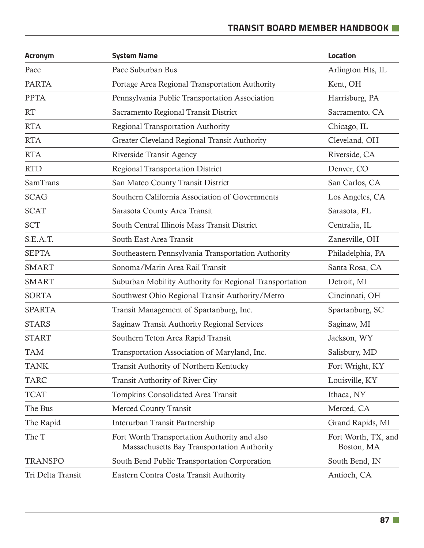| <b>Acronym</b>    | <b>System Name</b>                                                                         | <b>Location</b>                   |
|-------------------|--------------------------------------------------------------------------------------------|-----------------------------------|
| Pace              | Pace Suburban Bus                                                                          | Arlington Hts, IL                 |
| <b>PARTA</b>      | Portage Area Regional Transportation Authority                                             | Kent, OH                          |
| <b>PPTA</b>       | Pennsylvania Public Transportation Association                                             | Harrisburg, PA                    |
| RT                | Sacramento Regional Transit District                                                       | Sacramento, CA                    |
| <b>RTA</b>        | Regional Transportation Authority                                                          | Chicago, IL                       |
| <b>RTA</b>        | Greater Cleveland Regional Transit Authority                                               | Cleveland, OH                     |
| <b>RTA</b>        | <b>Riverside Transit Agency</b>                                                            | Riverside, CA                     |
| <b>RTD</b>        | <b>Regional Transportation District</b>                                                    | Denver, CO                        |
| <b>SamTrans</b>   | San Mateo County Transit District                                                          | San Carlos, CA                    |
| <b>SCAG</b>       | Southern California Association of Governments                                             | Los Angeles, CA                   |
| <b>SCAT</b>       | Sarasota County Area Transit                                                               | Sarasota, FL                      |
| <b>SCT</b>        | South Central Illinois Mass Transit District                                               | Centralia, IL                     |
| S.E.A.T.          | South East Area Transit                                                                    | Zanesville, OH                    |
| <b>SEPTA</b>      | Southeastern Pennsylvania Transportation Authority                                         | Philadelphia, PA                  |
| <b>SMART</b>      | Sonoma/Marin Area Rail Transit                                                             | Santa Rosa, CA                    |
| <b>SMART</b>      | Suburban Mobility Authority for Regional Transportation                                    | Detroit, MI                       |
| <b>SORTA</b>      | Southwest Ohio Regional Transit Authority/Metro                                            | Cincinnati, OH                    |
| <b>SPARTA</b>     | Transit Management of Spartanburg, Inc.                                                    | Spartanburg, SC                   |
| <b>STARS</b>      | Saginaw Transit Authority Regional Services                                                | Saginaw, MI                       |
| <b>START</b>      | Southern Teton Area Rapid Transit                                                          | Jackson, WY                       |
| <b>TAM</b>        | Transportation Association of Maryland, Inc.                                               | Salisbury, MD                     |
| <b>TANK</b>       | Transit Authority of Northern Kentucky                                                     | Fort Wright, KY                   |
| <b>TARC</b>       | Transit Authority of River City                                                            | Louisville, KY                    |
| <b>TCAT</b>       | Tompkins Consolidated Area Transit                                                         | Ithaca, NY                        |
| The Bus           | <b>Merced County Transit</b>                                                               | Merced, CA                        |
| The Rapid         | Interurban Transit Partnership                                                             | Grand Rapids, MI                  |
| The T             | Fort Worth Transportation Authority and also<br>Massachusetts Bay Transportation Authority | Fort Worth, TX, and<br>Boston, MA |
| <b>TRANSPO</b>    | South Bend Public Transportation Corporation                                               | South Bend, IN                    |
| Tri Delta Transit | Eastern Contra Costa Transit Authority                                                     | Antioch, CA                       |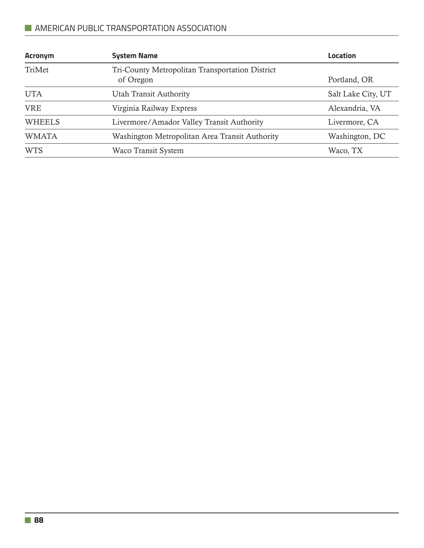#### **AMERICAN PUBLIC TRANSPORTATION ASSOCIATION**

| <b>Acronym</b> | <b>System Name</b>                                           | Location           |
|----------------|--------------------------------------------------------------|--------------------|
| TriMet         | Tri-County Metropolitan Transportation District<br>of Oregon | Portland, OR       |
| <b>UTA</b>     | <b>Utah Transit Authority</b>                                | Salt Lake City, UT |
| <b>VRE</b>     | Virginia Railway Express                                     | Alexandria, VA     |
| <b>WHEELS</b>  | Livermore/Amador Valley Transit Authority                    | Livermore, CA      |
| <b>WMATA</b>   | Washington Metropolitan Area Transit Authority               | Washington, DC     |
| <b>WTS</b>     | Waco Transit System                                          | Waco, TX           |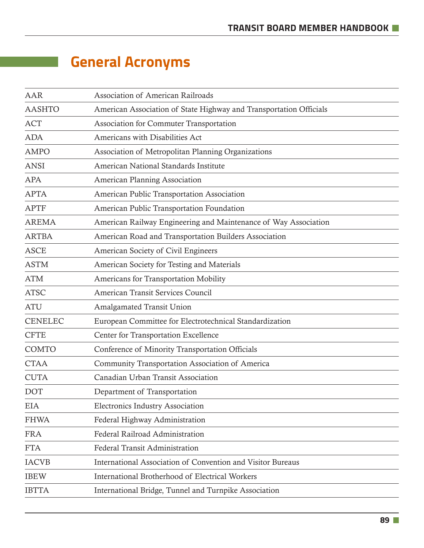# **General Acronyms**

| <b>AAR</b>     | <b>Association of American Railroads</b>                           |
|----------------|--------------------------------------------------------------------|
| <b>AASHTO</b>  | American Association of State Highway and Transportation Officials |
| <b>ACT</b>     | Association for Commuter Transportation                            |
| <b>ADA</b>     | Americans with Disabilities Act                                    |
| <b>AMPO</b>    | Association of Metropolitan Planning Organizations                 |
| <b>ANSI</b>    | American National Standards Institute                              |
| <b>APA</b>     | American Planning Association                                      |
| <b>APTA</b>    | American Public Transportation Association                         |
| <b>APTF</b>    | American Public Transportation Foundation                          |
| <b>AREMA</b>   | American Railway Engineering and Maintenance of Way Association    |
| <b>ARTBA</b>   | American Road and Transportation Builders Association              |
| <b>ASCE</b>    | American Society of Civil Engineers                                |
| <b>ASTM</b>    | American Society for Testing and Materials                         |
| <b>ATM</b>     | Americans for Transportation Mobility                              |
| <b>ATSC</b>    | American Transit Services Council                                  |
| <b>ATU</b>     | <b>Amalgamated Transit Union</b>                                   |
| <b>CENELEC</b> | European Committee for Electrotechnical Standardization            |
| <b>CFTE</b>    | Center for Transportation Excellence                               |
| <b>COMTO</b>   | Conference of Minority Transportation Officials                    |
| <b>CTAA</b>    | Community Transportation Association of America                    |
| <b>CUTA</b>    | Canadian Urban Transit Association                                 |
| <b>DOT</b>     | Department of Transportation                                       |
| EIA            | <b>Electronics Industry Association</b>                            |
| <b>FHWA</b>    | Federal Highway Administration                                     |
| <b>FRA</b>     | Federal Railroad Administration                                    |
| <b>FTA</b>     | <b>Federal Transit Administration</b>                              |
| <b>IACVB</b>   | International Association of Convention and Visitor Bureaus        |
| <b>IBEW</b>    | International Brotherhood of Electrical Workers                    |
| <b>IBTTA</b>   | International Bridge, Tunnel and Turnpike Association              |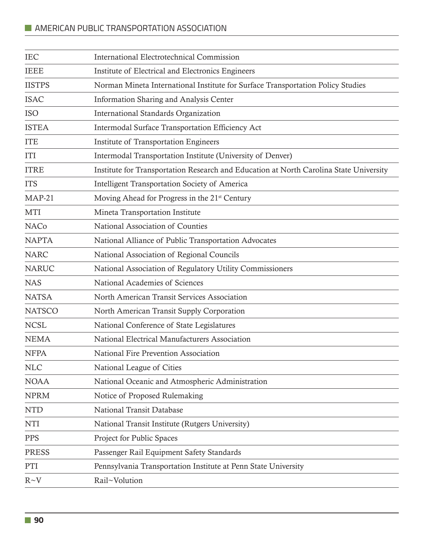### **AMERICAN PUBLIC TRANSPORTATION ASSOCIATION**

| <b>IEC</b>    | <b>International Electrotechnical Commission</b>                                       |
|---------------|----------------------------------------------------------------------------------------|
| <b>IEEE</b>   | Institute of Electrical and Electronics Engineers                                      |
| <b>IISTPS</b> | Norman Mineta International Institute for Surface Transportation Policy Studies        |
| <b>ISAC</b>   | <b>Information Sharing and Analysis Center</b>                                         |
| <b>ISO</b>    | International Standards Organization                                                   |
| <b>ISTEA</b>  | Intermodal Surface Transportation Efficiency Act                                       |
| <b>ITE</b>    | <b>Institute of Transportation Engineers</b>                                           |
| <b>ITI</b>    | Intermodal Transportation Institute (University of Denver)                             |
| <b>ITRE</b>   | Institute for Transportation Research and Education at North Carolina State University |
| <b>ITS</b>    | Intelligent Transportation Society of America                                          |
| $MAP-21$      | Moving Ahead for Progress in the 21 <sup>st</sup> Century                              |
| <b>MTI</b>    | Mineta Transportation Institute                                                        |
| <b>NACo</b>   | National Association of Counties                                                       |
| <b>NAPTA</b>  | National Alliance of Public Transportation Advocates                                   |
| <b>NARC</b>   | National Association of Regional Councils                                              |
| <b>NARUC</b>  | National Association of Regulatory Utility Commissioners                               |
| <b>NAS</b>    | National Academies of Sciences                                                         |
| <b>NATSA</b>  | North American Transit Services Association                                            |
| <b>NATSCO</b> | North American Transit Supply Corporation                                              |
| <b>NCSL</b>   | National Conference of State Legislatures                                              |
| <b>NEMA</b>   | National Electrical Manufacturers Association                                          |
| <b>NFPA</b>   | National Fire Prevention Association                                                   |
| <b>NLC</b>    | National League of Cities                                                              |
| <b>NOAA</b>   | National Oceanic and Atmospheric Administration                                        |
| <b>NPRM</b>   | Notice of Proposed Rulemaking                                                          |
| <b>NTD</b>    | National Transit Database                                                              |
| <b>NTI</b>    | National Transit Institute (Rutgers University)                                        |
| <b>PPS</b>    | Project for Public Spaces                                                              |
| <b>PRESS</b>  | Passenger Rail Equipment Safety Standards                                              |
| PTI           | Pennsylvania Transportation Institute at Penn State University                         |
| R~V           | Rail~Volution                                                                          |
|               |                                                                                        |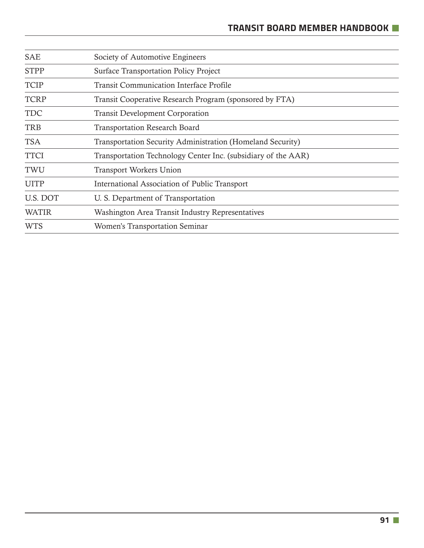| <b>SAE</b>   | Society of Automotive Engineers                               |
|--------------|---------------------------------------------------------------|
| <b>STPP</b>  | <b>Surface Transportation Policy Project</b>                  |
| <b>TCIP</b>  | <b>Transit Communication Interface Profile</b>                |
| <b>TCRP</b>  | Transit Cooperative Research Program (sponsored by FTA)       |
| <b>TDC</b>   | <b>Transit Development Corporation</b>                        |
| <b>TRB</b>   | <b>Transportation Research Board</b>                          |
| <b>TSA</b>   | Transportation Security Administration (Homeland Security)    |
| <b>TTCI</b>  | Transportation Technology Center Inc. (subsidiary of the AAR) |
| TWU          | <b>Transport Workers Union</b>                                |
| <b>UITP</b>  | International Association of Public Transport                 |
| U.S. DOT     | U. S. Department of Transportation                            |
| <b>WATIR</b> | Washington Area Transit Industry Representatives              |
| <b>WTS</b>   | <b>Women's Transportation Seminar</b>                         |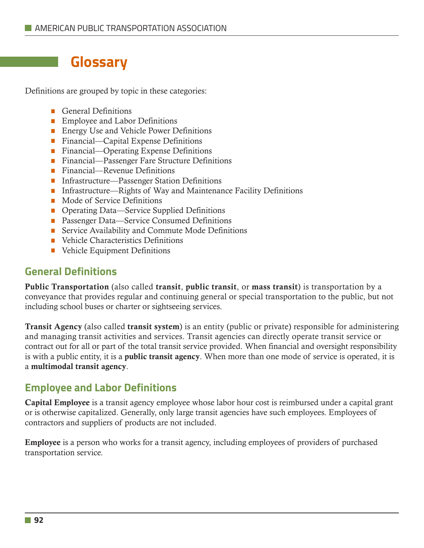## **Glossary**

Definitions are grouped by topic in these categories:

- **General Definitions**
- **Employee and Labor Definitions**
- **Energy Use and Vehicle Power Definitions**
- **Financial—Capital Expense Definitions**
- **•** Financial—Operating Expense Definitions
- **•** Financial—Passenger Fare Structure Definitions
- Financial—Revenue Definitions
- Infrastructure—Passenger Station Definitions
- **Infrastructure—Rights of Way and Maintenance Facility Definitions**
- Mode of Service Definitions
- Operating Data—Service Supplied Definitions
- **Passenger Data—Service Consumed Definitions**
- **Service Availability and Commute Mode Definitions**
- **Vehicle Characteristics Definitions**
- Vehicle Equipment Definitions

## **General Definitions**

Public Transportation (also called transit, public transit, or mass transit) is transportation by a conveyance that provides regular and continuing general or special transportation to the public, but not including school buses or charter or sightseeing services.

Transit Agency (also called transit system) is an entity (public or private) responsible for administering and managing transit activities and services. Transit agencies can directly operate transit service or contract out for all or part of the total transit service provided. When financial and oversight responsibility is with a public entity, it is a **public transit agency**. When more than one mode of service is operated, it is a multimodal transit agency.

### **Employee and Labor Definitions**

Capital Employee is a transit agency employee whose labor hour cost is reimbursed under a capital grant or is otherwise capitalized. Generally, only large transit agencies have such employees. Employees of contractors and suppliers of products are not included.

Employee is a person who works for a transit agency, including employees of providers of purchased transportation service.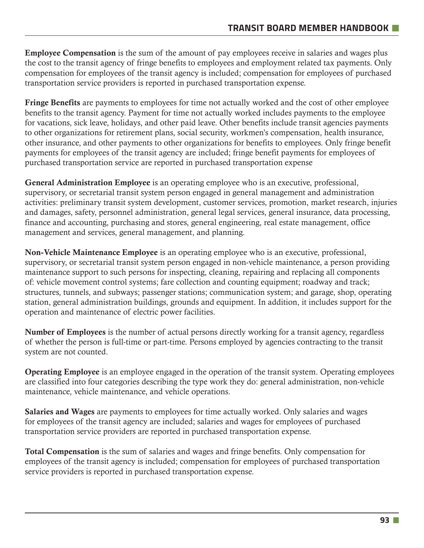Employee Compensation is the sum of the amount of pay employees receive in salaries and wages plus the cost to the transit agency of fringe benefits to employees and employment related tax payments. Only compensation for employees of the transit agency is included; compensation for employees of purchased transportation service providers is reported in purchased transportation expense.

Fringe Benefits are payments to employees for time not actually worked and the cost of other employee benefits to the transit agency. Payment for time not actually worked includes payments to the employee for vacations, sick leave, holidays, and other paid leave. Other benefits include transit agencies payments to other organizations for retirement plans, social security, workmen's compensation, health insurance, other insurance, and other payments to other organizations for benefits to employees. Only fringe benefit payments for employees of the transit agency are included; fringe benefit payments for employees of purchased transportation service are reported in purchased transportation expense

General Administration Employee is an operating employee who is an executive, professional, supervisory, or secretarial transit system person engaged in general management and administration activities: preliminary transit system development, customer services, promotion, market research, injuries and damages, safety, personnel administration, general legal services, general insurance, data processing, finance and accounting, purchasing and stores, general engineering, real estate management, office management and services, general management, and planning.

Non-Vehicle Maintenance Employee is an operating employee who is an executive, professional, supervisory, or secretarial transit system person engaged in non-vehicle maintenance, a person providing maintenance support to such persons for inspecting, cleaning, repairing and replacing all components of: vehicle movement control systems; fare collection and counting equipment; roadway and track; structures, tunnels, and subways; passenger stations; communication system; and garage, shop, operating station, general administration buildings, grounds and equipment. In addition, it includes support for the operation and maintenance of electric power facilities.

Number of Employees is the number of actual persons directly working for a transit agency, regardless of whether the person is full-time or part-time. Persons employed by agencies contracting to the transit system are not counted.

Operating Employee is an employee engaged in the operation of the transit system. Operating employees are classified into four categories describing the type work they do: general administration, non-vehicle maintenance, vehicle maintenance, and vehicle operations.

Salaries and Wages are payments to employees for time actually worked. Only salaries and wages for employees of the transit agency are included; salaries and wages for employees of purchased transportation service providers are reported in purchased transportation expense.

Total Compensation is the sum of salaries and wages and fringe benefits. Only compensation for employees of the transit agency is included; compensation for employees of purchased transportation service providers is reported in purchased transportation expense.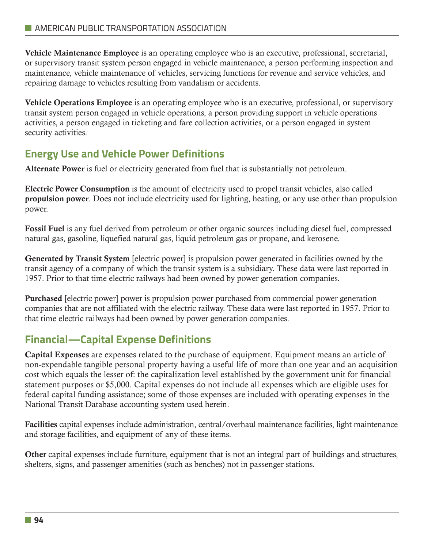Vehicle Maintenance Employee is an operating employee who is an executive, professional, secretarial, or supervisory transit system person engaged in vehicle maintenance, a person performing inspection and maintenance, vehicle maintenance of vehicles, servicing functions for revenue and service vehicles, and repairing damage to vehicles resulting from vandalism or accidents.

Vehicle Operations Employee is an operating employee who is an executive, professional, or supervisory transit system person engaged in vehicle operations, a person providing support in vehicle operations activities, a person engaged in ticketing and fare collection activities, or a person engaged in system security activities.

## **Energy Use and Vehicle Power Definitions**

Alternate Power is fuel or electricity generated from fuel that is substantially not petroleum.

Electric Power Consumption is the amount of electricity used to propel transit vehicles, also called propulsion power. Does not include electricity used for lighting, heating, or any use other than propulsion power.

Fossil Fuel is any fuel derived from petroleum or other organic sources including diesel fuel, compressed natural gas, gasoline, liquefied natural gas, liquid petroleum gas or propane, and kerosene.

Generated by Transit System [electric power] is propulsion power generated in facilities owned by the transit agency of a company of which the transit system is a subsidiary. These data were last reported in 1957. Prior to that time electric railways had been owned by power generation companies.

Purchased [electric power] power is propulsion power purchased from commercial power generation companies that are not affiliated with the electric railway. These data were last reported in 1957. Prior to that time electric railways had been owned by power generation companies.

## **Financial—Capital Expense Definitions**

Capital Expenses are expenses related to the purchase of equipment. Equipment means an article of non-expendable tangible personal property having a useful life of more than one year and an acquisition cost which equals the lesser of: the capitalization level established by the government unit for financial statement purposes or \$5,000. Capital expenses do not include all expenses which are eligible uses for federal capital funding assistance; some of those expenses are included with operating expenses in the National Transit Database accounting system used herein.

Facilities capital expenses include administration, central/overhaul maintenance facilities, light maintenance and storage facilities, and equipment of any of these items.

Other capital expenses include furniture, equipment that is not an integral part of buildings and structures, shelters, signs, and passenger amenities (such as benches) not in passenger stations.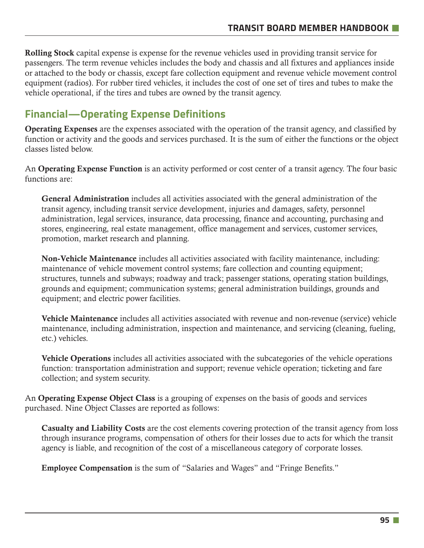Rolling Stock capital expense is expense for the revenue vehicles used in providing transit service for passengers. The term revenue vehicles includes the body and chassis and all fixtures and appliances inside or attached to the body or chassis, except fare collection equipment and revenue vehicle movement control equipment (radios). For rubber tired vehicles, it includes the cost of one set of tires and tubes to make the vehicle operational, if the tires and tubes are owned by the transit agency.

## **Financial—Operating Expense Definitions**

Operating Expenses are the expenses associated with the operation of the transit agency, and classified by function or activity and the goods and services purchased. It is the sum of either the functions or the object classes listed below.

An Operating Expense Function is an activity performed or cost center of a transit agency. The four basic functions are:

General Administration includes all activities associated with the general administration of the transit agency, including transit service development, injuries and damages, safety, personnel administration, legal services, insurance, data processing, finance and accounting, purchasing and stores, engineering, real estate management, office management and services, customer services, promotion, market research and planning.

Non-Vehicle Maintenance includes all activities associated with facility maintenance, including: maintenance of vehicle movement control systems; fare collection and counting equipment; structures, tunnels and subways; roadway and track; passenger stations, operating station buildings, grounds and equipment; communication systems; general administration buildings, grounds and equipment; and electric power facilities.

Vehicle Maintenance includes all activities associated with revenue and non-revenue (service) vehicle maintenance, including administration, inspection and maintenance, and servicing (cleaning, fueling, etc.) vehicles.

Vehicle Operations includes all activities associated with the subcategories of the vehicle operations function: transportation administration and support; revenue vehicle operation; ticketing and fare collection; and system security.

An **Operating Expense Object Class** is a grouping of expenses on the basis of goods and services purchased. Nine Object Classes are reported as follows:

Casualty and Liability Costs are the cost elements covering protection of the transit agency from loss through insurance programs, compensation of others for their losses due to acts for which the transit agency is liable, and recognition of the cost of a miscellaneous category of corporate losses.

Employee Compensation is the sum of "Salaries and Wages" and "Fringe Benefits."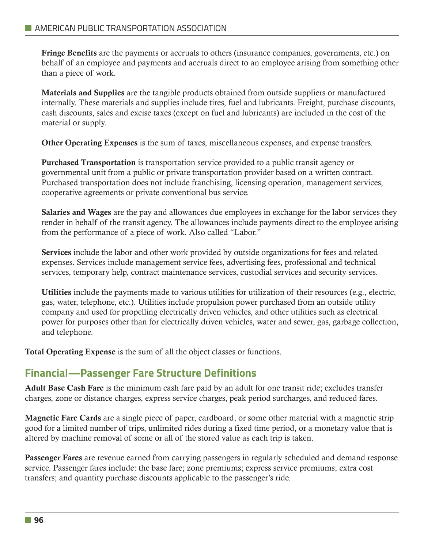Fringe Benefits are the payments or accruals to others (insurance companies, governments, etc.) on behalf of an employee and payments and accruals direct to an employee arising from something other than a piece of work.

Materials and Supplies are the tangible products obtained from outside suppliers or manufactured internally. These materials and supplies include tires, fuel and lubricants. Freight, purchase discounts, cash discounts, sales and excise taxes (except on fuel and lubricants) are included in the cost of the material or supply.

Other Operating Expenses is the sum of taxes, miscellaneous expenses, and expense transfers.

Purchased Transportation is transportation service provided to a public transit agency or governmental unit from a public or private transportation provider based on a written contract. Purchased transportation does not include franchising, licensing operation, management services, cooperative agreements or private conventional bus service.

Salaries and Wages are the pay and allowances due employees in exchange for the labor services they render in behalf of the transit agency. The allowances include payments direct to the employee arising from the performance of a piece of work. Also called "Labor."

Services include the labor and other work provided by outside organizations for fees and related expenses. Services include management service fees, advertising fees, professional and technical services, temporary help, contract maintenance services, custodial services and security services.

Utilities include the payments made to various utilities for utilization of their resources (e.g., electric, gas, water, telephone, etc.). Utilities include propulsion power purchased from an outside utility company and used for propelling electrically driven vehicles, and other utilities such as electrical power for purposes other than for electrically driven vehicles, water and sewer, gas, garbage collection, and telephone.

Total Operating Expense is the sum of all the object classes or functions.

## **Financial—Passenger Fare Structure Definitions**

Adult Base Cash Fare is the minimum cash fare paid by an adult for one transit ride; excludes transfer charges, zone or distance charges, express service charges, peak period surcharges, and reduced fares.

Magnetic Fare Cards are a single piece of paper, cardboard, or some other material with a magnetic strip good for a limited number of trips, unlimited rides during a fixed time period, or a monetary value that is altered by machine removal of some or all of the stored value as each trip is taken.

Passenger Fares are revenue earned from carrying passengers in regularly scheduled and demand response service. Passenger fares include: the base fare; zone premiums; express service premiums; extra cost transfers; and quantity purchase discounts applicable to the passenger's ride.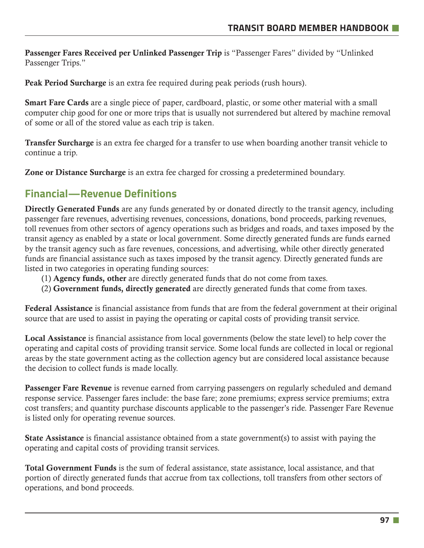Passenger Fares Received per Unlinked Passenger Trip is "Passenger Fares" divided by "Unlinked Passenger Trips."

Peak Period Surcharge is an extra fee required during peak periods (rush hours).

Smart Fare Cards are a single piece of paper, cardboard, plastic, or some other material with a small computer chip good for one or more trips that is usually not surrendered but altered by machine removal of some or all of the stored value as each trip is taken.

Transfer Surcharge is an extra fee charged for a transfer to use when boarding another transit vehicle to continue a trip.

Zone or Distance Surcharge is an extra fee charged for crossing a predetermined boundary.

## **Financial—Revenue Definitions**

Directly Generated Funds are any funds generated by or donated directly to the transit agency, including passenger fare revenues, advertising revenues, concessions, donations, bond proceeds, parking revenues, toll revenues from other sectors of agency operations such as bridges and roads, and taxes imposed by the transit agency as enabled by a state or local government. Some directly generated funds are funds earned by the transit agency such as fare revenues, concessions, and advertising, while other directly generated funds are financial assistance such as taxes imposed by the transit agency. Directly generated funds are listed in two categories in operating funding sources:

- (1) Agency funds, other are directly generated funds that do not come from taxes.
- (2) Government funds, directly generated are directly generated funds that come from taxes.

Federal Assistance is financial assistance from funds that are from the federal government at their original source that are used to assist in paying the operating or capital costs of providing transit service.

Local Assistance is financial assistance from local governments (below the state level) to help cover the operating and capital costs of providing transit service. Some local funds are collected in local or regional areas by the state government acting as the collection agency but are considered local assistance because the decision to collect funds is made locally.

Passenger Fare Revenue is revenue earned from carrying passengers on regularly scheduled and demand response service. Passenger fares include: the base fare; zone premiums; express service premiums; extra cost transfers; and quantity purchase discounts applicable to the passenger's ride. Passenger Fare Revenue is listed only for operating revenue sources.

State Assistance is financial assistance obtained from a state government(s) to assist with paying the operating and capital costs of providing transit services.

Total Government Funds is the sum of federal assistance, state assistance, local assistance, and that portion of directly generated funds that accrue from tax collections, toll transfers from other sectors of operations, and bond proceeds.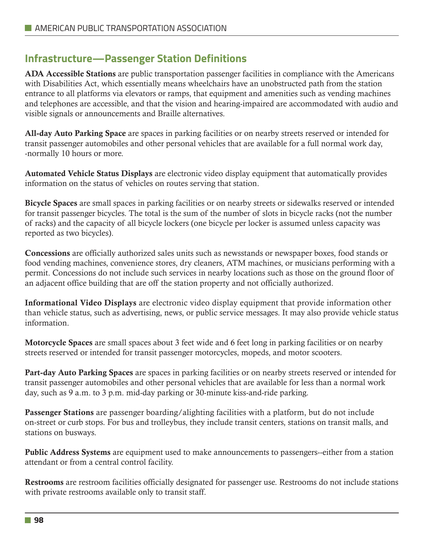## **Infrastructure—Passenger Station Definitions**

ADA Accessible Stations are public transportation passenger facilities in compliance with the Americans with Disabilities Act, which essentially means wheelchairs have an unobstructed path from the station entrance to all platforms via elevators or ramps, that equipment and amenities such as vending machines and telephones are accessible, and that the vision and hearing-impaired are accommodated with audio and visible signals or announcements and Braille alternatives.

All-day Auto Parking Space are spaces in parking facilities or on nearby streets reserved or intended for transit passenger automobiles and other personal vehicles that are available for a full normal work day, -normally 10 hours or more.

Automated Vehicle Status Displays are electronic video display equipment that automatically provides information on the status of vehicles on routes serving that station.

Bicycle Spaces are small spaces in parking facilities or on nearby streets or sidewalks reserved or intended for transit passenger bicycles. The total is the sum of the number of slots in bicycle racks (not the number of racks) and the capacity of all bicycle lockers (one bicycle per locker is assumed unless capacity was reported as two bicycles).

Concessions are officially authorized sales units such as newsstands or newspaper boxes, food stands or food vending machines, convenience stores, dry cleaners, ATM machines, or musicians performing with a permit. Concessions do not include such services in nearby locations such as those on the ground floor of an adjacent office building that are off the station property and not officially authorized.

Informational Video Displays are electronic video display equipment that provide information other than vehicle status, such as advertising, news, or public service messages. It may also provide vehicle status information.

Motorcycle Spaces are small spaces about 3 feet wide and 6 feet long in parking facilities or on nearby streets reserved or intended for transit passenger motorcycles, mopeds, and motor scooters.

Part-day Auto Parking Spaces are spaces in parking facilities or on nearby streets reserved or intended for transit passenger automobiles and other personal vehicles that are available for less than a normal work day, such as 9 a.m. to 3 p.m. mid-day parking or 30-minute kiss-and-ride parking.

Passenger Stations are passenger boarding/alighting facilities with a platform, but do not include on-street or curb stops. For bus and trolleybus, they include transit centers, stations on transit malls, and stations on busways.

Public Address Systems are equipment used to make announcements to passengers--either from a station attendant or from a central control facility.

Restrooms are restroom facilities officially designated for passenger use. Restrooms do not include stations with private restrooms available only to transit staff.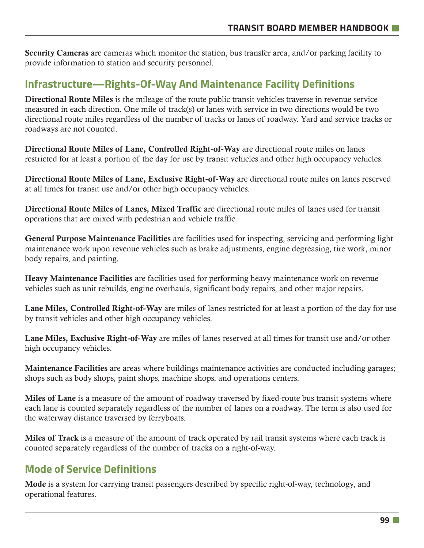Security Cameras are cameras which monitor the station, bus transfer area, and/or parking facility to provide information to station and security personnel.

## **Infrastructure—Rights-Of-Way And Maintenance Facility Definitions**

Directional Route Miles is the mileage of the route public transit vehicles traverse in revenue service measured in each direction. One mile of track(s) or lanes with service in two directions would be two directional route miles regardless of the number of tracks or lanes of roadway. Yard and service tracks or roadways are not counted.

Directional Route Miles of Lane, Controlled Right-of-Way are directional route miles on lanes restricted for at least a portion of the day for use by transit vehicles and other high occupancy vehicles.

Directional Route Miles of Lane, Exclusive Right-of-Way are directional route miles on lanes reserved at all times for transit use and/or other high occupancy vehicles.

Directional Route Miles of Lanes, Mixed Traffic are directional route miles of lanes used for transit operations that are mixed with pedestrian and vehicle traffic.

General Purpose Maintenance Facilities are facilities used for inspecting, servicing and performing light maintenance work upon revenue vehicles such as brake adjustments, engine degreasing, tire work, minor body repairs, and painting.

Heavy Maintenance Facilities are facilities used for performing heavy maintenance work on revenue vehicles such as unit rebuilds, engine overhauls, significant body repairs, and other major repairs.

Lane Miles, Controlled Right-of-Way are miles of lanes restricted for at least a portion of the day for use by transit vehicles and other high occupancy vehicles.

Lane Miles, Exclusive Right-of-Way are miles of lanes reserved at all times for transit use and/or other high occupancy vehicles.

Maintenance Facilities are areas where buildings maintenance activities are conducted including garages; shops such as body shops, paint shops, machine shops, and operations centers.

Miles of Lane is a measure of the amount of roadway traversed by fixed-route bus transit systems where each lane is counted separately regardless of the number of lanes on a roadway. The term is also used for the waterway distance traversed by ferryboats.

Miles of Track is a measure of the amount of track operated by rail transit systems where each track is counted separately regardless of the number of tracks on a right-of-way.

## **Mode of Service Definitions**

Mode is a system for carrying transit passengers described by specific right-of-way, technology, and operational features.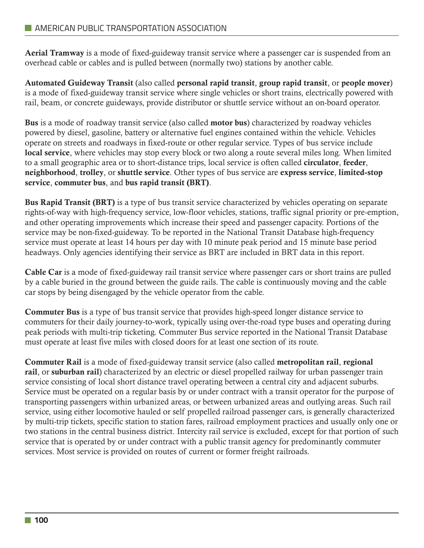Aerial Tramway is a mode of fixed-guideway transit service where a passenger car is suspended from an overhead cable or cables and is pulled between (normally two) stations by another cable.

Automated Guideway Transit (also called personal rapid transit, group rapid transit, or people mover) is a mode of fixed-guideway transit service where single vehicles or short trains, electrically powered with rail, beam, or concrete guideways, provide distributor or shuttle service without an on-board operator.

Bus is a mode of roadway transit service (also called motor bus) characterized by roadway vehicles powered by diesel, gasoline, battery or alternative fuel engines contained within the vehicle. Vehicles operate on streets and roadways in fixed-route or other regular service. Types of bus service include local service, where vehicles may stop every block or two along a route several miles long. When limited to a small geographic area or to short-distance trips, local service is often called circulator, feeder, neighborhood, trolley, or shuttle service. Other types of bus service are express service, limited-stop service, commuter bus, and bus rapid transit (BRT).

Bus Rapid Transit (BRT) is a type of bus transit service characterized by vehicles operating on separate rights-of-way with high-frequency service, low-floor vehicles, stations, traffic signal priority or pre-emption, and other operating improvements which increase their speed and passenger capacity. Portions of the service may be non-fixed-guideway. To be reported in the National Transit Database high-frequency service must operate at least 14 hours per day with 10 minute peak period and 15 minute base period headways. Only agencies identifying their service as BRT are included in BRT data in this report.

Cable Car is a mode of fixed-guideway rail transit service where passenger cars or short trains are pulled by a cable buried in the ground between the guide rails. The cable is continuously moving and the cable car stops by being disengaged by the vehicle operator from the cable.

Commuter Bus is a type of bus transit service that provides high-speed longer distance service to commuters for their daily journey-to-work, typically using over-the-road type buses and operating during peak periods with multi-trip ticketing. Commuter Bus service reported in the National Transit Database must operate at least five miles with closed doors for at least one section of its route.

Commuter Rail is a mode of fixed-guideway transit service (also called metropolitan rail, regional rail, or suburban rail) characterized by an electric or diesel propelled railway for urban passenger train service consisting of local short distance travel operating between a central city and adjacent suburbs. Service must be operated on a regular basis by or under contract with a transit operator for the purpose of transporting passengers within urbanized areas, or between urbanized areas and outlying areas. Such rail service, using either locomotive hauled or self propelled railroad passenger cars, is generally characterized by multi-trip tickets, specific station to station fares, railroad employment practices and usually only one or two stations in the central business district. Intercity rail service is excluded, except for that portion of such service that is operated by or under contract with a public transit agency for predominantly commuter services. Most service is provided on routes of current or former freight railroads.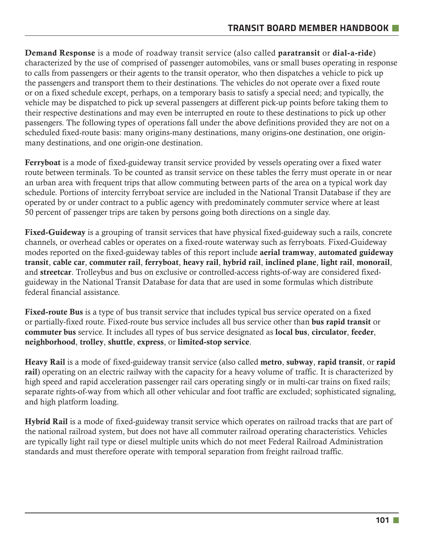Demand Response is a mode of roadway transit service (also called paratransit or dial-a-ride) characterized by the use of comprised of passenger automobiles, vans or small buses operating in response to calls from passengers or their agents to the transit operator, who then dispatches a vehicle to pick up the passengers and transport them to their destinations. The vehicles do not operate over a fixed route or on a fixed schedule except, perhaps, on a temporary basis to satisfy a special need; and typically, the vehicle may be dispatched to pick up several passengers at different pick-up points before taking them to their respective destinations and may even be interrupted en route to these destinations to pick up other passengers. The following types of operations fall under the above definitions provided they are not on a scheduled fixed-route basis: many origins-many destinations, many origins-one destination, one originmany destinations, and one origin-one destination.

Ferryboat is a mode of fixed-guideway transit service provided by vessels operating over a fixed water route between terminals. To be counted as transit service on these tables the ferry must operate in or near an urban area with frequent trips that allow commuting between parts of the area on a typical work day schedule. Portions of intercity ferryboat service are included in the National Transit Database if they are operated by or under contract to a public agency with predominately commuter service where at least 50 percent of passenger trips are taken by persons going both directions on a single day.

Fixed-Guideway is a grouping of transit services that have physical fixed-guideway such a rails, concrete channels, or overhead cables or operates on a fixed-route waterway such as ferryboats. Fixed-Guideway modes reported on the fixed-guideway tables of this report include aerial tramway, automated guideway transit, cable car, commuter rail, ferryboat, heavy rail, hybrid rail, inclined plane, light rail, monorail, and streetcar. Trolleybus and bus on exclusive or controlled-access rights-of-way are considered fixedguideway in the National Transit Database for data that are used in some formulas which distribute federal financial assistance.

Fixed-route Bus is a type of bus transit service that includes typical bus service operated on a fixed or partially-fixed route. Fixed-route bus service includes all bus service other than bus rapid transit or commuter bus service. It includes all types of bus service designated as local bus, circulator, feeder, neighborhood, trolley, shuttle, express, or limited-stop service.

Heavy Rail is a mode of fixed-guideway transit service (also called metro, subway, rapid transit, or rapid rail) operating on an electric railway with the capacity for a heavy volume of traffic. It is characterized by high speed and rapid acceleration passenger rail cars operating singly or in multi-car trains on fixed rails; separate rights-of-way from which all other vehicular and foot traffic are excluded; sophisticated signaling, and high platform loading.

Hybrid Rail is a mode of fixed-guideway transit service which operates on railroad tracks that are part of the national railroad system, but does not have all commuter railroad operating characteristics. Vehicles are typically light rail type or diesel multiple units which do not meet Federal Railroad Administration standards and must therefore operate with temporal separation from freight railroad traffic.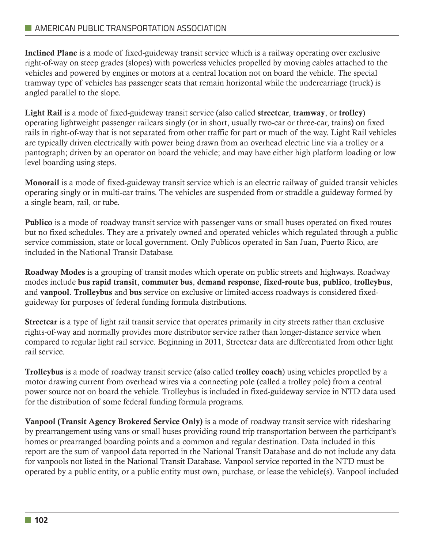Inclined Plane is a mode of fixed-guideway transit service which is a railway operating over exclusive right-of-way on steep grades (slopes) with powerless vehicles propelled by moving cables attached to the vehicles and powered by engines or motors at a central location not on board the vehicle. The special tramway type of vehicles has passenger seats that remain horizontal while the undercarriage (truck) is angled parallel to the slope.

Light Rail is a mode of fixed-guideway transit service (also called streetcar, tramway, or trolley) operating lightweight passenger railcars singly (or in short, usually two-car or three-car, trains) on fixed rails in right-of-way that is not separated from other traffic for part or much of the way. Light Rail vehicles are typically driven electrically with power being drawn from an overhead electric line via a trolley or a pantograph; driven by an operator on board the vehicle; and may have either high platform loading or low level boarding using steps.

Monorail is a mode of fixed-guideway transit service which is an electric railway of guided transit vehicles operating singly or in multi-car trains. The vehicles are suspended from or straddle a guideway formed by a single beam, rail, or tube.

Publico is a mode of roadway transit service with passenger vans or small buses operated on fixed routes but no fixed schedules. They are a privately owned and operated vehicles which regulated through a public service commission, state or local government. Only Publicos operated in San Juan, Puerto Rico, are included in the National Transit Database.

Roadway Modes is a grouping of transit modes which operate on public streets and highways. Roadway modes include bus rapid transit, commuter bus, demand response, fixed-route bus, publico, trolleybus, and vanpool. Trolleybus and bus service on exclusive or limited-access roadways is considered fixedguideway for purposes of federal funding formula distributions.

Streetcar is a type of light rail transit service that operates primarily in city streets rather than exclusive rights-of-way and normally provides more distributor service rather than longer-distance service when compared to regular light rail service. Beginning in 2011, Streetcar data are differentiated from other light rail service.

Trolleybus is a mode of roadway transit service (also called trolley coach) using vehicles propelled by a motor drawing current from overhead wires via a connecting pole (called a trolley pole) from a central power source not on board the vehicle. Trolleybus is included in fixed-guideway service in NTD data used for the distribution of some federal funding formula programs.

Vanpool (Transit Agency Brokered Service Only) is a mode of roadway transit service with ridesharing by prearrangement using vans or small buses providing round trip transportation between the participant's homes or prearranged boarding points and a common and regular destination. Data included in this report are the sum of vanpool data reported in the National Transit Database and do not include any data for vanpools not listed in the National Transit Database. Vanpool service reported in the NTD must be operated by a public entity, or a public entity must own, purchase, or lease the vehicle(s). Vanpool included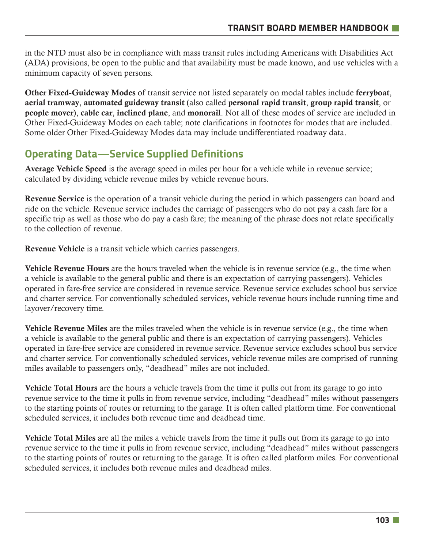in the NTD must also be in compliance with mass transit rules including Americans with Disabilities Act (ADA) provisions, be open to the public and that availability must be made known, and use vehicles with a minimum capacity of seven persons.

Other Fixed-Guideway Modes of transit service not listed separately on modal tables include ferryboat, aerial tramway, automated guideway transit (also called personal rapid transit, group rapid transit, or people mover), cable car, inclined plane, and monorail. Not all of these modes of service are included in Other Fixed-Guideway Modes on each table; note clarifications in footnotes for modes that are included. Some older Other Fixed-Guideway Modes data may include undifferentiated roadway data.

## **Operating Data—Service Supplied Definitions**

Average Vehicle Speed is the average speed in miles per hour for a vehicle while in revenue service; calculated by dividing vehicle revenue miles by vehicle revenue hours.

Revenue Service is the operation of a transit vehicle during the period in which passengers can board and ride on the vehicle. Revenue service includes the carriage of passengers who do not pay a cash fare for a specific trip as well as those who do pay a cash fare; the meaning of the phrase does not relate specifically to the collection of revenue.

Revenue Vehicle is a transit vehicle which carries passengers.

Vehicle Revenue Hours are the hours traveled when the vehicle is in revenue service (e.g., the time when a vehicle is available to the general public and there is an expectation of carrying passengers). Vehicles operated in fare-free service are considered in revenue service. Revenue service excludes school bus service and charter service. For conventionally scheduled services, vehicle revenue hours include running time and layover/recovery time.

Vehicle Revenue Miles are the miles traveled when the vehicle is in revenue service (e.g., the time when a vehicle is available to the general public and there is an expectation of carrying passengers). Vehicles operated in fare-free service are considered in revenue service. Revenue service excludes school bus service and charter service. For conventionally scheduled services, vehicle revenue miles are comprised of running miles available to passengers only, "deadhead" miles are not included.

Vehicle Total Hours are the hours a vehicle travels from the time it pulls out from its garage to go into revenue service to the time it pulls in from revenue service, including "deadhead" miles without passengers to the starting points of routes or returning to the garage. It is often called platform time. For conventional scheduled services, it includes both revenue time and deadhead time.

Vehicle Total Miles are all the miles a vehicle travels from the time it pulls out from its garage to go into revenue service to the time it pulls in from revenue service, including "deadhead" miles without passengers to the starting points of routes or returning to the garage. It is often called platform miles. For conventional scheduled services, it includes both revenue miles and deadhead miles.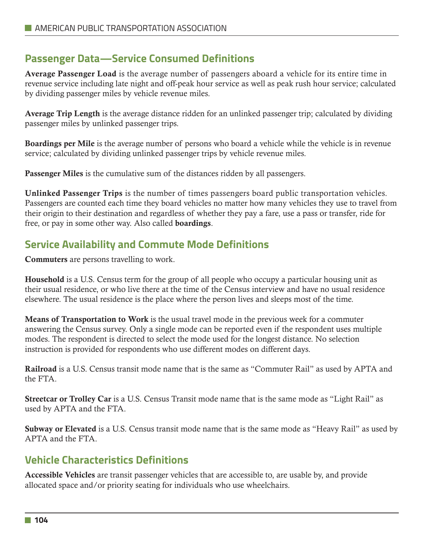## **Passenger Data—Service Consumed Definitions**

Average Passenger Load is the average number of passengers aboard a vehicle for its entire time in revenue service including late night and off-peak hour service as well as peak rush hour service; calculated by dividing passenger miles by vehicle revenue miles.

Average Trip Length is the average distance ridden for an unlinked passenger trip; calculated by dividing passenger miles by unlinked passenger trips.

Boardings per Mile is the average number of persons who board a vehicle while the vehicle is in revenue service; calculated by dividing unlinked passenger trips by vehicle revenue miles.

Passenger Miles is the cumulative sum of the distances ridden by all passengers.

Unlinked Passenger Trips is the number of times passengers board public transportation vehicles. Passengers are counted each time they board vehicles no matter how many vehicles they use to travel from their origin to their destination and regardless of whether they pay a fare, use a pass or transfer, ride for free, or pay in some other way. Also called boardings.

## **Service Availability and Commute Mode Definitions**

Commuters are persons travelling to work.

Household is a U.S. Census term for the group of all people who occupy a particular housing unit as their usual residence, or who live there at the time of the Census interview and have no usual residence elsewhere. The usual residence is the place where the person lives and sleeps most of the time.

Means of Transportation to Work is the usual travel mode in the previous week for a commuter answering the Census survey. Only a single mode can be reported even if the respondent uses multiple modes. The respondent is directed to select the mode used for the longest distance. No selection instruction is provided for respondents who use different modes on different days.

Railroad is a U.S. Census transit mode name that is the same as "Commuter Rail" as used by APTA and the FTA.

Streetcar or Trolley Car is a U.S. Census Transit mode name that is the same mode as "Light Rail" as used by APTA and the FTA.

Subway or Elevated is a U.S. Census transit mode name that is the same mode as "Heavy Rail" as used by APTA and the FTA.

## **Vehicle Characteristics Definitions**

Accessible Vehicles are transit passenger vehicles that are accessible to, are usable by, and provide allocated space and/or priority seating for individuals who use wheelchairs.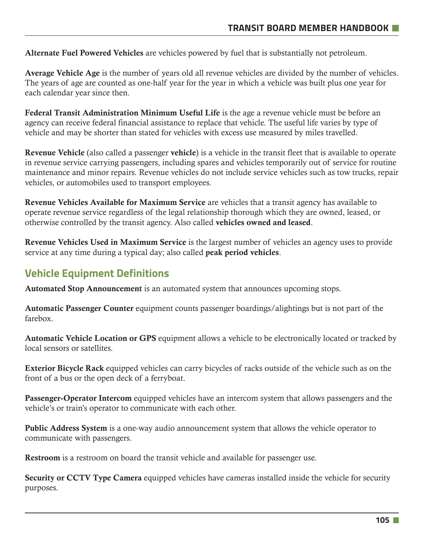Alternate Fuel Powered Vehicles are vehicles powered by fuel that is substantially not petroleum.

Average Vehicle Age is the number of years old all revenue vehicles are divided by the number of vehicles. The years of age are counted as one-half year for the year in which a vehicle was built plus one year for each calendar year since then.

Federal Transit Administration Minimum Useful Life is the age a revenue vehicle must be before an agency can receive federal financial assistance to replace that vehicle. The useful life varies by type of vehicle and may be shorter than stated for vehicles with excess use measured by miles travelled.

Revenue Vehicle (also called a passenger vehicle) is a vehicle in the transit fleet that is available to operate in revenue service carrying passengers, including spares and vehicles temporarily out of service for routine maintenance and minor repairs. Revenue vehicles do not include service vehicles such as tow trucks, repair vehicles, or automobiles used to transport employees.

Revenue Vehicles Available for Maximum Service are vehicles that a transit agency has available to operate revenue service regardless of the legal relationship thorough which they are owned, leased, or otherwise controlled by the transit agency. Also called vehicles owned and leased.

Revenue Vehicles Used in Maximum Service is the largest number of vehicles an agency uses to provide service at any time during a typical day; also called **peak period vehicles**.

## **Vehicle Equipment Definitions**

Automated Stop Announcement is an automated system that announces upcoming stops.

Automatic Passenger Counter equipment counts passenger boardings/alightings but is not part of the farebox.

Automatic Vehicle Location or GPS equipment allows a vehicle to be electronically located or tracked by local sensors or satellites.

Exterior Bicycle Rack equipped vehicles can carry bicycles of racks outside of the vehicle such as on the front of a bus or the open deck of a ferryboat.

Passenger-Operator Intercom equipped vehicles have an intercom system that allows passengers and the vehicle's or train's operator to communicate with each other.

Public Address System is a one-way audio announcement system that allows the vehicle operator to communicate with passengers.

Restroom is a restroom on board the transit vehicle and available for passenger use.

Security or CCTV Type Camera equipped vehicles have cameras installed inside the vehicle for security purposes.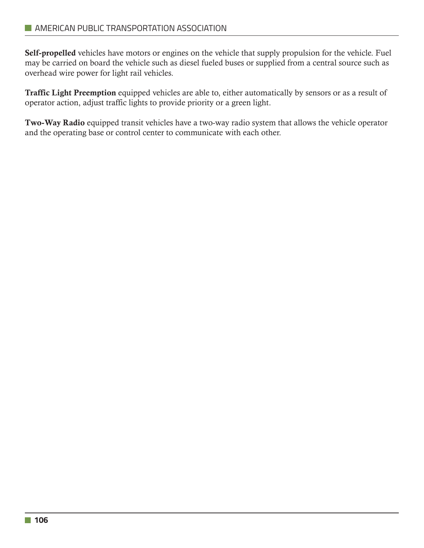Self-propelled vehicles have motors or engines on the vehicle that supply propulsion for the vehicle. Fuel may be carried on board the vehicle such as diesel fueled buses or supplied from a central source such as overhead wire power for light rail vehicles.

Traffic Light Preemption equipped vehicles are able to, either automatically by sensors or as a result of operator action, adjust traffic lights to provide priority or a green light.

Two-Way Radio equipped transit vehicles have a two-way radio system that allows the vehicle operator and the operating base or control center to communicate with each other.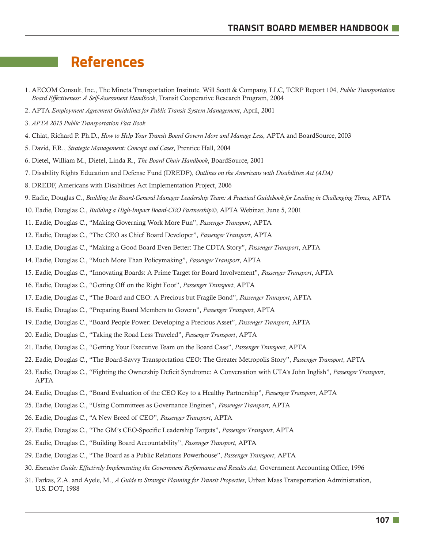## **References**

- 1. AECOM Consult, Inc., The Mineta Transportation Institute, Will Scott & Company, LLC, TCRP Report 104, *Public Transportation Board Effectiveness: A Self-Assessment Handbook*, Transit Cooperative Research Program, 2004
- 2. APTA *Employment Agreement Guidelines for Public Transit System Management*, April, 2001
- 3. *APTA 2013 Public Transportation Fact Book*
- 4. Chiat, Richard P. Ph.D., *How to Help Your Transit Board Govern More and Manage Less*, APTA and BoardSource, 2003
- 5. David, F.R., *Strategic Management: Concept and Cases*, Prentice Hall, 2004
- 6. Dietel, William M., Dietel, Linda R., *The Board Chair Handbook*, BoardSource, 2001
- 7. Disability Rights Education and Defense Fund (DREDF), *Outlines on the Americans with Disabilities Act (ADA)*
- 8. DREDF, Americans with Disabilities Act Implementation Project, 2006
- 9. Eadie, Douglas C., *Building the Board-General Manager Leadership Team: A Practical Guidebook for Leading in Challenging Times,* APTA
- 10. Eadie, Douglas C., *Building a High-Impact Board-CEO Partnership©,* APTA Webinar, June 5, 2001
- 11. Eadie, Douglas C., "Making Governing Work More Fun", *Passenger Transport*, APTA
- 12. Eadie, Douglas C., "The CEO as Chief Board Developer", *Passenger Transport*, APTA
- 13. Eadie, Douglas C., "Making a Good Board Even Better: The CDTA Story", *Passenger Transport*, APTA
- 14. Eadie, Douglas C., "Much More Than Policymaking", *Passenger Transport*, APTA
- 15. Eadie, Douglas C., "Innovating Boards: A Prime Target for Board Involvement", *Passenger Transport*, APTA
- 16. Eadie, Douglas C., "Getting Off on the Right Foot", *Passenger Transport*, APTA
- 17. Eadie, Douglas C., "The Board and CEO: A Precious but Fragile Bond", *Passenger Transport*, APTA
- 18. Eadie, Douglas C., "Preparing Board Members to Govern", *Passenger Transport*, APTA
- 19. Eadie, Douglas C., "Board People Power: Developing a Precious Asset", *Passenger Transport*, APTA
- 20. Eadie, Douglas C., "Taking the Road Less Traveled", *Passenger Transport*, APTA
- 21. Eadie, Douglas C., "Getting Your Executive Team on the Board Case", *Passenger Transport*, APTA
- 22. Eadie, Douglas C., "The Board-Savvy Transportation CEO: The Greater Metropolis Story", *Passenger Transport*, APTA
- 23. Eadie, Douglas C., "Fighting the Ownership Deficit Syndrome: A Conversation with UTA's John Inglish", *Passenger Transport*, APTA
- 24. Eadie, Douglas C., "Board Evaluation of the CEO Key to a Healthy Partnership", *Passenger Transport*, APTA
- 25. Eadie, Douglas C., "Using Committees as Governance Engines", *Passenger Transport*, APTA
- 26. Eadie, Douglas C., "A New Breed of CEO", *Passenger Transport*, APTA
- 27. Eadie, Douglas C., "The GM's CEO-Specific Leadership Targets", *Passenger Transport*, APTA
- 28. Eadie, Douglas C., "Building Board Accountability", *Passenger Transport*, APTA
- 29. Eadie, Douglas C., "The Board as a Public Relations Powerhouse", *Passenger Transport*, APTA
- 30. *Executive Guide: Effectively Implementing the Government Performance and Results Act*, Government Accounting Office, 1996
- 31. Farkas, Z.A. and Ayele, M., *A Guide to Strategic Planning for Transit Properties*, Urban Mass Transportation Administration, U.S. DOT, 1988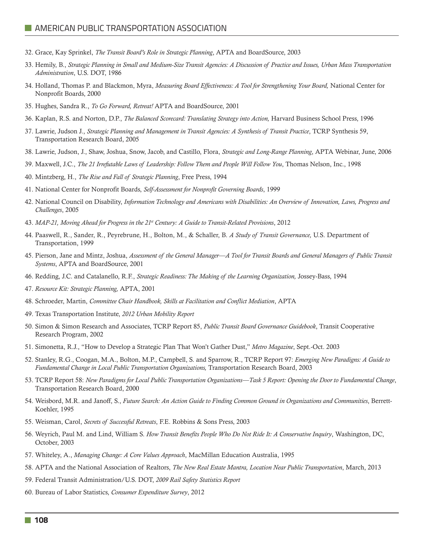- 32. Grace, Kay Sprinkel, *The Transit Board's Role in Strategic Planning*, APTA and BoardSource, 2003
- 33. Hemily, B., *Strategic Planning in Small and Medium-Size Transit Agencies: A Discussion of Practice and Issues, Urban Mass Transportation Administration*, U.S. DOT, 1986
- 34. Holland, Thomas P. and Blackmon, Myra, *Measuring Board Effectiveness: A Tool for Strengthening Your Board,* National Center for Nonprofit Boards, 2000
- 35. Hughes, Sandra R., *To Go Forward, Retreat!* APTA and BoardSource, 2001
- 36. Kaplan, R.S. and Norton, D.P., *The Balanced Scorecard: Translating Strategy into Action,* Harvard Business School Press, 1996
- 37. Lawrie, Judson J., *Strategic Planning and Management in Transit Agencies: A Synthesis of Transit Practice*, TCRP Synthesis 59, Transportation Research Board, 2005
- 38. Lawrie, Judson, J., Shaw, Joshua, Snow, Jacob, and Castillo, Flora, *Strategic and Long-Range Planning*, APTA Webinar, June, 2006
- 39. Maxwell, J.C., *The 21 Irrefutable Laws of Leadership: Follow Them and People Will Follow You*, Thomas Nelson, Inc., 1998
- 40. Mintzberg, H., *The Rise and Fall of Strategic Planning*, Free Press, 1994
- 41. National Center for Nonprofit Boards, *Self-Assessment for Nonprofit Governing Boards*, 1999
- 42. National Council on Disability, *Information Technology and Americans with Disabilities: An Overview of Innovation, Laws, Progress and Challenges*, 2005
- 43. *MAP-21, Moving Ahead for Progress in the 21st Century: A Guide to Transit-Related Provisions*, 2012
- 44. Paaswell, R., Sander, R., Peyrebrune, H., Bolton, M., & Schaller, B. *A Study of Transit Governance,* U.S. Department of Transportation, 1999
- 45. Pierson, Jane and Mintz, Joshua, *Assessment of the General Manager—A Tool for Transit Boards and General Managers of Public Transit Systems*, APTA and BoardSource, 2001
- 46. Redding, J.C. and Catalanello, R.F., *Strategic Readiness: The Making of the Learning Organization,* Jossey-Bass, 1994
- 47. *Resource Kit: Strategic Planning,* APTA, 2001
- 48. Schroeder, Martin, *Committee Chair Handbook, Skills at Facilitation and Conflict Mediation*, APTA
- 49. Texas Transportation Institute, *2012 Urban Mobility Report*
- 50. Simon & Simon Research and Associates, TCRP Report 85, *Public Transit Board Governance Guidebook*, Transit Cooperative Research Program, 2002
- 51. Simonetta, R.J., "How to Develop a Strategic Plan That Won't Gather Dust," *Metro Magazine*, Sept.-Oct. 2003
- 52. Stanley, R.G., Coogan, M.A., Bolton, M.P., Campbell, S. and Sparrow, R., TCRP Report 97: *Emerging New Paradigns: A Guide to Fundamental Change in Local Public Transportation Organizations,* Transportation Research Board, 2003
- 53. TCRP Report 58: *New Paradigms for Local Public Transportation Organizations—Task 5 Report: Opening the Door to Fundamental Change*, Transportation Research Board, 2000
- 54. Weisbord, M.R. and Janoff, S., *Future Search: An Action Guide to Finding Common Ground in Organizations and Communities*, Berrett-Koehler, 1995
- 55. Weisman, Carol, *Secrets of Successful Retreats*, F.E. Robbins & Sons Press, 2003
- 56. Weyrich, Paul M. and Lind, William S. *How Transit Benefits People Who Do Not Ride It: A Conservative Inquiry*, Washington, DC, October, 2003
- 57. Whiteley, A., *Managing Change: A Core Values Approach*, MacMillan Education Australia, 1995
- 58. APTA and the National Association of Realtors, *The New Real Estate Mantra, Location Near Public Transportation*, March, 2013
- 59. Federal Transit Administration/U.S. DOT, *2009 Rail Safety Statistics Report*
- 60. Bureau of Labor Statistics, *Consumer Expenditure Survey*, 2012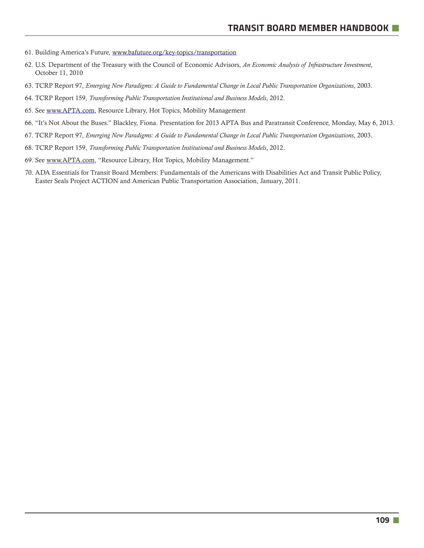- 61. Building America's Future, www.bafuture.org/key-topics/transportation
- 62. U.S. Department of the Treasury with the Council of Economic Advisors, *An Economic Analysis of Infrastructure Investment,* October 11, 2010
- 63. TCRP Report 97, *Emerging New Paradigms: A Guide to Fundamental Change in Local Public Transportation Organizations*, 2003.
- 64. TCRP Report 159, *Transforming Public Transportation Institutional and Business Models*, 2012.
- 65. See www.APTA.com, Resource Library, Hot Topics, Mobility Management
- 66. "It's Not About the Buses." Blackley, Fiona. Presentation for 2013 APTA Bus and Paratransit Conference, Monday, May 6, 2013.
- 67. TCRP Report 97, *Emerging New Paradigms: A Guide to Fundamental Change in Local Public Transportation Organizations*, 2003.
- 68. TCRP Report 159, *Transforming Public Transportation Institutional and Business Models*, 2012.
- 69. See www.APTA.com, "Resource Library, Hot Topics, Mobility Management."
- 70. ADA Essentials for Transit Board Members: Fundamentals of the Americans with Disabilities Act and Transit Public Policy, Easter Seals Project ACTION and American Public Transportation Association, January, 2011.